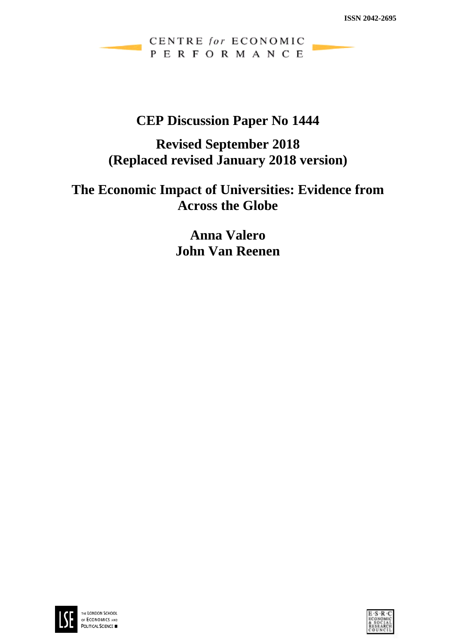CENTRE for ECONOMIC PERFORMANCE

## **CEP Discussion Paper No 1444**

# **Revised September 2018 (Replaced revised January 2018 version)**

# **The Economic Impact of Universities: Evidence from Across the Globe**

**Anna Valero John Van Reenen**



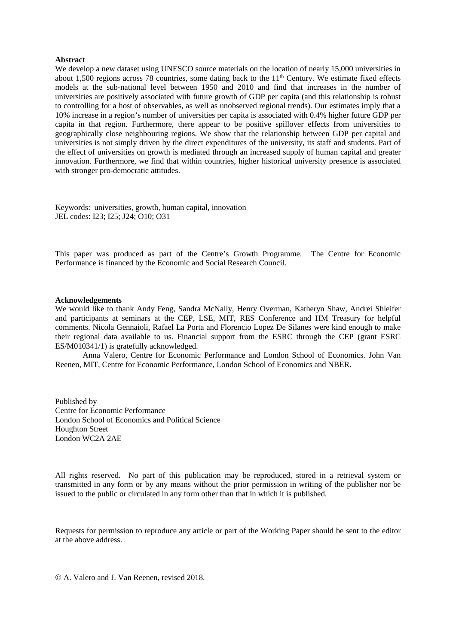#### **Abstract**

We develop a new dataset using UNESCO source materials on the location of nearly 15,000 universities in about 1,500 regions across 78 countries, some dating back to the 11<sup>th</sup> Century. We estimate fixed effects models at the sub-national level between 1950 and 2010 and find that increases in the number of universities are positively associated with future growth of GDP per capita (and this relationship is robust to controlling for a host of observables, as well as unobserved regional trends). Our estimates imply that a 10% increase in a region's number of universities per capita is associated with 0.4% higher future GDP per capita in that region. Furthermore, there appear to be positive spillover effects from universities to geographically close neighbouring regions. We show that the relationship between GDP per capital and universities is not simply driven by the direct expenditures of the university, its staff and students. Part of the effect of universities on growth is mediated through an increased supply of human capital and greater innovation. Furthermore, we find that within countries, higher historical university presence is associated with stronger pro-democratic attitudes.

Keywords: universities, growth, human capital, innovation JEL codes: I23; I25; J24; O10; O31

This paper was produced as part of the Centre's Growth Programme. The Centre for Economic Performance is financed by the Economic and Social Research Council.

#### **Acknowledgements**

We would like to thank Andy Feng, Sandra McNally, Henry Overman, Katheryn Shaw, Andrei Shleifer and participants at seminars at the CEP, LSE, MIT, RES Conference and HM Treasury for helpful comments. Nicola Gennaioli, Rafael La Porta and Florencio Lopez De Silanes were kind enough to make their regional data available to us. Financial support from the ESRC through the CEP (grant ESRC ES/M010341/1) is gratefully acknowledged.

Anna Valero, Centre for Economic Performance and London School of Economics. John Van Reenen, MIT, Centre for Economic Performance, London School of Economics and NBER.

Published by Centre for Economic Performance London School of Economics and Political Science Houghton Street London WC2A 2AE

All rights reserved. No part of this publication may be reproduced, stored in a retrieval system or transmitted in any form or by any means without the prior permission in writing of the publisher nor be issued to the public or circulated in any form other than that in which it is published.

Requests for permission to reproduce any article or part of the Working Paper should be sent to the editor at the above address.

A. Valero and J. Van Reenen, revised 2018.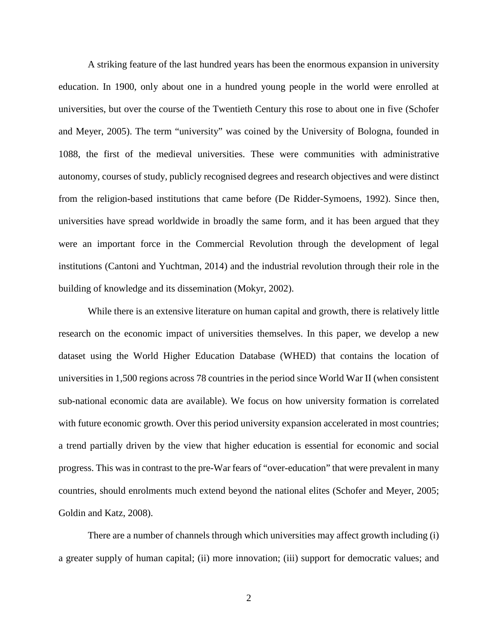A striking feature of the last hundred years has been the enormous expansion in university education. In 1900, only about one in a hundred young people in the world were enrolled at universities, but over the course of the Twentieth Century this rose to about one in five (Schofer and Meyer, 2005). The term "university" was coined by the University of Bologna, founded in 1088, the first of the medieval universities. These were communities with administrative autonomy, courses of study, publicly recognised degrees and research objectives and were distinct from the religion-based institutions that came before (De Ridder-Symoens, 1992). Since then, universities have spread worldwide in broadly the same form, and it has been argued that they were an important force in the Commercial Revolution through the development of legal institutions (Cantoni and Yuchtman, 2014) and the industrial revolution through their role in the building of knowledge and its dissemination (Mokyr, 2002).

While there is an extensive literature on human capital and growth, there is relatively little research on the economic impact of universities themselves. In this paper, we develop a new dataset using the World Higher Education Database (WHED) that contains the location of universities in 1,500 regions across 78 countries in the period since World War II (when consistent sub-national economic data are available). We focus on how university formation is correlated with future economic growth. Over this period university expansion accelerated in most countries; a trend partially driven by the view that higher education is essential for economic and social progress. This was in contrast to the pre-War fears of "over-education" that were prevalent in many countries, should enrolments much extend beyond the national elites (Schofer and Meyer, 2005; Goldin and Katz, 2008).

There are a number of channels through which universities may affect growth including (i) a greater supply of human capital; (ii) more innovation; (iii) support for democratic values; and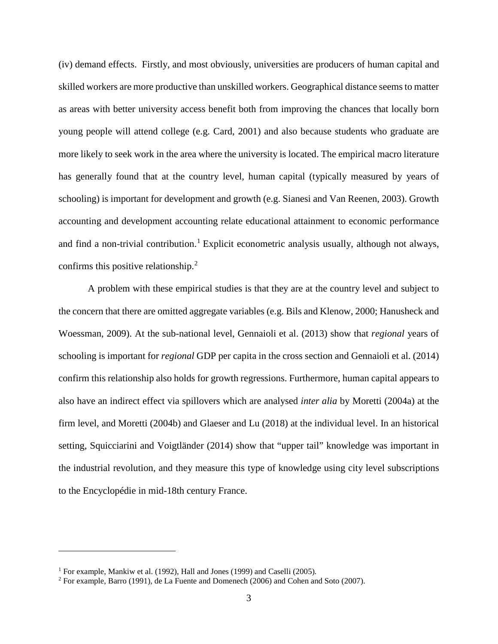(iv) demand effects. Firstly, and most obviously, universities are producers of human capital and skilled workers are more productive than unskilled workers. Geographical distance seems to matter as areas with better university access benefit both from improving the chances that locally born young people will attend college (e.g. Card, 2001) and also because students who graduate are more likely to seek work in the area where the university is located. The empirical macro literature has generally found that at the country level, human capital (typically measured by years of schooling) is important for development and growth (e.g. Sianesi and Van Reenen, 2003). Growth accounting and development accounting relate educational attainment to economic performance and find a non-trivial contribution.<sup>[1](#page-3-0)</sup> Explicit econometric analysis usually, although not always, confirms this positive relationship.<sup>[2](#page-3-1)</sup>

A problem with these empirical studies is that they are at the country level and subject to the concern that there are omitted aggregate variables (e.g. Bils and Klenow, 2000; Hanusheck and Woessman, 2009). At the sub-national level, Gennaioli et al. (2013) show that *regional* years of schooling is important for *regional* GDP per capita in the cross section and Gennaioli et al. (2014) confirm this relationship also holds for growth regressions. Furthermore, human capital appears to also have an indirect effect via spillovers which are analysed *inter alia* by Moretti (2004a) at the firm level, and Moretti (2004b) and Glaeser and Lu (2018) at the individual level. In an historical setting, Squicciarini and Voigtländer (2014) show that "upper tail" knowledge was important in the industrial revolution, and they measure this type of knowledge using city level subscriptions to the Encyclopédie in mid-18th century France.

<span id="page-3-0"></span><sup>&</sup>lt;sup>1</sup> For example, Mankiw et al. (1992), Hall and Jones (1999) and Caselli (2005).

<span id="page-3-1"></span><sup>2</sup> For example, Barro (1991), de La Fuente and Domenech (2006) and Cohen and Soto (2007).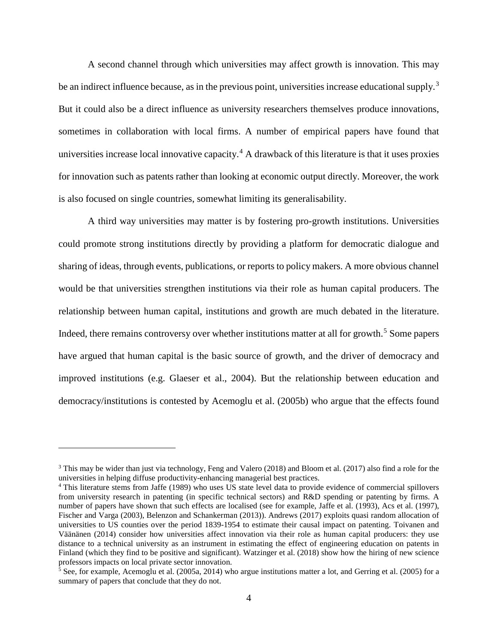A second channel through which universities may affect growth is innovation. This may be an indirect influence because, as in the previous point, universities increase educational supply.<sup>[3](#page-4-0)</sup> But it could also be a direct influence as university researchers themselves produce innovations, sometimes in collaboration with local firms. A number of empirical papers have found that universities increase local innovative capacity.<sup>[4](#page-4-1)</sup> A drawback of this literature is that it uses proxies for innovation such as patents rather than looking at economic output directly. Moreover, the work is also focused on single countries, somewhat limiting its generalisability.

A third way universities may matter is by fostering pro-growth institutions. Universities could promote strong institutions directly by providing a platform for democratic dialogue and sharing of ideas, through events, publications, or reports to policy makers. A more obvious channel would be that universities strengthen institutions via their role as human capital producers. The relationship between human capital, institutions and growth are much debated in the literature. Indeed, there remains controversy over whether institutions matter at all for growth.<sup>[5](#page-4-2)</sup> Some papers have argued that human capital is the basic source of growth, and the driver of democracy and improved institutions (e.g. Glaeser et al., 2004). But the relationship between education and democracy/institutions is contested by Acemoglu et al. (2005b) who argue that the effects found

<span id="page-4-0"></span><sup>3</sup> This may be wider than just via technology, Feng and Valero (2018) and Bloom et al. (2017) also find a role for the universities in helping diffuse productivity-enhancing managerial best practices.

<span id="page-4-1"></span><sup>4</sup> This literature stems from Jaffe (1989) who uses US state level data to provide evidence of commercial spillovers from university research in patenting (in specific technical sectors) and R&D spending or patenting by firms. A number of papers have shown that such effects are localised (see for example, Jaffe et al. (1993), Acs et al. (1997), Fischer and Varga (2003), Belenzon and Schankerman (2013)). Andrews (2017) exploits quasi random allocation of universities to US counties over the period 1839-1954 to estimate their causal impact on patenting. Toivanen and Väänänen (2014) consider how universities affect innovation via their role as human capital producers: they use distance to a technical university as an instrument in estimating the effect of engineering education on patents in Finland (which they find to be positive and significant). Watzinger et al. (2018) show how the hiring of new science professors impacts on local private sector innovation.

<span id="page-4-2"></span><sup>&</sup>lt;sup>5</sup> See, for example, Acemoglu et al. (2005a, 2014) who argue institutions matter a lot, and Gerring et al. (2005) for a summary of papers that conclude that they do not.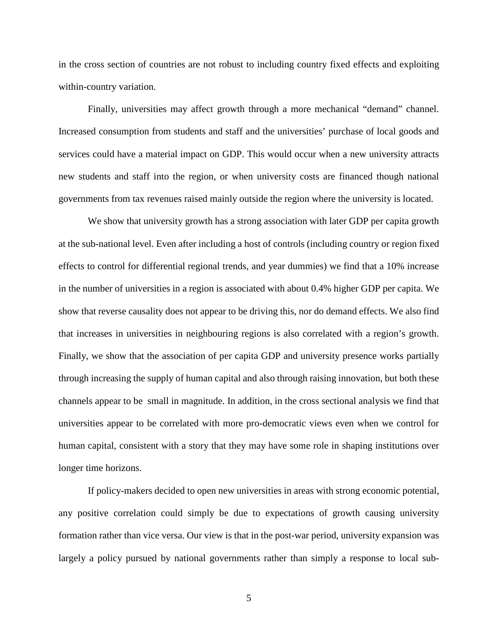in the cross section of countries are not robust to including country fixed effects and exploiting within-country variation.

Finally, universities may affect growth through a more mechanical "demand" channel. Increased consumption from students and staff and the universities' purchase of local goods and services could have a material impact on GDP. This would occur when a new university attracts new students and staff into the region, or when university costs are financed though national governments from tax revenues raised mainly outside the region where the university is located.

We show that university growth has a strong association with later GDP per capita growth at the sub-national level. Even after including a host of controls (including country or region fixed effects to control for differential regional trends, and year dummies) we find that a 10% increase in the number of universities in a region is associated with about 0.4% higher GDP per capita. We show that reverse causality does not appear to be driving this, nor do demand effects. We also find that increases in universities in neighbouring regions is also correlated with a region's growth. Finally, we show that the association of per capita GDP and university presence works partially through increasing the supply of human capital and also through raising innovation, but both these channels appear to be small in magnitude. In addition, in the cross sectional analysis we find that universities appear to be correlated with more pro-democratic views even when we control for human capital, consistent with a story that they may have some role in shaping institutions over longer time horizons.

If policy-makers decided to open new universities in areas with strong economic potential, any positive correlation could simply be due to expectations of growth causing university formation rather than vice versa. Our view is that in the post-war period, university expansion was largely a policy pursued by national governments rather than simply a response to local sub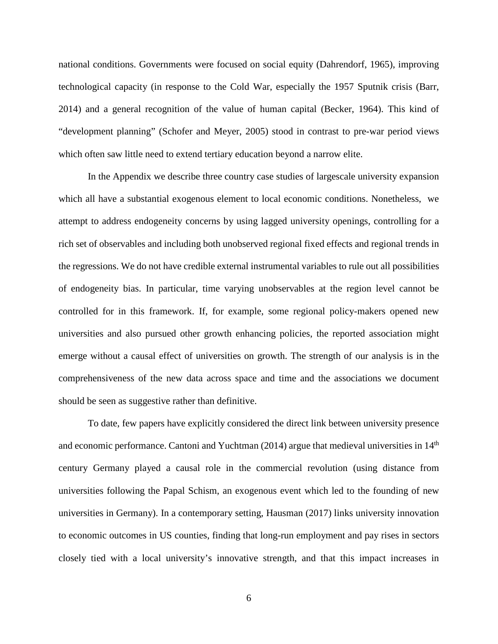national conditions. Governments were focused on social equity (Dahrendorf, 1965), improving technological capacity (in response to the Cold War, especially the 1957 Sputnik crisis (Barr, 2014) and a general recognition of the value of human capital (Becker, 1964). This kind of "development planning" (Schofer and Meyer, 2005) stood in contrast to pre-war period views which often saw little need to extend tertiary education beyond a narrow elite.

In the Appendix we describe three country case studies of largescale university expansion which all have a substantial exogenous element to local economic conditions. Nonetheless, we attempt to address endogeneity concerns by using lagged university openings, controlling for a rich set of observables and including both unobserved regional fixed effects and regional trends in the regressions. We do not have credible external instrumental variables to rule out all possibilities of endogeneity bias. In particular, time varying unobservables at the region level cannot be controlled for in this framework. If, for example, some regional policy-makers opened new universities and also pursued other growth enhancing policies, the reported association might emerge without a causal effect of universities on growth. The strength of our analysis is in the comprehensiveness of the new data across space and time and the associations we document should be seen as suggestive rather than definitive.

To date, few papers have explicitly considered the direct link between university presence and economic performance. Cantoni and Yuchtman  $(2014)$  argue that medieval universities in  $14<sup>th</sup>$ century Germany played a causal role in the commercial revolution (using distance from universities following the Papal Schism, an exogenous event which led to the founding of new universities in Germany). In a contemporary setting, Hausman (2017) links university innovation to economic outcomes in US counties, finding that long-run employment and pay rises in sectors closely tied with a local university's innovative strength, and that this impact increases in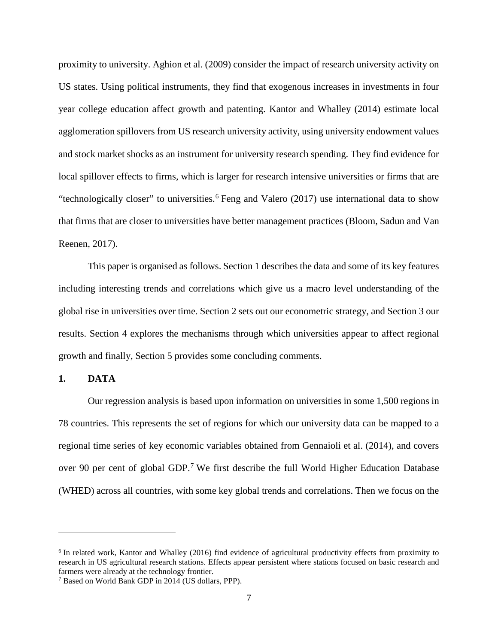proximity to university. Aghion et al. (2009) consider the impact of research university activity on US states. Using political instruments, they find that exogenous increases in investments in four year college education affect growth and patenting. Kantor and Whalley (2014) estimate local agglomeration spillovers from US research university activity, using university endowment values and stock market shocks as an instrument for university research spending. They find evidence for local spillover effects to firms, which is larger for research intensive universities or firms that are "technologically closer" to universities.<sup>[6](#page-7-0)</sup> Feng and Valero (2017) use international data to show that firms that are closer to universities have better management practices (Bloom, Sadun and Van Reenen, 2017).

This paper is organised as follows. Section 1 describes the data and some of its key features including interesting trends and correlations which give us a macro level understanding of the global rise in universities over time. Section 2 sets out our econometric strategy, and Section 3 our results. Section 4 explores the mechanisms through which universities appear to affect regional growth and finally, Section 5 provides some concluding comments.

**1. DATA**

Our regression analysis is based upon information on universities in some 1,500 regions in 78 countries. This represents the set of regions for which our university data can be mapped to a regional time series of key economic variables obtained from Gennaioli et al. (2014), and covers over 90 per cent of global GDP.<sup>[7](#page-7-1)</sup> We first describe the full World Higher Education Database (WHED) across all countries, with some key global trends and correlations. Then we focus on the

<span id="page-7-0"></span><sup>&</sup>lt;sup>6</sup> In related work, Kantor and Whalley (2016) find evidence of agricultural productivity effects from proximity to research in US agricultural research stations. Effects appear persistent where stations focused on basic research and farmers were already at the technology frontier.

<span id="page-7-1"></span><sup>7</sup> Based on World Bank GDP in 2014 (US dollars, PPP).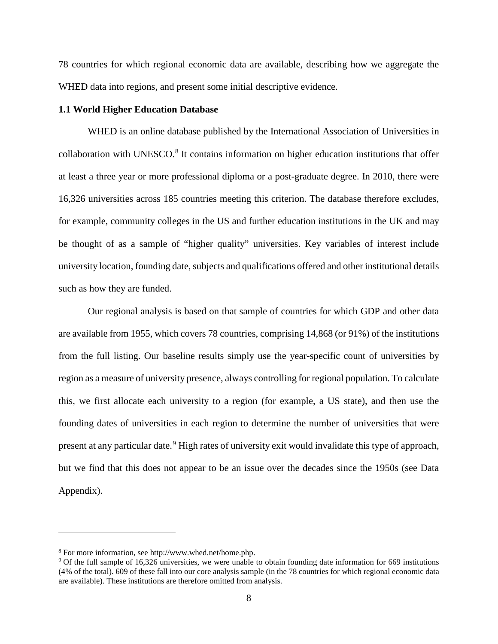78 countries for which regional economic data are available, describing how we aggregate the WHED data into regions, and present some initial descriptive evidence.

#### **1.1 World Higher Education Database**

WHED is an online database published by the International Association of Universities in collaboration with UNESCO.<sup>[8](#page-8-0)</sup> It contains information on higher education institutions that offer at least a three year or more professional diploma or a post-graduate degree. In 2010, there were 16,326 universities across 185 countries meeting this criterion. The database therefore excludes, for example, community colleges in the US and further education institutions in the UK and may be thought of as a sample of "higher quality" universities. Key variables of interest include university location, founding date, subjects and qualifications offered and other institutional details such as how they are funded.

Our regional analysis is based on that sample of countries for which GDP and other data are available from 1955, which covers 78 countries, comprising 14,868 (or 91%) of the institutions from the full listing. Our baseline results simply use the year-specific count of universities by region as a measure of university presence, always controlling for regional population. To calculate this, we first allocate each university to a region (for example, a US state), and then use the founding dates of universities in each region to determine the number of universities that were present at any particular date.<sup>[9](#page-8-1)</sup> High rates of university exit would invalidate this type of approach, but we find that this does not appear to be an issue over the decades since the 1950s (see Data Appendix).

<span id="page-8-1"></span><span id="page-8-0"></span><sup>&</sup>lt;sup>8</sup> For more information, see http://www.whed.net/home.php.<br><sup>9</sup> Of the full sample of 16,326 universities, we were unable to obtain founding date information for 669 institutions (4% of the total). 609 of these fall into our core analysis sample (in the 78 countries for which regional economic data are available). These institutions are therefore omitted from analysis.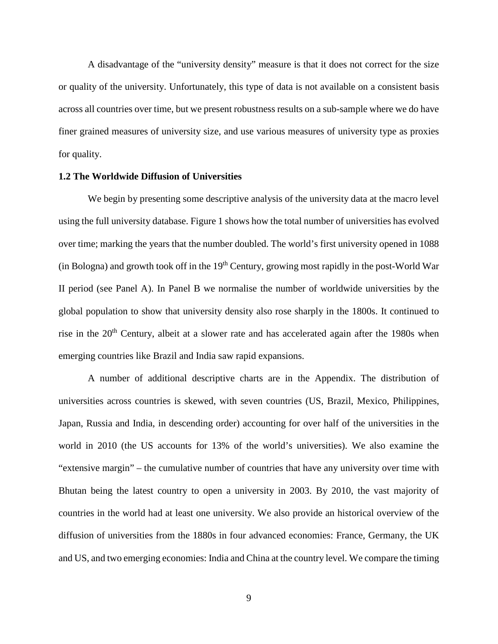A disadvantage of the "university density" measure is that it does not correct for the size or quality of the university. Unfortunately, this type of data is not available on a consistent basis across all countries over time, but we present robustness results on a sub-sample where we do have finer grained measures of university size, and use various measures of university type as proxies for quality.

#### **1.2 The Worldwide Diffusion of Universities**

We begin by presenting some descriptive analysis of the university data at the macro level using the full university database. Figure 1 shows how the total number of universities has evolved over time; marking the years that the number doubled. The world's first university opened in 1088 (in Bologna) and growth took off in the  $19<sup>th</sup>$  Century, growing most rapidly in the post-World War II period (see Panel A). In Panel B we normalise the number of worldwide universities by the global population to show that university density also rose sharply in the 1800s. It continued to rise in the 20<sup>th</sup> Century, albeit at a slower rate and has accelerated again after the 1980s when emerging countries like Brazil and India saw rapid expansions.

A number of additional descriptive charts are in the Appendix. The distribution of universities across countries is skewed, with seven countries (US, Brazil, Mexico, Philippines, Japan, Russia and India, in descending order) accounting for over half of the universities in the world in 2010 (the US accounts for 13% of the world's universities). We also examine the "extensive margin" – the cumulative number of countries that have any university over time with Bhutan being the latest country to open a university in 2003. By 2010, the vast majority of countries in the world had at least one university. We also provide an historical overview of the diffusion of universities from the 1880s in four advanced economies: France, Germany, the UK and US, and two emerging economies: India and China at the country level. We compare the timing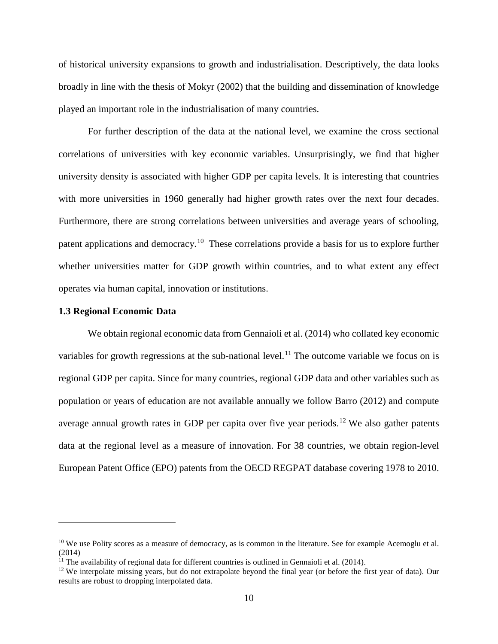of historical university expansions to growth and industrialisation. Descriptively, the data looks broadly in line with the thesis of Mokyr (2002) that the building and dissemination of knowledge played an important role in the industrialisation of many countries.

For further description of the data at the national level, we examine the cross sectional correlations of universities with key economic variables. Unsurprisingly, we find that higher university density is associated with higher GDP per capita levels. It is interesting that countries with more universities in 1960 generally had higher growth rates over the next four decades. Furthermore, there are strong correlations between universities and average years of schooling, patent applications and democracy.<sup>10</sup> These correlations provide a basis for us to explore further whether universities matter for GDP growth within countries, and to what extent any effect operates via human capital, innovation or institutions.

#### **1.3 Regional Economic Data**

We obtain regional economic data from Gennaioli et al. (2014) who collated key economic variables for growth regressions at the sub-national level.<sup>[11](#page-10-1)</sup> The outcome variable we focus on is regional GDP per capita. Since for many countries, regional GDP data and other variables such as population or years of education are not available annually we follow Barro (2012) and compute average annual growth rates in GDP per capita over five year periods.<sup>[12](#page-10-2)</sup> We also gather patents data at the regional level as a measure of innovation. For 38 countries, we obtain region-level European Patent Office (EPO) patents from the OECD REGPAT database covering 1978 to 2010.

<span id="page-10-0"></span> $10$  We use Polity scores as a measure of democracy, as is common in the literature. See for example Acemoglu et al.  $(2014)$ <br><sup>11</sup> The availability of regional data for different countries is outlined in Gennaioli et al.  $(2014)$ .

<span id="page-10-1"></span>

<span id="page-10-2"></span><sup>&</sup>lt;sup>12</sup> We interpolate missing years, but do not extrapolate beyond the final year (or before the first year of data). Our results are robust to dropping interpolated data.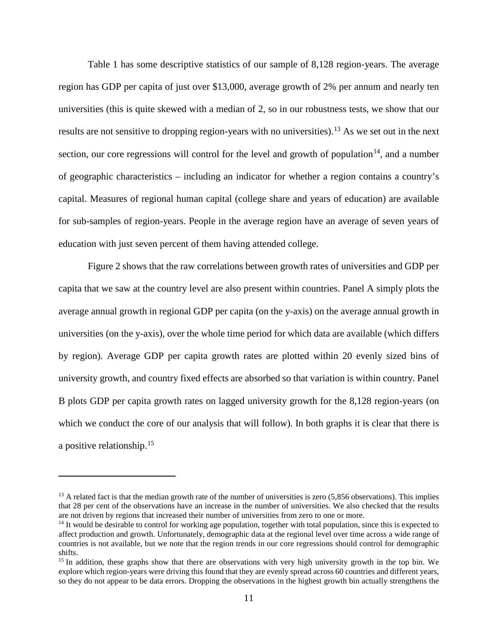Table 1 has some descriptive statistics of our sample of 8,128 region-years. The average region has GDP per capita of just over \$13,000, average growth of 2% per annum and nearly ten universities (this is quite skewed with a median of 2, so in our robustness tests, we show that our results are not sensitive to dropping region-years with no universities).[13](#page-11-0) As we set out in the next section, our core regressions will control for the level and growth of population<sup>14</sup>, and a number of geographic characteristics – including an indicator for whether a region contains a country's capital. Measures of regional human capital (college share and years of education) are available for sub-samples of region-years. People in the average region have an average of seven years of education with just seven percent of them having attended college.

Figure 2 shows that the raw correlations between growth rates of universities and GDP per capita that we saw at the country level are also present within countries. Panel A simply plots the average annual growth in regional GDP per capita (on the y-axis) on the average annual growth in universities (on the y-axis), over the whole time period for which data are available (which differs by region). Average GDP per capita growth rates are plotted within 20 evenly sized bins of university growth, and country fixed effects are absorbed so that variation is within country. Panel B plots GDP per capita growth rates on lagged university growth for the 8,128 region-years (on which we conduct the core of our analysis that will follow). In both graphs it is clear that there is a positive relationship.[15](#page-11-2) 

<span id="page-11-0"></span> $13$  A related fact is that the median growth rate of the number of universities is zero  $(5,856$  observations). This implies that 28 per cent of the observations have an increase in the number of universities. We also checked that the results are not driven by regions that increased their number of universities from zero to one or more.

<span id="page-11-1"></span> $14$  It would be desirable to control for working age population, together with total population, since this is expected to affect production and growth. Unfortunately, demographic data at the regional level over time across a wide range of countries is not available, but we note that the region trends in our core regressions should control for demographic shifts.

<span id="page-11-2"></span><sup>&</sup>lt;sup>15</sup> In addition, these graphs show that there are observations with very high university growth in the top bin. We explore which region-years were driving this found that they are evenly spread across 60 countries and different years, so they do not appear to be data errors. Dropping the observations in the highest growth bin actually strengthens the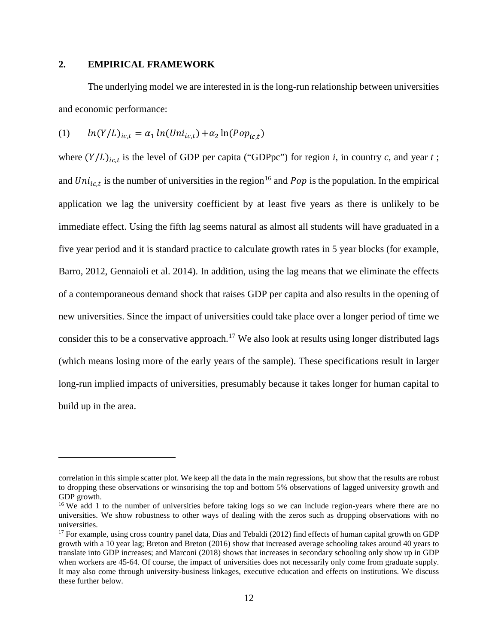## **2. EMPIRICAL FRAMEWORK**

The underlying model we are interested in is the long-run relationship between universities and economic performance:

$$
(1) \qquad ln(Y/L)_{ic,t} = \alpha_1 ln(Uni_{ic,t}) + \alpha_2 ln(Pop_{ic,t})
$$

where  $(Y/L)_{ic,t}$  is the level of GDP per capita ("GDPpc") for region *i*, in country *c*, and year *t*; and  $Uni_{ic,t}$  is the number of universities in the region<sup>16</sup> and  $Pop$  is the population. In the empirical application we lag the university coefficient by at least five years as there is unlikely to be immediate effect. Using the fifth lag seems natural as almost all students will have graduated in a five year period and it is standard practice to calculate growth rates in 5 year blocks (for example, Barro, 2012, Gennaioli et al. 2014). In addition, using the lag means that we eliminate the effects of a contemporaneous demand shock that raises GDP per capita and also results in the opening of new universities. Since the impact of universities could take place over a longer period of time we consider this to be a conservative approach.<sup>[17](#page-12-1)</sup> We also look at results using longer distributed lags (which means losing more of the early years of the sample). These specifications result in larger long-run implied impacts of universities, presumably because it takes longer for human capital to build up in the area.

correlation in this simple scatter plot. We keep all the data in the main regressions, but show that the results are robust to dropping these observations or winsorising the top and bottom 5% observations of lagged university growth and GDP growth.

<span id="page-12-0"></span><sup>&</sup>lt;sup>16</sup> We add 1 to the number of universities before taking logs so we can include region-years where there are no universities. We show robustness to other ways of dealing with the zeros such as dropping observations with no universities.

<span id="page-12-1"></span><sup>&</sup>lt;sup>17</sup> For example, using cross country panel data, Dias and Tebaldi (2012) find effects of human capital growth on GDP growth with a 10 year lag; Breton and Breton (2016) show that increased average schooling takes around 40 years to translate into GDP increases; and Marconi (2018) shows that increases in secondary schooling only show up in GDP when workers are 45-64. Of course, the impact of universities does not necessarily only come from graduate supply. It may also come through university-business linkages, executive education and effects on institutions. We discuss these further below.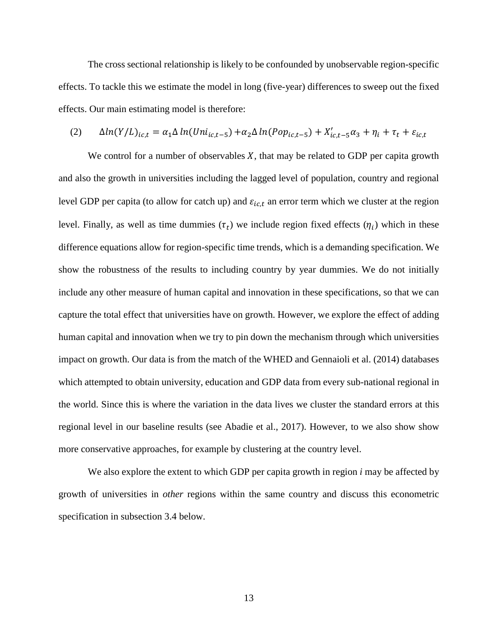The cross sectional relationship is likely to be confounded by unobservable region-specific effects. To tackle this we estimate the model in long (five-year) differences to sweep out the fixed effects. Our main estimating model is therefore:

$$
(2) \qquad \Delta ln(Y/L)_{ic,t} = \alpha_1 \Delta ln(Uni_{ic,t-5}) + \alpha_2 \Delta ln(Pop_{ic,t-5}) + X'_{ic,t-5}\alpha_3 + \eta_i + \tau_t + \varepsilon_{ic,t}
$$

We control for a number of observables  $X$ , that may be related to GDP per capita growth and also the growth in universities including the lagged level of population, country and regional level GDP per capita (to allow for catch up) and  $\varepsilon_{i,c,t}$  an error term which we cluster at the region level. Finally, as well as time dummies  $(\tau_t)$  we include region fixed effects  $(\eta_i)$  which in these difference equations allow for region-specific time trends, which is a demanding specification. We show the robustness of the results to including country by year dummies. We do not initially include any other measure of human capital and innovation in these specifications, so that we can capture the total effect that universities have on growth. However, we explore the effect of adding human capital and innovation when we try to pin down the mechanism through which universities impact on growth. Our data is from the match of the WHED and Gennaioli et al. (2014) databases which attempted to obtain university, education and GDP data from every sub-national regional in the world. Since this is where the variation in the data lives we cluster the standard errors at this regional level in our baseline results (see Abadie et al., 2017). However, to we also show show more conservative approaches, for example by clustering at the country level.

We also explore the extent to which GDP per capita growth in region *i* may be affected by growth of universities in *other* regions within the same country and discuss this econometric specification in subsection 3.4 below.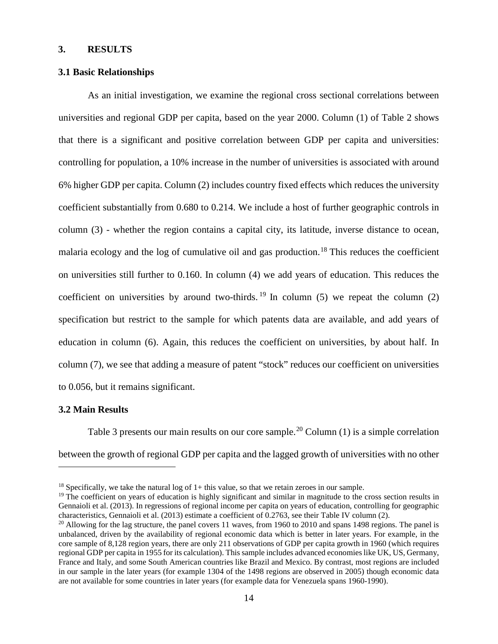## **3. RESULTS**

## **3.1 Basic Relationships**

As an initial investigation, we examine the regional cross sectional correlations between universities and regional GDP per capita, based on the year 2000. Column (1) of Table 2 shows that there is a significant and positive correlation between GDP per capita and universities: controlling for population, a 10% increase in the number of universities is associated with around 6% higher GDP per capita. Column (2) includes country fixed effects which reduces the university coefficient substantially from 0.680 to 0.214. We include a host of further geographic controls in column (3) - whether the region contains a capital city, its latitude, inverse distance to ocean, malaria ecology and the log of cumulative oil and gas production.<sup>18</sup> This reduces the coefficient on universities still further to 0.160. In column (4) we add years of education. This reduces the coefficient on universities by around two-thirds. <sup>19</sup> In column (5) we repeat the column (2) specification but restrict to the sample for which patents data are available, and add years of education in column (6). Again, this reduces the coefficient on universities, by about half. In column (7), we see that adding a measure of patent "stock" reduces our coefficient on universities to 0.056, but it remains significant.

### **3.2 Main Results**

Table 3 presents our main results on our core sample.<sup>20</sup> Column (1) is a simple correlation between the growth of regional GDP per capita and the lagged growth of universities with no other

 $18$  Specifically, we take the natural log of  $1+$  this value, so that we retain zeroes in our sample.

 $19$  The coefficient on years of education is highly significant and similar in magnitude to the cross section results in Gennaioli et al. (2013). In regressions of regional income per capita on years of education, controlling for geographic characteristics, Gennaioli et al. (2013) estimate a coefficient of 0.2763, see their Table IV column (2).

<sup>&</sup>lt;sup>20</sup> Allowing for the lag structure, the panel covers 11 waves, from 1960 to 2010 and spans 1498 regions. The panel is unbalanced, driven by the availability of regional economic data which is better in later years. For example, in the core sample of 8,128 region years, there are only 211 observations of GDP per capita growth in 1960 (which requires regional GDP per capita in 1955 for its calculation). This sample includes advanced economies like UK, US, Germany, France and Italy, and some South American countries like Brazil and Mexico. By contrast, most regions are included in our sample in the later years (for example 1304 of the 1498 regions are observed in 2005) though economic data are not available for some countries in later years (for example data for Venezuela spans 1960-1990).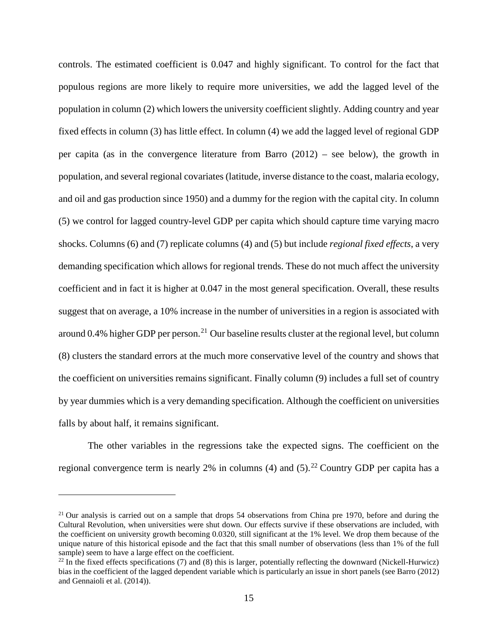controls. The estimated coefficient is 0.047 and highly significant. To control for the fact that populous regions are more likely to require more universities, we add the lagged level of the population in column (2) which lowers the university coefficient slightly. Adding country and year fixed effects in column (3) has little effect. In column (4) we add the lagged level of regional GDP per capita (as in the convergence literature from Barro (2012) – see below), the growth in population, and several regional covariates (latitude, inverse distance to the coast, malaria ecology, and oil and gas production since 1950) and a dummy for the region with the capital city. In column (5) we control for lagged country-level GDP per capita which should capture time varying macro shocks. Columns (6) and (7) replicate columns (4) and (5) but include *regional fixed effects*, a very demanding specification which allows for regional trends. These do not much affect the university coefficient and in fact it is higher at 0.047 in the most general specification. Overall, these results suggest that on average, a 10% increase in the number of universities in a region is associated with around 0.4% higher GDP per person.<sup>[21](#page-15-0)</sup> Our baseline results cluster at the regional level, but column (8) clusters the standard errors at the much more conservative level of the country and shows that the coefficient on universities remains significant. Finally column (9) includes a full set of country by year dummies which is a very demanding specification. Although the coefficient on universities falls by about half, it remains significant.

The other variables in the regressions take the expected signs. The coefficient on the regional convergence term is nearly 2% in columns (4) and (5).<sup>[22](#page-15-1)</sup> Country GDP per capita has a

<span id="page-15-0"></span><sup>&</sup>lt;sup>21</sup> Our analysis is carried out on a sample that drops 54 observations from China pre 1970, before and during the Cultural Revolution, when universities were shut down. Our effects survive if these observations are included, with the coefficient on university growth becoming 0.0320, still significant at the 1% level. We drop them because of the unique nature of this historical episode and the fact that this small number of observations (less than 1% of the full sample) seem to have a large effect on the coefficient.

<span id="page-15-1"></span> $22$  In the fixed effects specifications (7) and (8) this is larger, potentially reflecting the downward (Nickell-Hurwicz) bias in the coefficient of the lagged dependent variable which is particularly an issue in short panels (see Barro (2012) and Gennaioli et al. (2014)).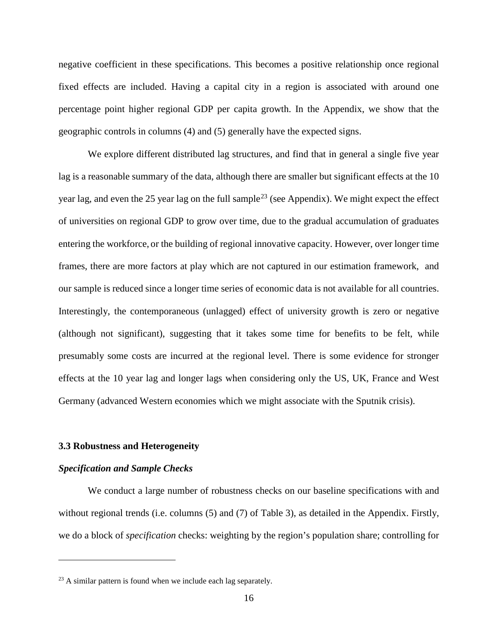negative coefficient in these specifications. This becomes a positive relationship once regional fixed effects are included. Having a capital city in a region is associated with around one percentage point higher regional GDP per capita growth. In the Appendix, we show that the geographic controls in columns (4) and (5) generally have the expected signs.

We explore different distributed lag structures, and find that in general a single five year lag is a reasonable summary of the data, although there are smaller but significant effects at the 10 year lag, and even the 25 year lag on the full sample<sup>[23](#page-16-0)</sup> (see Appendix). We might expect the effect of universities on regional GDP to grow over time, due to the gradual accumulation of graduates entering the workforce, or the building of regional innovative capacity. However, over longer time frames, there are more factors at play which are not captured in our estimation framework, and our sample is reduced since a longer time series of economic data is not available for all countries. Interestingly, the contemporaneous (unlagged) effect of university growth is zero or negative (although not significant), suggesting that it takes some time for benefits to be felt, while presumably some costs are incurred at the regional level. There is some evidence for stronger effects at the 10 year lag and longer lags when considering only the US, UK, France and West Germany (advanced Western economies which we might associate with the Sputnik crisis).

### **3.3 Robustness and Heterogeneity**

#### *Specification and Sample Checks*

We conduct a large number of robustness checks on our baseline specifications with and without regional trends (i.e. columns (5) and (7) of Table 3), as detailed in the Appendix. Firstly, we do a block of *specification* checks: weighting by the region's population share; controlling for

<span id="page-16-0"></span> $23$  A similar pattern is found when we include each lag separately.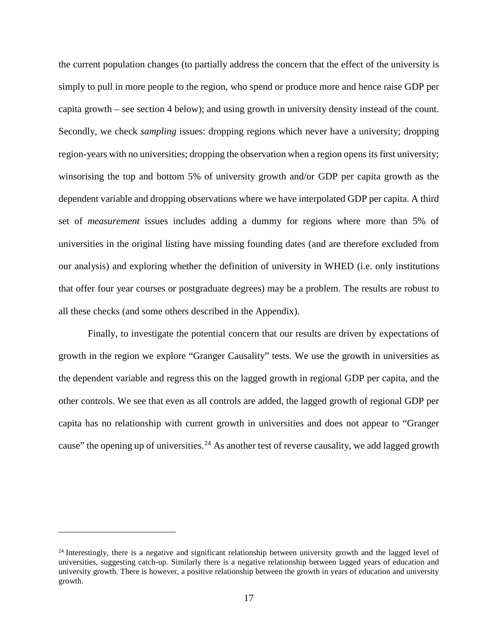the current population changes (to partially address the concern that the effect of the university is simply to pull in more people to the region, who spend or produce more and hence raise GDP per capita growth – see section 4 below); and using growth in university density instead of the count. Secondly, we check *sampling* issues: dropping regions which never have a university; dropping region-years with no universities; dropping the observation when a region opens its first university; winsorising the top and bottom 5% of university growth and/or GDP per capita growth as the dependent variable and dropping observations where we have interpolated GDP per capita. A third set of *measurement* issues includes adding a dummy for regions where more than 5% of universities in the original listing have missing founding dates (and are therefore excluded from our analysis) and exploring whether the definition of university in WHED (i.e. only institutions that offer four year courses or postgraduate degrees) may be a problem. The results are robust to all these checks (and some others described in the Appendix).

Finally, to investigate the potential concern that our results are driven by expectations of growth in the region we explore "Granger Causality" tests. We use the growth in universities as the dependent variable and regress this on the lagged growth in regional GDP per capita, and the other controls. We see that even as all controls are added, the lagged growth of regional GDP per capita has no relationship with current growth in universities and does not appear to "Granger cause" the opening up of universities.<sup>[24](#page-17-0)</sup> As another test of reverse causality, we add lagged growth

<span id="page-17-0"></span> $24$  Interestingly, there is a negative and significant relationship between university growth and the lagged level of universities, suggesting catch-up. Similarly there is a negative relationship between lagged years of education and university growth. There is however, a positive relationship between the growth in years of education and university growth.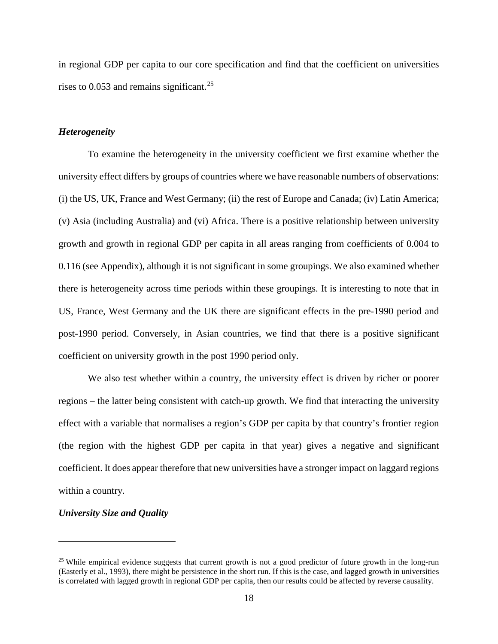in regional GDP per capita to our core specification and find that the coefficient on universities rises to  $0.053$  and remains significant.<sup>[25](#page-18-0)</sup>

### *Heterogeneity*

To examine the heterogeneity in the university coefficient we first examine whether the university effect differs by groups of countries where we have reasonable numbers of observations: (i) the US, UK, France and West Germany; (ii) the rest of Europe and Canada; (iv) Latin America; (v) Asia (including Australia) and (vi) Africa. There is a positive relationship between university growth and growth in regional GDP per capita in all areas ranging from coefficients of 0.004 to 0.116 (see Appendix), although it is not significant in some groupings. We also examined whether there is heterogeneity across time periods within these groupings. It is interesting to note that in US, France, West Germany and the UK there are significant effects in the pre-1990 period and post-1990 period. Conversely, in Asian countries, we find that there is a positive significant coefficient on university growth in the post 1990 period only.

We also test whether within a country, the university effect is driven by richer or poorer regions – the latter being consistent with catch-up growth. We find that interacting the university effect with a variable that normalises a region's GDP per capita by that country's frontier region (the region with the highest GDP per capita in that year) gives a negative and significant coefficient. It does appear therefore that new universities have a stronger impact on laggard regions within a country.

#### *University Size and Quality*

<span id="page-18-0"></span><sup>&</sup>lt;sup>25</sup> While empirical evidence suggests that current growth is not a good predictor of future growth in the long-run (Easterly et al., 1993), there might be persistence in the short run. If this is the case, and lagged growth in universities is correlated with lagged growth in regional GDP per capita, then our results could be affected by reverse causality.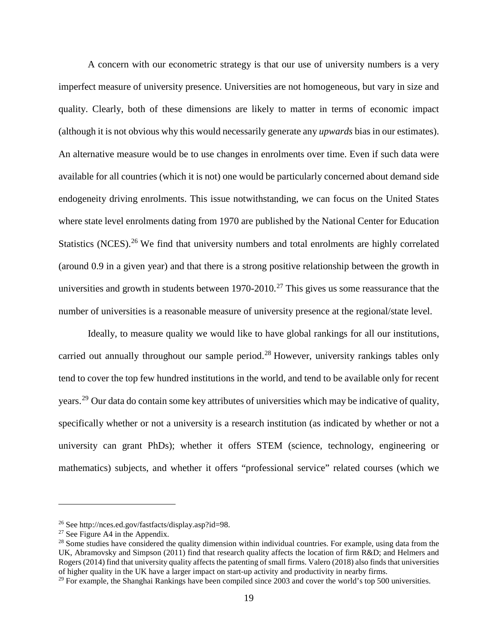A concern with our econometric strategy is that our use of university numbers is a very imperfect measure of university presence. Universities are not homogeneous, but vary in size and quality. Clearly, both of these dimensions are likely to matter in terms of economic impact (although it is not obvious why this would necessarily generate any *upwards* bias in our estimates). An alternative measure would be to use changes in enrolments over time. Even if such data were available for all countries (which it is not) one would be particularly concerned about demand side endogeneity driving enrolments. This issue notwithstanding, we can focus on the United States where state level enrolments dating from 1970 are published by the National Center for Education Statistics (NCES).<sup>[26](#page-19-0)</sup> We find that university numbers and total enrolments are highly correlated (around 0.9 in a given year) and that there is a strong positive relationship between the growth in universities and growth in students between  $1970-2010$ .<sup>[27](#page-19-1)</sup> This gives us some reassurance that the number of universities is a reasonable measure of university presence at the regional/state level.

Ideally, to measure quality we would like to have global rankings for all our institutions, carried out annually throughout our sample period.<sup>28</sup> However, university rankings tables only tend to cover the top few hundred institutions in the world, and tend to be available only for recent years.<sup>[29](#page-19-3)</sup> Our data do contain some key attributes of universities which may be indicative of quality, specifically whether or not a university is a research institution (as indicated by whether or not a university can grant PhDs); whether it offers STEM (science, technology, engineering or mathematics) subjects, and whether it offers "professional service" related courses (which we

<span id="page-19-1"></span><span id="page-19-0"></span><sup>&</sup>lt;sup>26</sup> See http://nces.ed.gov/fastfacts/display.asp?id=98.<br><sup>27</sup> See Figure A4 in the Appendix.

<span id="page-19-2"></span><sup>&</sup>lt;sup>28</sup> Some studies have considered the quality dimension within individual countries. For example, using data from the UK, Abramovsky and Simpson (2011) find that research quality affects the location of firm R&D; and Helmers and Rogers (2014) find that university quality affects the patenting of small firms. Valero (2018) also finds that universities of higher quality in the UK have a larger impact on start-up activity and productivity in nearby firms.

<span id="page-19-3"></span><sup>&</sup>lt;sup>29</sup> For example, the Shanghai Rankings have been compiled since 2003 and cover the world's top 500 universities.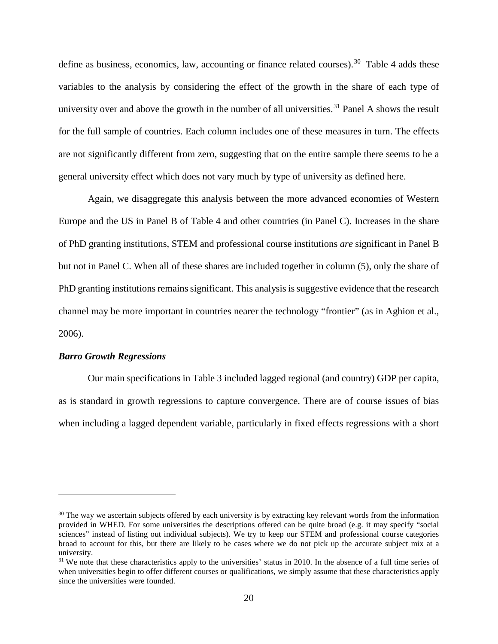define as business, economics, law, accounting or finance related courses).<sup>30</sup> Table 4 adds these variables to the analysis by considering the effect of the growth in the share of each type of university over and above the growth in the number of all universities.<sup>[31](#page-20-1)</sup> Panel A shows the result for the full sample of countries. Each column includes one of these measures in turn. The effects are not significantly different from zero, suggesting that on the entire sample there seems to be a general university effect which does not vary much by type of university as defined here.

Again, we disaggregate this analysis between the more advanced economies of Western Europe and the US in Panel B of Table 4 and other countries (in Panel C). Increases in the share of PhD granting institutions, STEM and professional course institutions *are* significant in Panel B but not in Panel C. When all of these shares are included together in column (5), only the share of PhD granting institutions remains significant. This analysisis suggestive evidence that the research channel may be more important in countries nearer the technology "frontier" (as in Aghion et al., 2006).

#### *Barro Growth Regressions*

Our main specifications in Table 3 included lagged regional (and country) GDP per capita, as is standard in growth regressions to capture convergence. There are of course issues of bias when including a lagged dependent variable, particularly in fixed effects regressions with a short

<span id="page-20-0"></span><sup>&</sup>lt;sup>30</sup> The way we ascertain subjects offered by each university is by extracting key relevant words from the information provided in WHED. For some universities the descriptions offered can be quite broad (e.g. it may specify "social sciences" instead of listing out individual subjects). We try to keep our STEM and professional course categories broad to account for this, but there are likely to be cases where we do not pick up the accurate subject mix at a university.

<span id="page-20-1"></span> $31$  We note that these characteristics apply to the universities' status in 2010. In the absence of a full time series of when universities begin to offer different courses or qualifications, we simply assume that these characteristics apply since the universities were founded.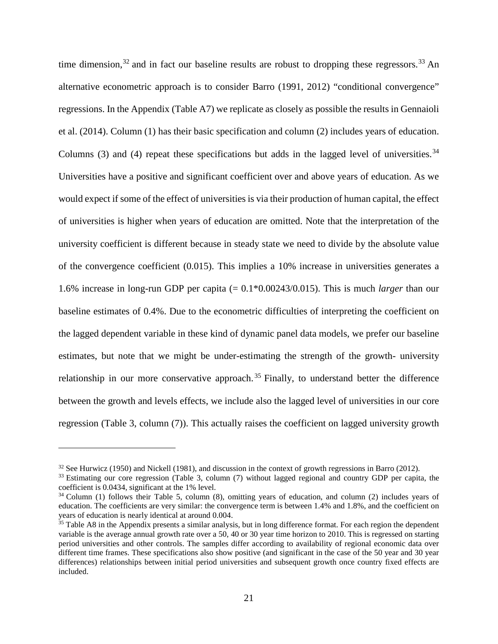time dimension,  $32$  and in fact our baseline results are robust to dropping these regressors.  $33$  An alternative econometric approach is to consider Barro (1991, 2012) "conditional convergence" regressions. In the Appendix (Table A7) we replicate as closely as possible the results in Gennaioli et al. (2014). Column (1) has their basic specification and column (2) includes years of education. Columns (3) and (4) repeat these specifications but adds in the lagged level of universities.<sup>[34](#page-21-2)</sup> Universities have a positive and significant coefficient over and above years of education. As we would expect if some of the effect of universities is via their production of human capital, the effect of universities is higher when years of education are omitted. Note that the interpretation of the university coefficient is different because in steady state we need to divide by the absolute value of the convergence coefficient (0.015). This implies a 10% increase in universities generates a 1.6% increase in long-run GDP per capita (= 0.1\*0.00243/0.015). This is much *larger* than our baseline estimates of 0.4%. Due to the econometric difficulties of interpreting the coefficient on the lagged dependent variable in these kind of dynamic panel data models, we prefer our baseline estimates, but note that we might be under-estimating the strength of the growth- university relationship in our more conservative approach.<sup>[35](#page-21-3)</sup> Finally, to understand better the difference between the growth and levels effects, we include also the lagged level of universities in our core regression (Table 3, column (7)). This actually raises the coefficient on lagged university growth

<span id="page-21-0"></span><sup>&</sup>lt;sup>32</sup> See Hurwicz (1950) and Nickell (1981), and discussion in the context of growth regressions in Barro (2012).

<span id="page-21-1"></span><sup>33</sup> Estimating our core regression (Table 3, column (7) without lagged regional and country GDP per capita, the coefficient is 0.0434, significant at the 1% level.

<span id="page-21-2"></span><sup>&</sup>lt;sup>34</sup> Column (1) follows their Table 5, column (8), omitting years of education, and column (2) includes years of education. The coefficients are very similar: the convergence term is between 1.4% and 1.8%, and the coefficient on years of education is nearly identical at around 0.004.

<span id="page-21-3"></span> $35$  Table A8 in the Appendix presents a similar analysis, but in long difference format. For each region the dependent variable is the average annual growth rate over a 50, 40 or 30 year time horizon to 2010. This is regressed on starting period universities and other controls. The samples differ according to availability of regional economic data over different time frames. These specifications also show positive (and significant in the case of the 50 year and 30 year differences) relationships between initial period universities and subsequent growth once country fixed effects are included.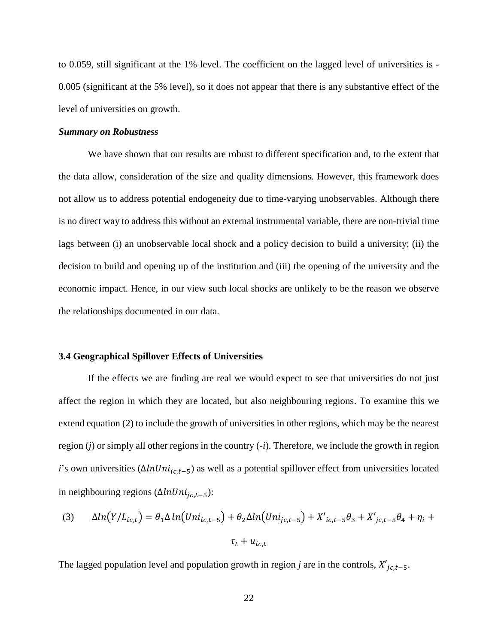to 0.059, still significant at the 1% level. The coefficient on the lagged level of universities is - 0.005 (significant at the 5% level), so it does not appear that there is any substantive effect of the level of universities on growth.

### *Summary on Robustness*

We have shown that our results are robust to different specification and, to the extent that the data allow, consideration of the size and quality dimensions. However, this framework does not allow us to address potential endogeneity due to time-varying unobservables. Although there is no direct way to address this without an external instrumental variable, there are non-trivial time lags between (i) an unobservable local shock and a policy decision to build a university; (ii) the decision to build and opening up of the institution and (iii) the opening of the university and the economic impact. Hence, in our view such local shocks are unlikely to be the reason we observe the relationships documented in our data.

## **3.4 Geographical Spillover Effects of Universities**

If the effects we are finding are real we would expect to see that universities do not just affect the region in which they are located, but also neighbouring regions. To examine this we extend equation (2) to include the growth of universities in other regions, which may be the nearest region (*j*) or simply all other regions in the country (-*i*). Therefore, we include the growth in region *i*'s own universities ( $\Delta lnUni_{ic,t-5}$ ) as well as a potential spillover effect from universities located in neighbouring regions  $(\Delta ln Uni_{ic,t-5})$ :

(3) 
$$
\Delta ln(Y/L_{ic,t}) = \theta_1 \Delta ln(Uni_{ic,t-5}) + \theta_2 \Delta ln(Uni_{jc,t-5}) + X'_{ic,t-5}\theta_3 + X'_{jc,t-5}\theta_4 + \eta_i + \tau_t + u_{ic,t}
$$

The lagged population level and population growth in region *j* are in the controls,  $X'_{jc,t-5}$ .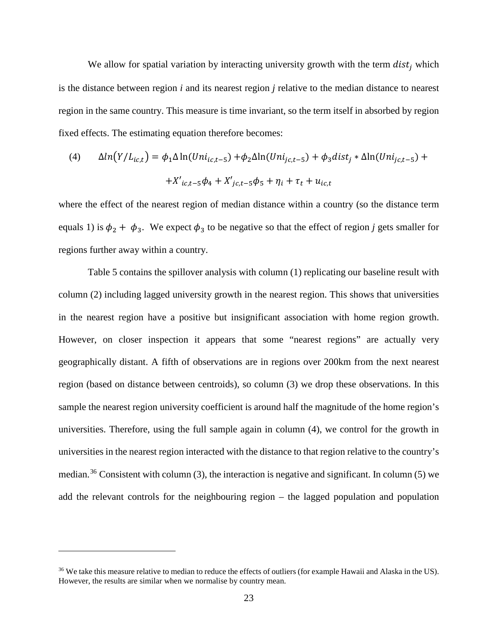We allow for spatial variation by interacting university growth with the term  $dist_i$  which is the distance between region *i* and its nearest region *j* relative to the median distance to nearest region in the same country. This measure is time invariant, so the term itself in absorbed by region fixed effects. The estimating equation therefore becomes:

(4) 
$$
\Delta ln(Y/L_{ic,t}) = \phi_1 \Delta ln(Uni_{ic,t-5}) + \phi_2 \Delta ln(Uni_{jc,t-5}) + \phi_3 dist_j * \Delta ln(Uni_{jc,t-5}) + K'_{ic,t-5}\phi_4 + X'_{jc,t-5}\phi_5 + \eta_i + \tau_t + u_{ic,t}
$$

where the effect of the nearest region of median distance within a country (so the distance term equals 1) is  $\phi_2 + \phi_3$ . We expect  $\phi_3$  to be negative so that the effect of region *j* gets smaller for regions further away within a country.

Table 5 contains the spillover analysis with column (1) replicating our baseline result with column (2) including lagged university growth in the nearest region. This shows that universities in the nearest region have a positive but insignificant association with home region growth. However, on closer inspection it appears that some "nearest regions" are actually very geographically distant. A fifth of observations are in regions over 200km from the next nearest region (based on distance between centroids), so column (3) we drop these observations. In this sample the nearest region university coefficient is around half the magnitude of the home region's universities. Therefore, using the full sample again in column (4), we control for the growth in universities in the nearest region interacted with the distance to that region relative to the country's median.<sup>[36](#page-23-0)</sup> Consistent with column (3), the interaction is negative and significant. In column (5) we add the relevant controls for the neighbouring region – the lagged population and population

<span id="page-23-0"></span><sup>&</sup>lt;sup>36</sup> We take this measure relative to median to reduce the effects of outliers (for example Hawaii and Alaska in the US). However, the results are similar when we normalise by country mean.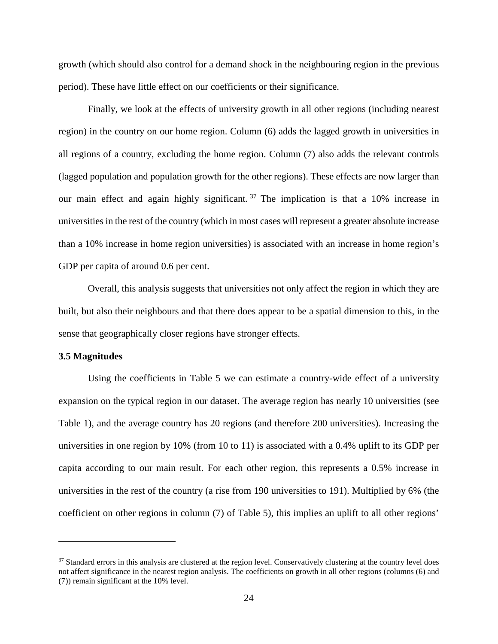growth (which should also control for a demand shock in the neighbouring region in the previous period). These have little effect on our coefficients or their significance.

Finally, we look at the effects of university growth in all other regions (including nearest region) in the country on our home region. Column (6) adds the lagged growth in universities in all regions of a country, excluding the home region. Column (7) also adds the relevant controls (lagged population and population growth for the other regions). These effects are now larger than our main effect and again highly significant.<sup>[37](#page-24-0)</sup> The implication is that a  $10\%$  increase in universities in the rest of the country (which in most cases will represent a greater absolute increase than a 10% increase in home region universities) is associated with an increase in home region's GDP per capita of around 0.6 per cent.

Overall, this analysis suggests that universities not only affect the region in which they are built, but also their neighbours and that there does appear to be a spatial dimension to this, in the sense that geographically closer regions have stronger effects.

## **3.5 Magnitudes**

Using the coefficients in Table 5 we can estimate a country-wide effect of a university expansion on the typical region in our dataset. The average region has nearly 10 universities (see Table 1), and the average country has 20 regions (and therefore 200 universities). Increasing the universities in one region by 10% (from 10 to 11) is associated with a 0.4% uplift to its GDP per capita according to our main result. For each other region, this represents a 0.5% increase in universities in the rest of the country (a rise from 190 universities to 191). Multiplied by 6% (the coefficient on other regions in column (7) of Table 5), this implies an uplift to all other regions'

<span id="page-24-0"></span><sup>&</sup>lt;sup>37</sup> Standard errors in this analysis are clustered at the region level. Conservatively clustering at the country level does not affect significance in the nearest region analysis. The coefficients on growth in all other regions (columns (6) and (7)) remain significant at the 10% level.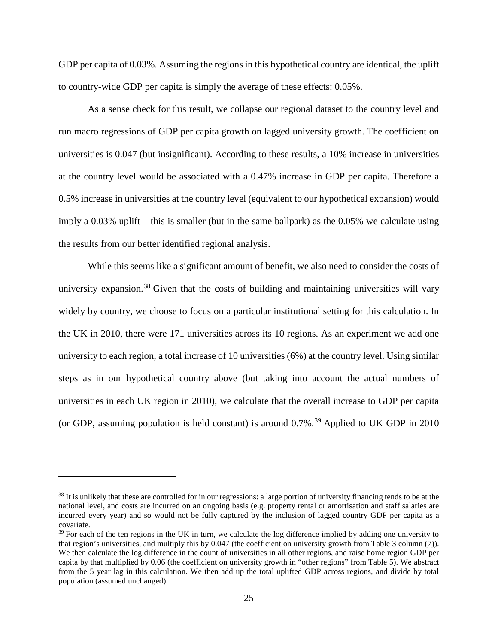GDP per capita of 0.03%. Assuming the regions in this hypothetical country are identical, the uplift to country-wide GDP per capita is simply the average of these effects: 0.05%.

As a sense check for this result, we collapse our regional dataset to the country level and run macro regressions of GDP per capita growth on lagged university growth. The coefficient on universities is 0.047 (but insignificant). According to these results, a 10% increase in universities at the country level would be associated with a 0.47% increase in GDP per capita. Therefore a 0.5% increase in universities at the country level (equivalent to our hypothetical expansion) would imply a 0.03% uplift – this is smaller (but in the same ballpark) as the 0.05% we calculate using the results from our better identified regional analysis.

While this seems like a significant amount of benefit, we also need to consider the costs of university expansion.<sup>[38](#page-25-0)</sup> Given that the costs of building and maintaining universities will vary widely by country, we choose to focus on a particular institutional setting for this calculation. In the UK in 2010, there were 171 universities across its 10 regions. As an experiment we add one university to each region, a total increase of 10 universities (6%) at the country level. Using similar steps as in our hypothetical country above (but taking into account the actual numbers of universities in each UK region in 2010), we calculate that the overall increase to GDP per capita (or GDP, assuming population is held constant) is around  $0.7\%$ .<sup>[39](#page-25-1)</sup> Applied to UK GDP in 2010

<span id="page-25-0"></span><sup>&</sup>lt;sup>38</sup> It is unlikely that these are controlled for in our regressions: a large portion of university financing tends to be at the national level, and costs are incurred on an ongoing basis (e.g. property rental or amortisation and staff salaries are incurred every year) and so would not be fully captured by the inclusion of lagged country GDP per capita as a covariate.

<span id="page-25-1"></span> $39$  For each of the ten regions in the UK in turn, we calculate the log difference implied by adding one university to that region's universities, and multiply this by 0.047 (the coefficient on university growth from Table 3 column (7)). We then calculate the log difference in the count of universities in all other regions, and raise home region GDP per capita by that multiplied by 0.06 (the coefficient on university growth in "other regions" from Table 5). We abstract from the 5 year lag in this calculation. We then add up the total uplifted GDP across regions, and divide by total population (assumed unchanged).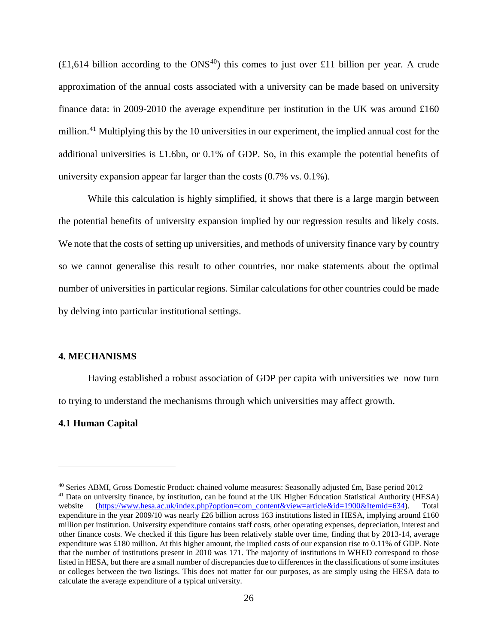$(£1,614)$  billion according to the ONS<sup>[40](#page-26-0)</sup>) this comes to just over £11 billion per year. A crude approximation of the annual costs associated with a university can be made based on university finance data: in 2009-2010 the average expenditure per institution in the UK was around  $\pounds160$ million.<sup>[41](#page-26-1)</sup> Multiplying this by the 10 universities in our experiment, the implied annual cost for the additional universities is £1.6bn, or 0.1% of GDP. So, in this example the potential benefits of university expansion appear far larger than the costs (0.7% vs. 0.1%).

While this calculation is highly simplified, it shows that there is a large margin between the potential benefits of university expansion implied by our regression results and likely costs. We note that the costs of setting up universities, and methods of university finance vary by country so we cannot generalise this result to other countries, nor make statements about the optimal number of universities in particular regions. Similar calculations for other countries could be made by delving into particular institutional settings.

#### **4. MECHANISMS**

Having established a robust association of GDP per capita with universities we now turn to trying to understand the mechanisms through which universities may affect growth.

#### **4.1 Human Capital**

<span id="page-26-1"></span><span id="page-26-0"></span><sup>40</sup> Series ABMI, Gross Domestic Product: chained volume measures: Seasonally adjusted £m, Base period 2012 <sup>41</sup> Data on university finance, by institution, can be found at the UK Higher Education Statistical Authority (HESA) website [\(https://www.hesa.ac.uk/index.php?option=com\\_content&view=article&id=1900&Itemid=634\)](https://www.hesa.ac.uk/index.php?option=com_content&view=article&id=1900&Itemid=634). Total expenditure in the year 2009/10 was nearly £26 billion across 163 institutions listed in HESA, implying around £160 million per institution. University expenditure contains staff costs, other operating expenses, depreciation, interest and other finance costs. We checked if this figure has been relatively stable over time, finding that by 2013-14, average expenditure was £180 million. At this higher amount, the implied costs of our expansion rise to 0.11% of GDP. Note that the number of institutions present in 2010 was 171. The majority of institutions in WHED correspond to those listed in HESA, but there are a small number of discrepancies due to differences in the classifications of some institutes or colleges between the two listings. This does not matter for our purposes, as are simply using the HESA data to calculate the average expenditure of a typical university.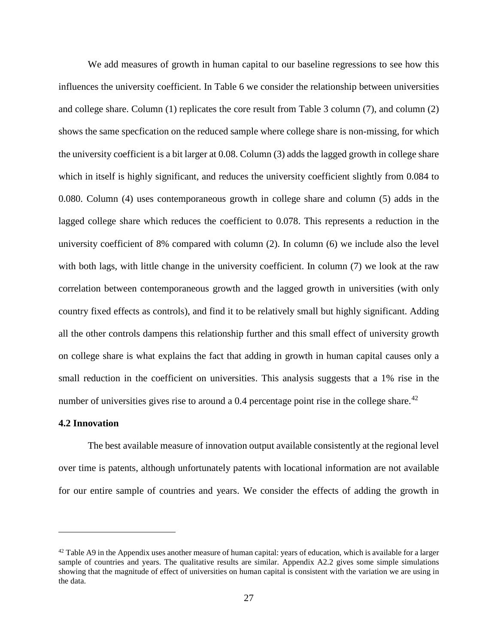We add measures of growth in human capital to our baseline regressions to see how this influences the university coefficient. In Table 6 we consider the relationship between universities and college share. Column (1) replicates the core result from Table 3 column (7), and column (2) shows the same specfication on the reduced sample where college share is non-missing, for which the university coefficient is a bit larger at 0.08. Column (3) adds the lagged growth in college share which in itself is highly significant, and reduces the university coefficient slightly from 0.084 to 0.080. Column (4) uses contemporaneous growth in college share and column (5) adds in the lagged college share which reduces the coefficient to 0.078. This represents a reduction in the university coefficient of 8% compared with column (2). In column (6) we include also the level with both lags, with little change in the university coefficient. In column (7) we look at the raw correlation between contemporaneous growth and the lagged growth in universities (with only country fixed effects as controls), and find it to be relatively small but highly significant. Adding all the other controls dampens this relationship further and this small effect of university growth on college share is what explains the fact that adding in growth in human capital causes only a small reduction in the coefficient on universities. This analysis suggests that a 1% rise in the number of universities gives rise to around a 0.4 percentage point rise in the college share.<sup>[42](#page-27-0)</sup>

#### **4.2 Innovation**

 $\overline{a}$ 

The best available measure of innovation output available consistently at the regional level over time is patents, although unfortunately patents with locational information are not available for our entire sample of countries and years. We consider the effects of adding the growth in

<span id="page-27-0"></span> $42$  Table A9 in the Appendix uses another measure of human capital: years of education, which is available for a larger sample of countries and years. The qualitative results are similar. Appendix A2.2 gives some simple simulations showing that the magnitude of effect of universities on human capital is consistent with the variation we are using in the data.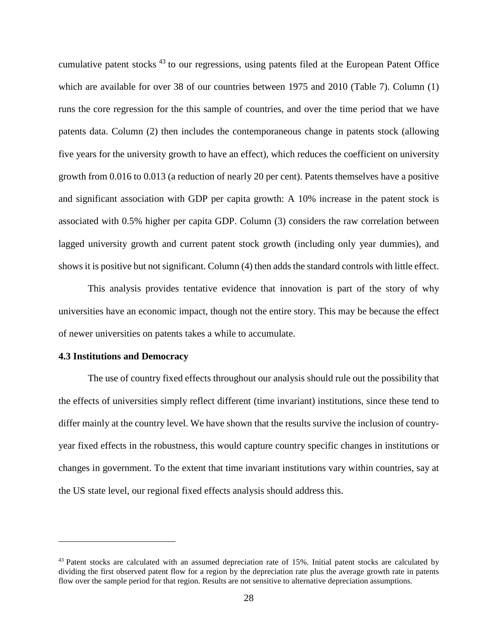cumulative patent stocks [43](#page-28-0) to our regressions, using patents filed at the European Patent Office which are available for over 38 of our countries between 1975 and 2010 (Table 7). Column (1) runs the core regression for the this sample of countries, and over the time period that we have patents data. Column (2) then includes the contemporaneous change in patents stock (allowing five years for the university growth to have an effect), which reduces the coefficient on university growth from 0.016 to 0.013 (a reduction of nearly 20 per cent). Patents themselves have a positive and significant association with GDP per capita growth: A 10% increase in the patent stock is associated with 0.5% higher per capita GDP. Column (3) considers the raw correlation between lagged university growth and current patent stock growth (including only year dummies), and shows it is positive but not significant. Column (4) then adds the standard controls with little effect.

This analysis provides tentative evidence that innovation is part of the story of why universities have an economic impact, though not the entire story. This may be because the effect of newer universities on patents takes a while to accumulate.

### **4.3 Institutions and Democracy**

The use of country fixed effects throughout our analysis should rule out the possibility that the effects of universities simply reflect different (time invariant) institutions, since these tend to differ mainly at the country level. We have shown that the results survive the inclusion of countryyear fixed effects in the robustness, this would capture country specific changes in institutions or changes in government. To the extent that time invariant institutions vary within countries, say at the US state level, our regional fixed effects analysis should address this.

<span id="page-28-0"></span><sup>&</sup>lt;sup>43</sup> Patent stocks are calculated with an assumed depreciation rate of 15%. Initial patent stocks are calculated by dividing the first observed patent flow for a region by the depreciation rate plus the average growth rate in patents flow over the sample period for that region. Results are not sensitive to alternative depreciation assumptions.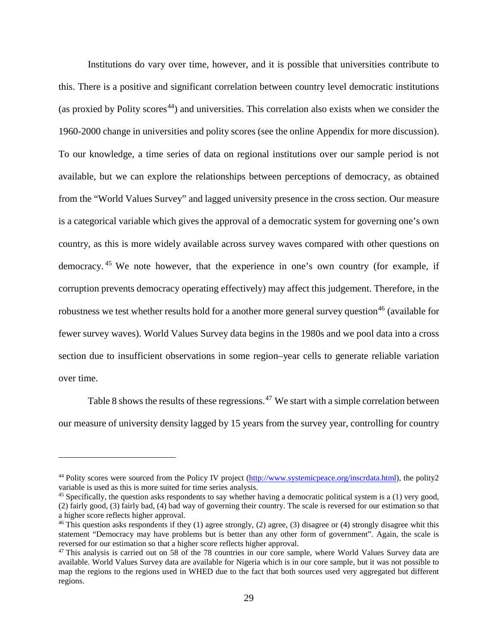Institutions do vary over time, however, and it is possible that universities contribute to this. There is a positive and significant correlation between country level democratic institutions (as proxied by Polity scores<sup>[44](#page-29-0)</sup>) and universities. This correlation also exists when we consider the 1960-2000 change in universities and polity scores (see the online Appendix for more discussion). To our knowledge, a time series of data on regional institutions over our sample period is not available, but we can explore the relationships between perceptions of democracy, as obtained from the "World Values Survey" and lagged university presence in the cross section. Our measure is a categorical variable which gives the approval of a democratic system for governing one's own country, as this is more widely available across survey waves compared with other questions on democracy. [45](#page-29-1) We note however, that the experience in one's own country (for example, if corruption prevents democracy operating effectively) may affect this judgement. Therefore, in the robustness we test whether results hold for a another more general survey question<sup>[46](#page-29-2)</sup> (available for fewer survey waves). World Values Survey data begins in the 1980s and we pool data into a cross section due to insufficient observations in some region–year cells to generate reliable variation over time.

Table 8 shows the results of these regressions.<sup>[47](#page-29-3)</sup> We start with a simple correlation between our measure of university density lagged by 15 years from the survey year, controlling for country

<span id="page-29-0"></span><sup>&</sup>lt;sup>44</sup> Polity scores were sourced from the Policy IV project [\(http://www.systemicpeace.org/inscrdata.html\)](http://www.systemicpeace.org/inscrdata.html), the polity2 variable is used as this is more suited for time series analysis.

<span id="page-29-1"></span> $45$  Specifically, the question asks respondents to say whether having a democratic political system is a (1) very good, (2) fairly good, (3) fairly bad, (4) bad way of governing their country. The scale is reversed for our estimation so that a higher score reflects higher approval.

<span id="page-29-2"></span> $46$  This question asks respondents if they (1) agree strongly, (2) agree, (3) disagree or (4) strongly disagree whit this statement "Democracy may have problems but is better than any other form of government". Again, the scale is reversed for our estimation so that a higher score reflects higher approval.

<span id="page-29-3"></span> $47$  This analysis is carried out on 58 of the 78 countries in our core sample, where World Values Survey data are available. World Values Survey data are available for Nigeria which is in our core sample, but it was not possible to map the regions to the regions used in WHED due to the fact that both sources used very aggregated but different regions.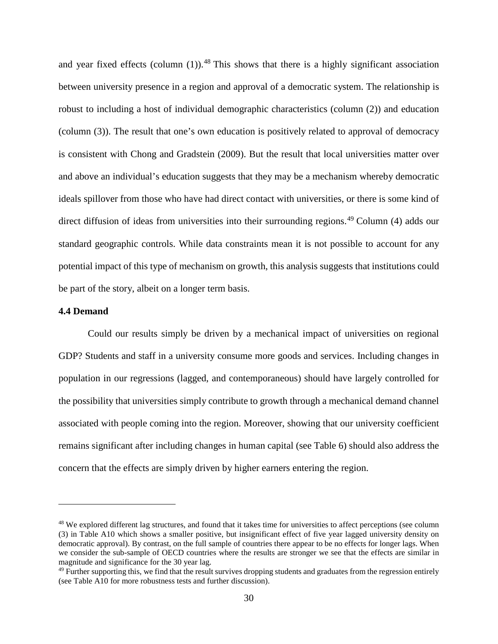and year fixed effects (column  $(1)$ ).<sup>[48](#page-30-0)</sup> This shows that there is a highly significant association between university presence in a region and approval of a democratic system. The relationship is robust to including a host of individual demographic characteristics (column (2)) and education (column (3)). The result that one's own education is positively related to approval of democracy is consistent with Chong and Gradstein (2009). But the result that local universities matter over and above an individual's education suggests that they may be a mechanism whereby democratic ideals spillover from those who have had direct contact with universities, or there is some kind of direct diffusion of ideas from universities into their surrounding regions. [49](#page-30-1) Column (4) adds our standard geographic controls. While data constraints mean it is not possible to account for any potential impact of this type of mechanism on growth, this analysis suggests that institutions could be part of the story, albeit on a longer term basis.

#### **4.4 Demand**

Could our results simply be driven by a mechanical impact of universities on regional GDP? Students and staff in a university consume more goods and services. Including changes in population in our regressions (lagged, and contemporaneous) should have largely controlled for the possibility that universities simply contribute to growth through a mechanical demand channel associated with people coming into the region. Moreover, showing that our university coefficient remains significant after including changes in human capital (see Table 6) should also address the concern that the effects are simply driven by higher earners entering the region.

<span id="page-30-0"></span><sup>&</sup>lt;sup>48</sup> We explored different lag structures, and found that it takes time for universities to affect perceptions (see column (3) in Table A10 which shows a smaller positive, but insignificant effect of five year lagged university density on democratic approval). By contrast, on the full sample of countries there appear to be no effects for longer lags. When we consider the sub-sample of OECD countries where the results are stronger we see that the effects are similar in magnitude and significance for the 30 year lag.

<span id="page-30-1"></span> $49$  Further supporting this, we find that the result survives dropping students and graduates from the regression entirely (see Table A10 for more robustness tests and further discussion).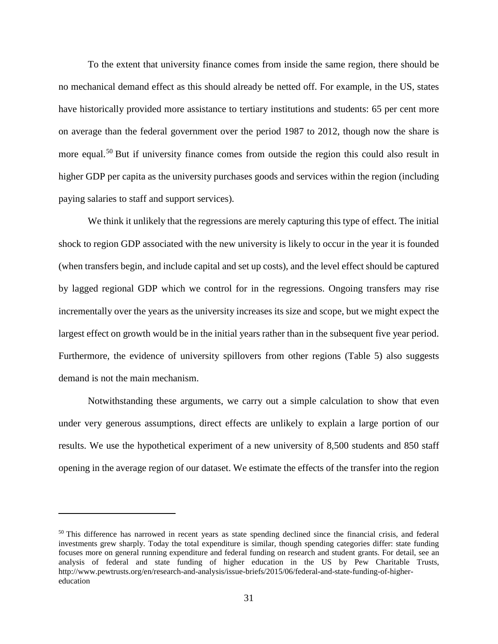To the extent that university finance comes from inside the same region, there should be no mechanical demand effect as this should already be netted off. For example, in the US, states have historically provided more assistance to tertiary institutions and students: 65 per cent more on average than the federal government over the period 1987 to 2012, though now the share is more equal.<sup>[50](#page-31-0)</sup> But if university finance comes from outside the region this could also result in higher GDP per capita as the university purchases goods and services within the region (including paying salaries to staff and support services).

We think it unlikely that the regressions are merely capturing this type of effect. The initial shock to region GDP associated with the new university is likely to occur in the year it is founded (when transfers begin, and include capital and set up costs), and the level effect should be captured by lagged regional GDP which we control for in the regressions. Ongoing transfers may rise incrementally over the years as the university increases its size and scope, but we might expect the largest effect on growth would be in the initial years rather than in the subsequent five year period. Furthermore, the evidence of university spillovers from other regions (Table 5) also suggests demand is not the main mechanism.

Notwithstanding these arguments, we carry out a simple calculation to show that even under very generous assumptions, direct effects are unlikely to explain a large portion of our results. We use the hypothetical experiment of a new university of 8,500 students and 850 staff opening in the average region of our dataset. We estimate the effects of the transfer into the region

<span id="page-31-0"></span><sup>&</sup>lt;sup>50</sup> This difference has narrowed in recent years as state spending declined since the financial crisis, and federal investments grew sharply. Today the total expenditure is similar, though spending categories differ: state funding focuses more on general running expenditure and federal funding on research and student grants. For detail, see an analysis of federal and state funding of higher education in the US by Pew Charitable Trusts, http://www.pewtrusts.org/en/research-and-analysis/issue-briefs/2015/06/federal-and-state-funding-of-highereducation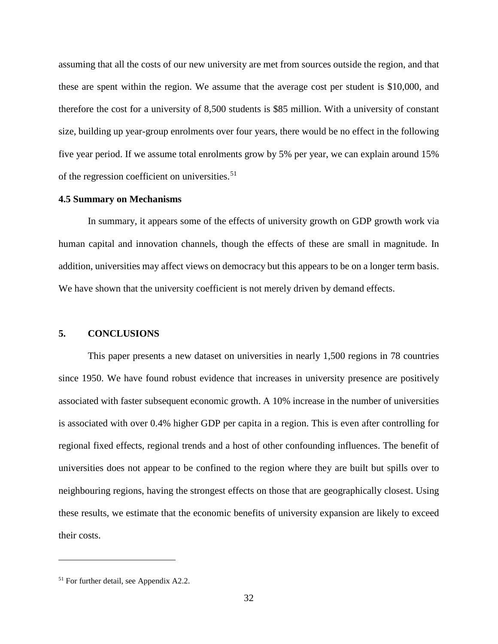assuming that all the costs of our new university are met from sources outside the region, and that these are spent within the region. We assume that the average cost per student is \$10,000, and therefore the cost for a university of 8,500 students is \$85 million. With a university of constant size, building up year-group enrolments over four years, there would be no effect in the following five year period. If we assume total enrolments grow by 5% per year, we can explain around 15% of the regression coefficient on universities.<sup>[51](#page-32-0)</sup>

#### **4.5 Summary on Mechanisms**

In summary, it appears some of the effects of university growth on GDP growth work via human capital and innovation channels, though the effects of these are small in magnitude. In addition, universities may affect views on democracy but this appears to be on a longer term basis. We have shown that the university coefficient is not merely driven by demand effects.

## **5. CONCLUSIONS**

This paper presents a new dataset on universities in nearly 1,500 regions in 78 countries since 1950. We have found robust evidence that increases in university presence are positively associated with faster subsequent economic growth. A 10% increase in the number of universities is associated with over 0.4% higher GDP per capita in a region. This is even after controlling for regional fixed effects, regional trends and a host of other confounding influences. The benefit of universities does not appear to be confined to the region where they are built but spills over to neighbouring regions, having the strongest effects on those that are geographically closest. Using these results, we estimate that the economic benefits of university expansion are likely to exceed their costs.

<span id="page-32-0"></span><sup>&</sup>lt;sup>51</sup> For further detail, see Appendix A2.2.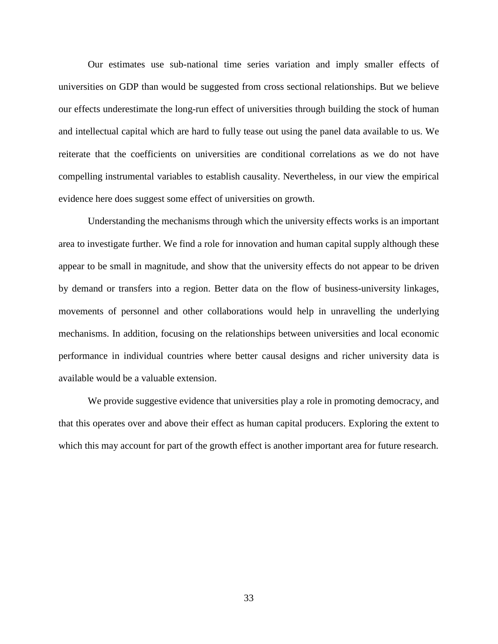Our estimates use sub-national time series variation and imply smaller effects of universities on GDP than would be suggested from cross sectional relationships. But we believe our effects underestimate the long-run effect of universities through building the stock of human and intellectual capital which are hard to fully tease out using the panel data available to us. We reiterate that the coefficients on universities are conditional correlations as we do not have compelling instrumental variables to establish causality. Nevertheless, in our view the empirical evidence here does suggest some effect of universities on growth.

Understanding the mechanisms through which the university effects works is an important area to investigate further. We find a role for innovation and human capital supply although these appear to be small in magnitude, and show that the university effects do not appear to be driven by demand or transfers into a region. Better data on the flow of business-university linkages, movements of personnel and other collaborations would help in unravelling the underlying mechanisms. In addition, focusing on the relationships between universities and local economic performance in individual countries where better causal designs and richer university data is available would be a valuable extension.

We provide suggestive evidence that universities play a role in promoting democracy, and that this operates over and above their effect as human capital producers. Exploring the extent to which this may account for part of the growth effect is another important area for future research.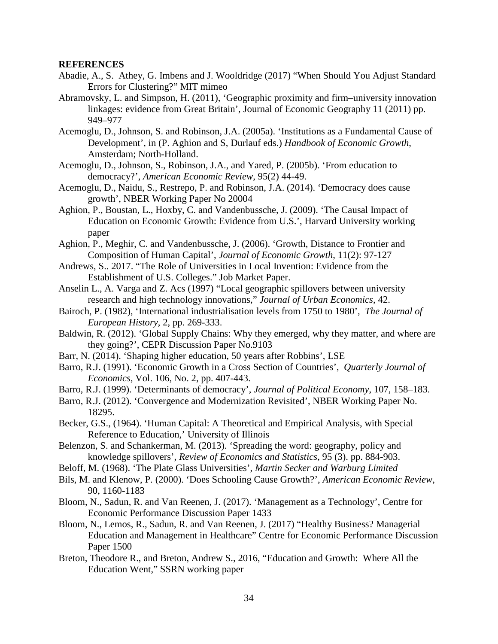#### **REFERENCES**

- [Abadie,](https://arxiv.org/search?searchtype=author&query=Abadie%2C+A) A., [S. Athey,](https://arxiv.org/search?searchtype=author&query=Athey%2C+S) [G. Imbens](https://arxiv.org/search?searchtype=author&query=Imbens%2C+G) and [J. Wooldridge](https://arxiv.org/search?searchtype=author&query=Wooldridge%2C+J) (2017) "When Should You Adjust Standard Errors for Clustering?" MIT mimeo
- Abramovsky, L. and Simpson, H. (2011), 'Geographic proximity and firm–university innovation linkages: evidence from Great Britain', Journal of Economic Geography 11 (2011) pp. 949–977
- Acemoglu, D., Johnson, S. and Robinson, J.A. (2005a). 'Institutions as a Fundamental Cause of Development', in (P. Aghion and S, Durlauf eds.) *Handbook of Economic Growth*, Amsterdam; North-Holland.
- Acemoglu, D., Johnson, S., Robinson, J.A., and Yared, P. (2005b). 'From education to democracy?', *American Economic Review*, 95(2) 44-49.
- Acemoglu, D., Naidu, S., Restrepo, P. and Robinson, J.A. (2014). 'Democracy does cause growth', NBER Working Paper No 20004
- Aghion, P., Boustan, L., Hoxby, C. and Vandenbussche, J. (2009). 'The Causal Impact of Education on Economic Growth: Evidence from U.S.', Harvard University working paper
- Aghion, P., Meghir, C. and Vandenbussche, J. (2006). ['Growth, Distance to Frontier and](http://econpapers.repec.org/RePEc:cpr:ceprdp:4860)  [Composition of Human Capital'](http://econpapers.repec.org/RePEc:cpr:ceprdp:4860), *Journal of Economic Growth*, 11(2): 97-127
- Andrews, S.. 2017. "The Role of Universities in Local Invention: Evidence from the Establishment of U.S. Colleges." Job Market Paper.
- Anselin L., A. Varga and Z. Acs (1997) "Local geographic spillovers between university research and high technology innovations," *Journal of Urban Economics*, 42.
- Bairoch, P. (1982), 'International industrialisation levels from 1750 to 1980', *The Journal of European History*, 2, pp. 269-333.
- Baldwin, R. (2012). 'Global Supply Chains: Why they emerged, why they matter, and where are they going?', CEPR Discussion Paper No.9103
- Barr, N. (2014). 'Shaping higher education, 50 years after Robbins', LSE
- Barro, R.J. (1991). 'Economic Growth in a Cross Section of Countries', *Quarterly Journal of Economics*, Vol. 106, No. 2, pp. 407-443.
- Barro, R.J. (1999). 'Determinants of democracy', *Journal of Political Economy*, 107, 158–183.
- Barro, R.J. (2012). 'Convergence and Modernization Revisited', NBER Working Paper No. 18295.
- Becker, G.S., (1964). 'Human Capital: A Theoretical and Empirical Analysis, with Special Reference to Education,' University of Illinois
- Belenzon, S. and Schankerman, M. (2013). 'Spreading the word: geography, policy and knowledge spillovers', *Review of Economics and Statistics*, 95 (3). pp. 884-903.
- Beloff, M. (1968). 'The Plate Glass Universities', *Martin Secker and Warburg Limited*
- Bils, M. and Klenow, P. (2000). 'Does Schooling Cause Growth?', *American Economic Review*, 90, 1160-1183
- Bloom, N., Sadun, R. and Van Reenen, J. (2017). 'Management as a Technology', Centre for Economic Performance Discussion Paper 1433
- Bloom, N., Lemos, R., Sadun, R. and Van Reenen, J. (2017) "Healthy Business? Managerial Education and Management in Healthcare" Centre for Economic Performance Discussion Paper 1500
- Breton, Theodore R., and Breton, Andrew S., 2016, "Education and Growth: Where All the Education Went," SSRN working paper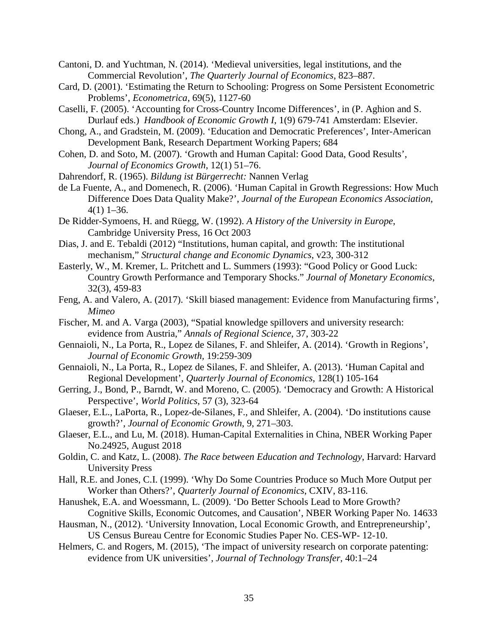Cantoni, D. and Yuchtman, N. (2014). 'Medieval universities, legal institutions, and the Commercial Revolution', *The Quarterly Journal of Economics*, 823–887.

- Card, D. (2001). 'Estimating the Return to Schooling: Progress on Some Persistent Econometric Problems', *Econometrica*, 69(5), 1127-60
- Caselli, F. (2005). 'Accounting for Cross-Country Income Differences', in (P. Aghion and S. Durlauf eds.) *Handbook of Economic Growth I*, 1(9) 679-741 Amsterdam: Elsevier.
- Chong, A., and Gradstein, M. (2009). 'Education and Democratic Preferences', Inter-American Development Bank, Research Department Working Papers; 684
- Cohen, D. and Soto, M. (2007). 'Growth and Human Capital: Good Data, Good Results', *Journal of Economics Growth*, 12(1) 51–76.
- Dahrendorf, R. (1965). *Bildung ist Bürgerrecht:* Nannen Verlag
- de La Fuente, A., and Domenech, R. (2006). 'Human Capital in Growth Regressions: How Much Difference Does Data Quality Make?', *Journal of the European Economics Association*, 4(1) 1–36.
- De Ridder-Symoens, H. and Rüegg, W. (1992). *A History of the University in Europe*, Cambridge University Press, 16 Oct 2003
- Dias, J. and E. Tebaldi (2012) "Institutions, human capital, and growth: The institutional mechanism," *Structural change and Economic Dynamics*, v23, 300-312
- Easterly, W., M. Kremer, L. Pritchett and L. Summers (1993): "Good Policy or Good Luck: Country Growth Performance and Temporary Shocks." *Journal of Monetary Economics*, 32(3), 459-83
- Feng, A. and Valero, A. (2017). 'Skill biased management: Evidence from Manufacturing firms', *Mimeo*
- Fischer, M. and A. Varga (2003), "Spatial knowledge spillovers and university research: evidence from Austria," *Annals of Regional Science*, 37, 303-22
- Gennaioli, N., La Porta, R., Lopez de Silanes, F. and Shleifer, A. (2014). 'Growth in Regions', *Journal of Economic Growth,* 19:259-309
- Gennaioli, N., La Porta, R., Lopez de Silanes, F. and Shleifer, A. (2013). 'Human Capital and Regional Development', *Quarterly Journal of Economics*, 128(1) 105-164
- Gerring, J., Bond, P., Barndt, W. and Moreno, C. (2005). 'Democracy and Growth: A Historical Perspective', *World Politics*, 57 (3), 323-64
- Glaeser, E.L., LaPorta, R., Lopez-de-Silanes, F., and Shleifer, A. (2004). 'Do institutions cause growth?', *Journal of Economic Growth*, 9, 271–303.
- Glaeser, E.L., and Lu, M. (2018). Human-Capital Externalities in China, NBER Working Paper No.24925, August 2018
- Goldin, C. and Katz, L. (2008). *The Race between Education and Technology*, Harvard: Harvard University Press
- Hall, R.E. and Jones, C.I. (1999). 'Why Do Some Countries Produce so Much More Output per Worker than Others?', *Quarterly Journal of Economics*, CXIV, 83-116.
- Hanushek, E.A. and Woessmann, L. (2009). 'Do Better Schools Lead to More Growth? Cognitive Skills, Economic Outcomes, and Causation', NBER Working Paper No. 14633
- Hausman, N., (2012). 'University Innovation, Local Economic Growth, and Entrepreneurship', US Census Bureau Centre for Economic Studies Paper No. CES-WP- 12-10.
- Helmers, C. and Rogers, M. (2015), 'The impact of university research on corporate patenting: evidence from UK universities', *Journal of Technology Transfer*, 40:1–24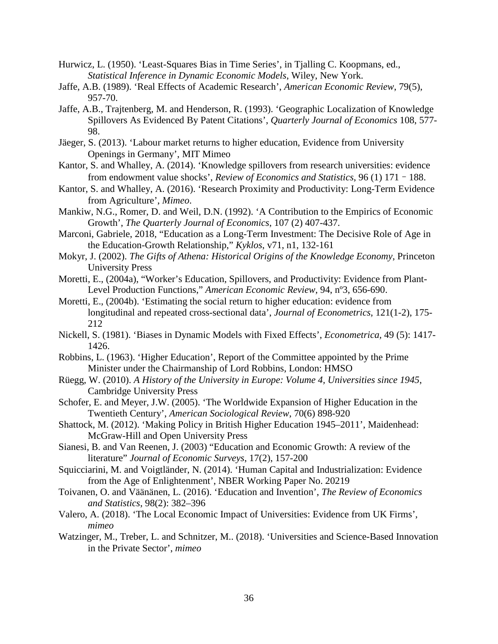- Hurwicz, L. (1950). 'Least-Squares Bias in Time Series', in Tjalling C. Koopmans, ed., *Statistical Inference in Dynamic Economic Models*, Wiley, New York.
- Jaffe, A.B. (1989). 'Real Effects of Academic Research', *American Economic Review*, 79(5), 957-70.
- Jaffe, A.B., Trajtenberg, M. and Henderson, R. (1993). 'Geographic Localization of Knowledge Spillovers As Evidenced By Patent Citations', *Quarterly Journal of Economics* 108, 577- 98.
- Jäeger, S. (2013). 'Labour market returns to higher education, Evidence from University Openings in Germany', MIT Mimeo
- Kantor, S. and Whalley, A. (2014). 'Knowledge spillovers from research universities: evidence from endowment value shocks', *Review of Economics and Statistics*, 96 (1) 171–188.
- Kantor, S. and Whalley, A. (2016). 'Research Proximity and Productivity: Long-Term Evidence from Agriculture', *Mimeo*.
- Mankiw, N.G., Romer, D. and Weil, D.N. (1992). 'A Contribution to the Empirics of Economic Growth', *The Quarterly Journal of Economics*, 107 (2) 407-437.
- Marconi, Gabriele, 2018, "Education as a Long-Term Investment: The Decisive Role of Age in the Education-Growth Relationship," *Kyklos*, v71, n1, 132-161
- Mokyr, J. (2002). *The Gifts of Athena: Historical Origins of the Knowledge Economy*, Princeton University Press
- Moretti, E., (2004a), "Worker's Education, Spillovers, and Productivity: Evidence from Plant-Level Production Functions," *American Economic Review*, 94, nº3, 656-690.
- Moretti, E., (2004b). 'Estimating the social return to higher education: evidence from longitudinal and repeated cross-sectional data', *Journal of Econometrics*, 121(1-2), 175- 212
- Nickell, S. (1981). 'Biases in Dynamic Models with Fixed Effects', *Econometrica,* 49 (5): 1417- 1426.
- Robbins, L. (1963). 'Higher Education', Report of the Committee appointed by the Prime Minister under the Chairmanship of Lord Robbins, London: HMSO
- Rüegg, W. (2010). *A History of the University in Europe: Volume 4, Universities since 1945*, Cambridge University Press
- Schofer, E. and Meyer, J.W. (2005). 'The Worldwide Expansion of Higher Education in the Twentieth Century', *American Sociological Review*, 70(6) 898-920
- Shattock, M. (2012). 'Making Policy in British Higher Education 1945–2011', Maidenhead: McGraw-Hill and Open University Press
- Sianesi, B. and Van Reenen, J. (2003) "Education and Economic Growth: A review of the literature" *Journal of Economic Surveys*, 17(2), 157-200
- Squicciarini, M. and Voigtländer, N. (2014). 'Human Capital and Industrialization: Evidence from the Age of Enlightenment', NBER Working Paper No. 20219
- Toivanen, O. and Väänänen, L. (2016). 'Education and Invention', *The Review of Economics and Statistics*, 98(2): 382–396
- Valero, A. (2018). 'The Local Economic Impact of Universities: Evidence from UK Firms', *mimeo*
- Watzinger, M., Treber, L. and Schnitzer, M.. (2018). 'Universities and Science-Based Innovation in the Private Sector', *mimeo*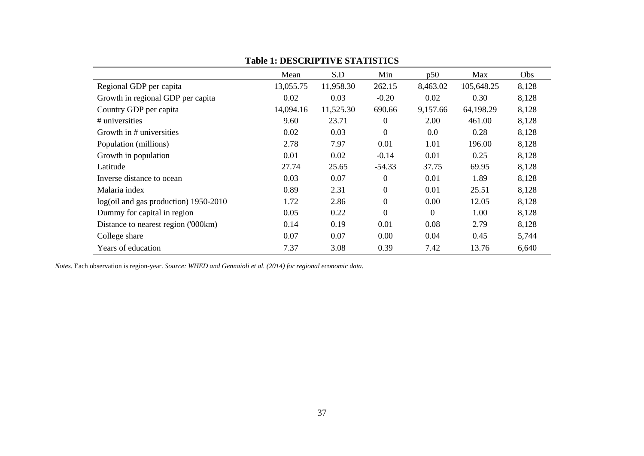|                                       | Mean      | S.D       | Min            | p50            | Max        | Obs   |
|---------------------------------------|-----------|-----------|----------------|----------------|------------|-------|
| Regional GDP per capita               | 13,055.75 | 11,958.30 | 262.15         | 8,463.02       | 105,648.25 | 8,128 |
| Growth in regional GDP per capita     | 0.02      | 0.03      | $-0.20$        | 0.02           | 0.30       | 8,128 |
| Country GDP per capita                | 14,094.16 | 11,525.30 | 690.66         | 9,157.66       | 64,198.29  | 8,128 |
| # universities                        | 9.60      | 23.71     | $\overline{0}$ | 2.00           | 461.00     | 8,128 |
| Growth in # universities              | 0.02      | 0.03      | $\Omega$       | 0.0            | 0.28       | 8,128 |
| Population (millions)                 | 2.78      | 7.97      | 0.01           | 1.01           | 196.00     | 8,128 |
| Growth in population                  | 0.01      | 0.02      | $-0.14$        | 0.01           | 0.25       | 8,128 |
| Latitude                              | 27.74     | 25.65     | $-54.33$       | 37.75          | 69.95      | 8,128 |
| Inverse distance to ocean             | 0.03      | 0.07      | $\overline{0}$ | 0.01           | 1.89       | 8,128 |
| Malaria index                         | 0.89      | 2.31      | $\mathbf{0}$   | 0.01           | 25.51      | 8,128 |
| log(oil and gas production) 1950-2010 | 1.72      | 2.86      | $\overline{0}$ | 0.00           | 12.05      | 8,128 |
| Dummy for capital in region           | 0.05      | 0.22      | $\overline{0}$ | $\overline{0}$ | 1.00       | 8,128 |
| Distance to nearest region ('000km)   | 0.14      | 0.19      | 0.01           | 0.08           | 2.79       | 8,128 |
| College share                         | 0.07      | 0.07      | 0.00           | 0.04           | 0.45       | 5,744 |
| Years of education                    | 7.37      | 3.08      | 0.39           | 7.42           | 13.76      | 6,640 |

## **Table 1: DESCRIPTIVE STATISTICS**

*Notes.* Each observation is region-year. *Source: WHED and Gennaioli et al. (2014) for regional economic data.*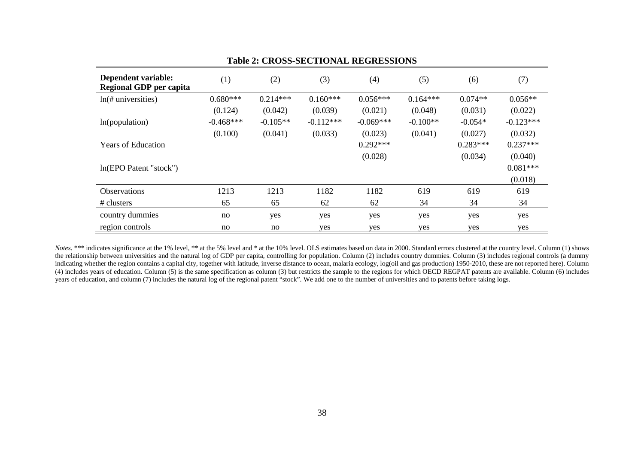|                                                |             |            |             | Table 2. CROSS-SECTIONAL REGRESSIONS |            |            |             |
|------------------------------------------------|-------------|------------|-------------|--------------------------------------|------------|------------|-------------|
| Dependent variable:<br>Regional GDP per capita | (1)         | (2)        | (3)         | (4)                                  | (5)        | (6)        | (7)         |
| $ln(\text{\# universities})$                   | $0.680***$  | $0.214***$ | $0.160***$  | $0.056***$                           | $0.164***$ | $0.074**$  | $0.056**$   |
|                                                | (0.124)     | (0.042)    | (0.039)     | (0.021)                              | (0.048)    | (0.031)    | (0.022)     |
| In(population)                                 | $-0.468***$ | $-0.105**$ | $-0.112***$ | $-0.069***$                          | $-0.100**$ | $-0.054*$  | $-0.123***$ |
|                                                | (0.100)     | (0.041)    | (0.033)     | (0.023)                              | (0.041)    | (0.027)    | (0.032)     |
| <b>Years of Education</b>                      |             |            |             | $0.292***$                           |            | $0.283***$ | $0.237***$  |
|                                                |             |            |             | (0.028)                              |            | (0.034)    | (0.040)     |
| In(EPO Patent "stock")                         |             |            |             |                                      |            |            | $0.081***$  |
|                                                |             |            |             |                                      |            |            | (0.018)     |
| <b>Observations</b>                            | 1213        | 1213       | 1182        | 1182                                 | 619        | 619        | 619         |
| # clusters                                     | 65          | 65         | 62          | 62                                   | 34         | 34         | 34          |
| country dummies                                | no          | yes        | yes         | yes                                  | yes        | yes        | yes         |
| region controls                                | no          | no         | yes         | yes                                  | yes        | yes        | yes         |

#### **Table 2: CROSS-SECTIONAL REGRESSIONS**

*Notes.* \*\*\* indicates significance at the 1% level, \*\* at the 5% level and \* at the 10% level. OLS estimates based on data in 2000. Standard errors clustered at the country level. Column (1) shows the relationship between universities and the natural log of GDP per capita, controlling for population. Column (2) includes country dummies. Column (3) includes regional controls (a dummy indicating whether the region contains a capital city, together with latitude, inverse distance to ocean, malaria ecology, log(oil and gas production) 1950-2010, these are not reported here). Column (4) includes years of education. Column  $(5)$  is the same specification as column (3) but restricts the sample to the regions for which OECD REGPAT patents are available. Column (6) includes years of education, and column (7) includes the natural log of the regional patent "stock". We add one to the number of universities and to patents before taking logs.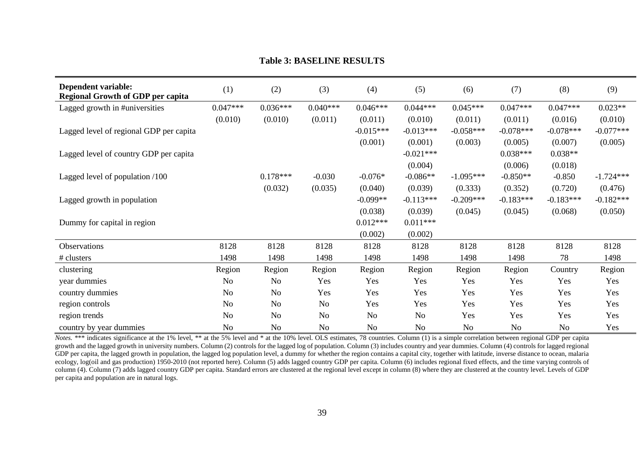| Dependent variable:<br><b>Regional Growth of GDP per capita</b> | (1)        | (2)            | (3)            | (4)            | (5)            | (6)         | (7)            | (8)         | (9)         |
|-----------------------------------------------------------------|------------|----------------|----------------|----------------|----------------|-------------|----------------|-------------|-------------|
| Lagged growth in #universities                                  | $0.047***$ | $0.036***$     | $0.040***$     | $0.046***$     | $0.044***$     | $0.045***$  | $0.047***$     | $0.047***$  | $0.023**$   |
|                                                                 | (0.010)    | (0.010)        | (0.011)        | (0.011)        | (0.010)        | (0.011)     | (0.011)        | (0.016)     | (0.010)     |
| Lagged level of regional GDP per capita                         |            |                |                | $-0.015***$    | $-0.013***$    | $-0.058***$ | $-0.078***$    | $-0.078***$ | $-0.077***$ |
|                                                                 |            |                |                | (0.001)        | (0.001)        | (0.003)     | (0.005)        | (0.007)     | (0.005)     |
| Lagged level of country GDP per capita                          |            |                |                |                | $-0.021***$    |             | $0.038***$     | $0.038**$   |             |
|                                                                 |            |                |                |                | (0.004)        |             | (0.006)        | (0.018)     |             |
| Lagged level of population /100                                 |            | $0.178***$     | $-0.030$       | $-0.076*$      | $-0.086**$     | $-1.095***$ | $-0.850**$     | $-0.850$    | $-1.724***$ |
|                                                                 |            | (0.032)        | (0.035)        | (0.040)        | (0.039)        | (0.333)     | (0.352)        | (0.720)     | (0.476)     |
| Lagged growth in population                                     |            |                |                | $-0.099**$     | $-0.113***$    | $-0.209***$ | $-0.183***$    | $-0.183***$ | $-0.182***$ |
|                                                                 |            |                |                | (0.038)        | (0.039)        | (0.045)     | (0.045)        | (0.068)     | (0.050)     |
| Dummy for capital in region                                     |            |                |                | $0.012***$     | $0.011***$     |             |                |             |             |
|                                                                 |            |                |                | (0.002)        | (0.002)        |             |                |             |             |
| Observations                                                    | 8128       | 8128           | 8128           | 8128           | 8128           | 8128        | 8128           | 8128        | 8128        |
| # clusters                                                      | 1498       | 1498           | 1498           | 1498           | 1498           | 1498        | 1498           | 78          | 1498        |
| clustering                                                      | Region     | Region         | Region         | Region         | Region         | Region      | Region         | Country     | Region      |
| year dummies                                                    | No         | <b>No</b>      | Yes            | Yes            | Yes            | Yes         | Yes            | Yes         | Yes         |
| country dummies                                                 | No         | No             | Yes            | Yes            | Yes            | Yes         | Yes            | Yes         | Yes         |
| region controls                                                 | No         | N <sub>o</sub> | N <sub>o</sub> | Yes            | Yes            | Yes         | Yes            | Yes         | Yes         |
| region trends                                                   | No         | N <sub>o</sub> | No             | N <sub>o</sub> | No             | Yes         | Yes            | Yes         | Yes         |
| country by year dummies                                         | No         | N <sub>o</sub> | N <sub>o</sub> | N <sub>o</sub> | N <sub>o</sub> | No          | N <sub>o</sub> | No          | Yes         |

#### **Table 3: BASELINE RESULTS**

*Notes.* \*\*\* indicates significance at the 1% level, \*\* at the 5% level and \* at the 10% level. OLS estimates, 78 countries. Column (1) is a simple correlation between regional GDP per capita growth and the lagged growth in university numbers. Column (2) controls for the lagged log of population. Column (3) includes country and year dummies. Column (4) controls for lagged regional GDP per capita, the lagged growth in population, the lagged log population level, a dummy for whether the region contains a capital city, together with latitude, inverse distance to ocean, malaria ecology, log(oil and gas production)  $1950-2010$  (not reported here). Column (5) adds lagged country GDP per capita. Column (6) includes regional fixed effects, and the time varying controls of column (4). Column (7) adds lagged country GDP per capita. Standard errors are clustered at the regional level except in column (8) where they are clustered at the country level. Levels of GDP per capita and population are in natural logs.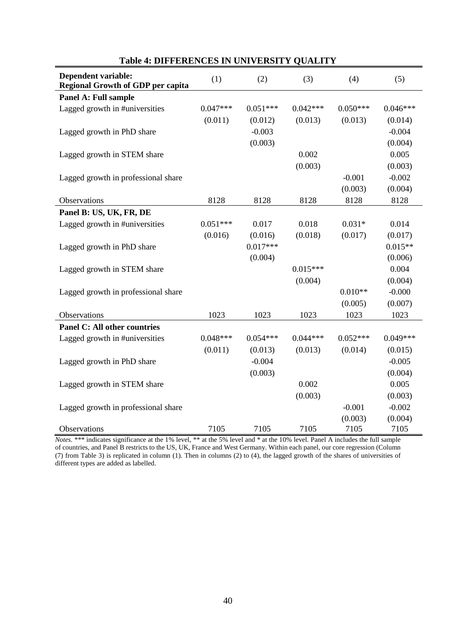| <b>Dependent variable:</b>               | (1)        | (2)        | (3)        | (4)        | (5)        |
|------------------------------------------|------------|------------|------------|------------|------------|
| <b>Regional Growth of GDP per capita</b> |            |            |            |            |            |
| Panel A: Full sample                     |            |            |            |            |            |
| Lagged growth in #universities           | $0.047***$ | $0.051***$ | $0.042***$ | $0.050***$ | $0.046***$ |
|                                          | (0.011)    | (0.012)    | (0.013)    | (0.013)    | (0.014)    |
| Lagged growth in PhD share               |            | $-0.003$   |            |            | $-0.004$   |
|                                          |            | (0.003)    |            |            | (0.004)    |
| Lagged growth in STEM share              |            |            | 0.002      |            | 0.005      |
|                                          |            |            | (0.003)    |            | (0.003)    |
| Lagged growth in professional share      |            |            |            | $-0.001$   | $-0.002$   |
|                                          |            |            |            | (0.003)    | (0.004)    |
| Observations                             | 8128       | 8128       | 8128       | 8128       | 8128       |
| Panel B: US, UK, FR, DE                  |            |            |            |            |            |
| Lagged growth in #universities           | $0.051***$ | 0.017      | 0.018      | $0.031*$   | 0.014      |
|                                          | (0.016)    | (0.016)    | (0.018)    | (0.017)    | (0.017)    |
| Lagged growth in PhD share               |            | $0.017***$ |            |            | $0.015**$  |
|                                          |            | (0.004)    |            |            | (0.006)    |
| Lagged growth in STEM share              |            |            | $0.015***$ |            | 0.004      |
|                                          |            |            | (0.004)    |            | (0.004)    |
| Lagged growth in professional share      |            |            |            | $0.010**$  | $-0.000$   |
|                                          |            |            |            | (0.005)    | (0.007)    |
| Observations                             | 1023       | 1023       | 1023       | 1023       | 1023       |
| <b>Panel C: All other countries</b>      |            |            |            |            |            |
| Lagged growth in #universities           | $0.048***$ | $0.054***$ | $0.044***$ | $0.052***$ | $0.049***$ |
|                                          | (0.011)    | (0.013)    | (0.013)    | (0.014)    | (0.015)    |
| Lagged growth in PhD share               |            | $-0.004$   |            |            | $-0.005$   |
|                                          |            | (0.003)    |            |            | (0.004)    |
| Lagged growth in STEM share              |            |            | 0.002      |            | 0.005      |
|                                          |            |            | (0.003)    |            | (0.003)    |
| Lagged growth in professional share      |            |            |            | $-0.001$   | $-0.002$   |
|                                          |            |            |            | (0.003)    | (0.004)    |
| Observations                             | 7105       | 7105       | 7105       | 7105       | 7105       |

## **Table 4: DIFFERENCES IN UNIVERSITY QUALITY**

*Notes.* \*\*\* indicates significance at the 1% level, \*\* at the 5% level and \* at the 10% level. Panel A includes the full sample of countries, and Panel B restricts to the US, UK, France and West Germany. Within each panel, our core regression (Column (7) from Table 3) is replicated in column (1). Then in columns (2) to (4), the lagged growth of the shares of universities of different types are added as labelled.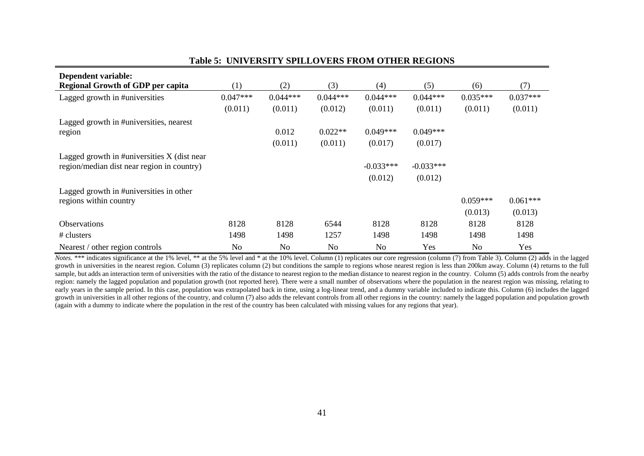| Dependent variable:                             |            |                |                |                |             |            |            |
|-------------------------------------------------|------------|----------------|----------------|----------------|-------------|------------|------------|
| <b>Regional Growth of GDP per capita</b>        | (1)        | (2)            | (3)            | (4)            | (5)         | (6)        | (7)        |
| Lagged growth in #universities                  | $0.047***$ | $0.044***$     | $0.044***$     | $0.044***$     | $0.044***$  | $0.035***$ | $0.037***$ |
|                                                 | (0.011)    | (0.011)        | (0.012)        | (0.011)        | (0.011)     | (0.011)    | (0.011)    |
| Lagged growth in #universities, nearest         |            |                |                |                |             |            |            |
| region                                          |            | 0.012          | $0.022**$      | $0.049***$     | $0.049***$  |            |            |
|                                                 |            | (0.011)        | (0.011)        | (0.017)        | (0.017)     |            |            |
| Lagged growth in $\#$ universities X (dist near |            |                |                |                |             |            |            |
| region/median dist near region in country)      |            |                |                | $-0.033***$    | $-0.033***$ |            |            |
|                                                 |            |                |                | (0.012)        | (0.012)     |            |            |
| Lagged growth in #universities in other         |            |                |                |                |             |            |            |
| regions within country                          |            |                |                |                |             | $0.059***$ | $0.061***$ |
|                                                 |            |                |                |                |             | (0.013)    | (0.013)    |
| Observations                                    | 8128       | 8128           | 6544           | 8128           | 8128        | 8128       | 8128       |
| # clusters                                      | 1498       | 1498           | 1257           | 1498           | 1498        | 1498       | 1498       |
| Nearest / other region controls                 | <b>No</b>  | N <sub>o</sub> | N <sub>0</sub> | N <sub>0</sub> | Yes         | No         | Yes        |

#### **Table 5: UNIVERSITY SPILLOVERS FROM OTHER REGIONS**

*Notes.* \*\*\* indicates significance at the 1% level, \*\* at the 5% level and \* at the 10% level. Column (1) replicates our core regression (column (7) from Table 3). Column (2) adds in the lagged growth in universities in the nearest region. Column (3) replicates column (2) but conditions the sample to regions whose nearest region is less than 200km away. Column (4) returns to the full sample, but adds an interaction term of universities with the ratio of the distance to nearest region to the median distance to nearest region in the country. Column (5) adds controls from the nearby region: namely the lagged population and population growth (not reported here). There were a small number of observations where the population in the nearest region was missing, relating to early years in the sample period. In this case, population was extrapolated back in time, using a log-linear trend, and a dummy variable included to indicate this. Column (6) includes the lagged growth in universities in all other regions of the country, and column (7) also adds the relevant controls from all other regions in the country: namely the lagged population and population growth (again with a dummy to indicate where the population in the rest of the country has been calculated with missing values for any regions that year).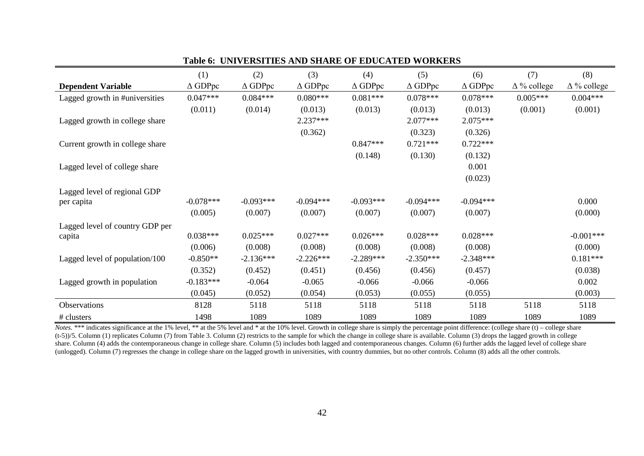|                                 | (1)               | (2)               | (3)               | (4)               | (5)               | (6)               | (7)                 | (8)                |
|---------------------------------|-------------------|-------------------|-------------------|-------------------|-------------------|-------------------|---------------------|--------------------|
| <b>Dependent Variable</b>       | $\triangle$ GDPpc | $\triangle$ GDPpc | $\triangle$ GDPpc | $\triangle$ GDPpc | $\triangle$ GDPpc | $\triangle$ GDPpc | $\Delta \%$ college | $\Delta\%$ college |
| Lagged growth in #universities  | $0.047***$        | $0.084***$        | $0.080***$        | $0.081***$        | $0.078***$        | $0.078***$        | $0.005***$          | $0.004***$         |
|                                 | (0.011)           | (0.014)           | (0.013)           | (0.013)           | (0.013)           | (0.013)           | (0.001)             | (0.001)            |
| Lagged growth in college share  |                   |                   | 2.237***          |                   | $2.077***$        | $2.075***$        |                     |                    |
|                                 |                   |                   | (0.362)           |                   | (0.323)           | (0.326)           |                     |                    |
| Current growth in college share |                   |                   |                   | $0.847***$        | $0.721***$        | $0.722***$        |                     |                    |
|                                 |                   |                   |                   | (0.148)           | (0.130)           | (0.132)           |                     |                    |
| Lagged level of college share   |                   |                   |                   |                   |                   | 0.001             |                     |                    |
|                                 |                   |                   |                   |                   |                   | (0.023)           |                     |                    |
| Lagged level of regional GDP    |                   |                   |                   |                   |                   |                   |                     |                    |
| per capita                      | $-0.078***$       | $-0.093***$       | $-0.094***$       | $-0.093***$       | $-0.094***$       | $-0.094***$       |                     | 0.000              |
|                                 | (0.005)           | (0.007)           | (0.007)           | (0.007)           | (0.007)           | (0.007)           |                     | (0.000)            |
| Lagged level of country GDP per |                   |                   |                   |                   |                   |                   |                     |                    |
| capita                          | $0.038***$        | $0.025***$        | $0.027***$        | $0.026***$        | $0.028***$        | $0.028***$        |                     | $-0.001***$        |
|                                 | (0.006)           | (0.008)           | (0.008)           | (0.008)           | (0.008)           | (0.008)           |                     | (0.000)            |
| Lagged level of population/100  | $-0.850**$        | $-2.136***$       | $-2.226***$       | $-2.289***$       | $-2.350***$       | $-2.348***$       |                     | $0.181***$         |
|                                 | (0.352)           | (0.452)           | (0.451)           | (0.456)           | (0.456)           | (0.457)           |                     | (0.038)            |
| Lagged growth in population     | $-0.183***$       | $-0.064$          | $-0.065$          | $-0.066$          | $-0.066$          | $-0.066$          |                     | 0.002              |
|                                 | (0.045)           | (0.052)           | (0.054)           | (0.053)           | (0.055)           | (0.055)           |                     | (0.003)            |
| Observations                    | 8128              | 5118              | 5118              | 5118              | 5118              | 5118              | 5118                | 5118               |
| # clusters                      | 1498              | 1089              | 1089              | 1089              | 1089              | 1089              | 1089                | 1089               |

**Table 6: UNIVERSITIES AND SHARE OF EDUCATED WORKERS**

*Notes.* \*\*\* indicates significance at the 1% level, \*\* at the 5% level and \* at the 10% level. Growth in college share is simply the percentage point difference: (college share (t) – college share (t-5))/5. Column (1) replicates Column (7) from Table 3. Column (2) restricts to the sample for which the change in college share is available. Column (3) drops the lagged growth in college share. Column (4) adds the contemporaneous change in college share. Column (5) includes both lagged and contemporaneous changes. Column (6) further adds the lagged level of college share (unlogged). Column (7) regresses the change in college share on the lagged growth in universities, with country dummies, but no other controls. Column (8) adds all the other controls.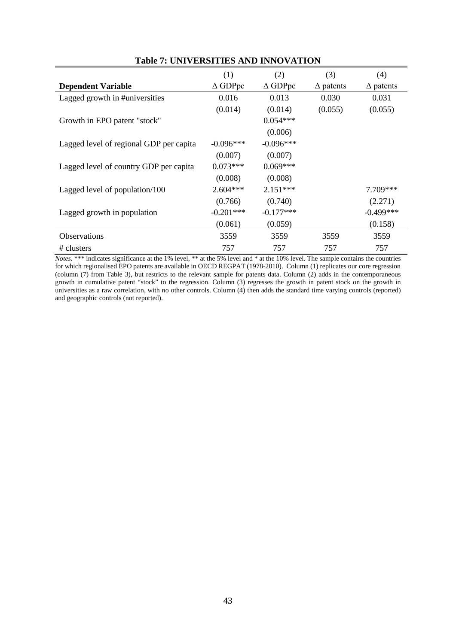|                                         | (1)               | (2)               | (3)              | (4)              |
|-----------------------------------------|-------------------|-------------------|------------------|------------------|
| <b>Dependent Variable</b>               | $\triangle$ GDPpc | $\triangle$ GDPpc | $\Delta$ patents | $\Delta$ patents |
| Lagged growth in #universities          | 0.016             | 0.013             | 0.030            | 0.031            |
|                                         | (0.014)           | (0.014)           | (0.055)          | (0.055)          |
| Growth in EPO patent "stock"            |                   | $0.054***$        |                  |                  |
|                                         |                   | (0.006)           |                  |                  |
| Lagged level of regional GDP per capita | $-0.096***$       | $-0.096***$       |                  |                  |
|                                         | (0.007)           | (0.007)           |                  |                  |
| Lagged level of country GDP per capita  | $0.073***$        | $0.069***$        |                  |                  |
|                                         | (0.008)           | (0.008)           |                  |                  |
| Lagged level of population/100          | $2.604***$        | $2.151***$        |                  | $7.709***$       |
|                                         | (0.766)           | (0.740)           |                  | (2.271)          |
| Lagged growth in population             | $-0.201***$       | $-0.177***$       |                  | $-0.499***$      |
|                                         | (0.061)           | (0.059)           |                  | (0.158)          |
| <b>Observations</b>                     | 3559              | 3559              | 3559             | 3559             |
| # clusters                              | 757               | 757               | 757              | 757              |

#### **Table 7: UNIVERSITIES AND INNOVATION**

*Notes.* \*\*\* indicates significance at the 1% level, \*\* at the 5% level and \* at the 10% level. The sample contains the countries for which regionalised EPO patents are available in OECD REGPAT (1978-2010). Column (1) replicates our core regression (column (7) from Table 3), but restricts to the relevant sample for patents data. Column (2) adds in the contemporaneous growth in cumulative patent "stock" to the regression. Column (3) regresses the growth in patent stock on the growth in universities as a raw correlation, with no other controls. Column  $(4)$  then adds the standard time varying controls (reported) and geographic controls (not reported).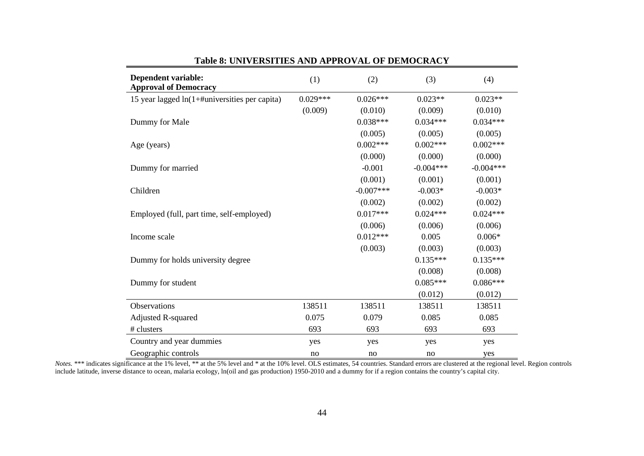| <b>Dependent variable:</b><br><b>Approval of Democracy</b> | (1)        | (2)         | (3)         | (4)         |
|------------------------------------------------------------|------------|-------------|-------------|-------------|
| 15 year lagged $ln(1+\text{\#universities per capita})$    | $0.029***$ | $0.026***$  | $0.023**$   | $0.023**$   |
|                                                            | (0.009)    | (0.010)     | (0.009)     | (0.010)     |
| Dummy for Male                                             |            | $0.038***$  | $0.034***$  | $0.034***$  |
|                                                            |            | (0.005)     | (0.005)     | (0.005)     |
| Age (years)                                                |            | $0.002***$  | $0.002***$  | $0.002***$  |
|                                                            |            | (0.000)     | (0.000)     | (0.000)     |
| Dummy for married                                          |            | $-0.001$    | $-0.004***$ | $-0.004***$ |
|                                                            |            | (0.001)     | (0.001)     | (0.001)     |
| Children                                                   |            | $-0.007***$ | $-0.003*$   | $-0.003*$   |
|                                                            |            | (0.002)     | (0.002)     | (0.002)     |
| Employed (full, part time, self-employed)                  |            | $0.017***$  | $0.024***$  | $0.024***$  |
|                                                            |            | (0.006)     | (0.006)     | (0.006)     |
| Income scale                                               |            | $0.012***$  | 0.005       | $0.006*$    |
|                                                            |            | (0.003)     | (0.003)     | (0.003)     |
| Dummy for holds university degree                          |            |             | $0.135***$  | $0.135***$  |
|                                                            |            |             | (0.008)     | (0.008)     |
| Dummy for student                                          |            |             | $0.085***$  | $0.086***$  |
|                                                            |            |             | (0.012)     | (0.012)     |
| Observations                                               | 138511     | 138511      | 138511      | 138511      |
| <b>Adjusted R-squared</b>                                  | 0.075      | 0.079       | 0.085       | 0.085       |
| # clusters                                                 | 693        | 693         | 693         | 693         |
| Country and year dummies                                   | yes        | yes         | yes         | yes         |
| Geographic controls                                        | no         | no          | no          | yes         |

**Table 8: UNIVERSITIES AND APPROVAL OF DEMOCRACY**

Notes. \*\*\* indicates significance at the 1% level, \*\* at the 5% level and \* at the 10% level. OLS estimates, 54 countries. Standard errors are clustered at the regional level. Region controls include latitude, inverse distance to ocean, malaria ecology, ln(oil and gas production) 1950-2010 and a dummy for if a region contains the country's capital city.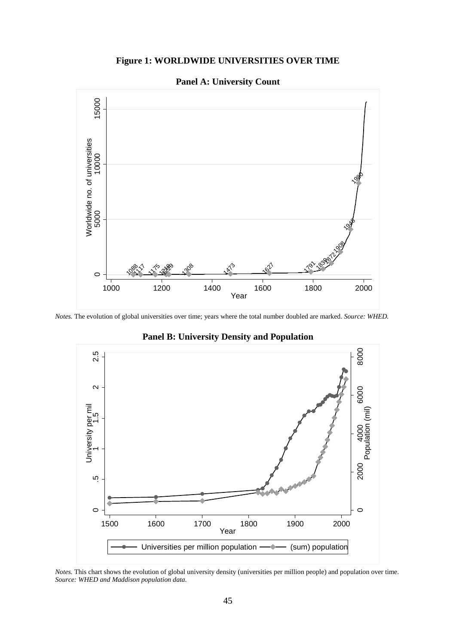## **Figure 1: WORLDWIDE UNIVERSITIES OVER TIME**

#### **Panel A: University Count**



*Notes.* The evolution of global universities over time; years where the total number doubled are marked. *Source: WHED.*



**Panel B: University Density and Population** 

*Notes.* This chart shows the evolution of global university density (universities per million people) and population over time. *Source: WHED and Maddison population data.*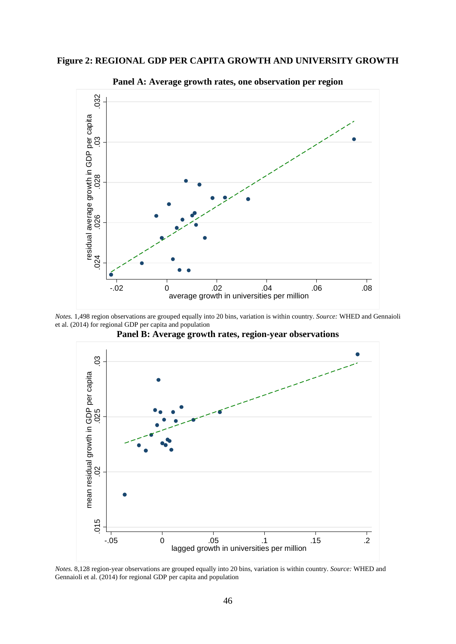



**Panel A: Average growth rates, one observation per region**

*Notes.* 1,498 region observations are grouped equally into 20 bins, variation is within country. *Source:* WHED and Gennaioli et al. (2014) for regional GDP per capita and population



**Panel B: Average growth rates, region-year observations**

*Notes.* 8,128 region-year observations are grouped equally into 20 bins, variation is within country. *Source:* WHED and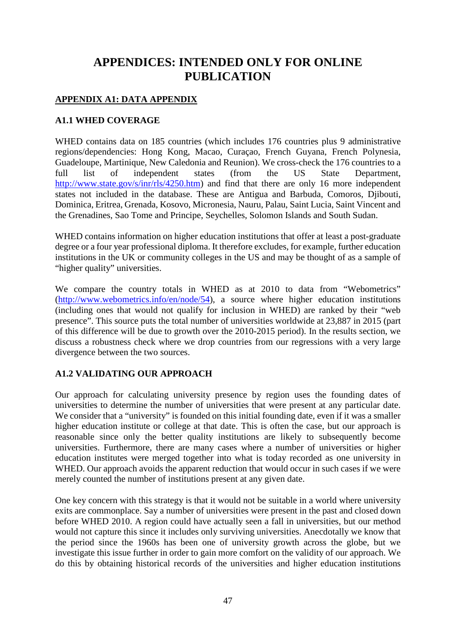# **APPENDICES: INTENDED ONLY FOR ONLINE PUBLICATION**

## **APPENDIX A1: DATA APPENDIX**

## **A1.1 WHED COVERAGE**

WHED contains data on 185 countries (which includes 176 countries plus 9 administrative regions/dependencies: Hong Kong, Macao, Curaçao, French Guyana, French Polynesia, Guadeloupe, Martinique, New Caledonia and Reunion). We cross-check the 176 countries to a<br>full list of independent states (from the US State Denartment. full list of independent states (from the US State Department, [http://www.state.gov/s/inr/rls/4250.htm\)](http://www.state.gov/s/inr/rls/4250.htm) and find that there are only 16 more independent states not included in the database. These are Antigua and Barbuda, Comoros, Djibouti, Dominica, Eritrea, Grenada, Kosovo, Micronesia, Nauru, Palau, Saint Lucia, Saint Vincent and the Grenadines, Sao Tome and Principe, Seychelles, Solomon Islands and South Sudan.

WHED contains information on higher education institutions that offer at least a post-graduate degree or a four year professional diploma. It therefore excludes, for example, further education institutions in the UK or community colleges in the US and may be thought of as a sample of "higher quality" universities.

We compare the country totals in WHED as at 2010 to data from "Webometrics" [\(http://www.webometrics.info/en/node/54\)](http://www.webometrics.info/en/node/54), a source where higher education institutions (including ones that would not qualify for inclusion in WHED) are ranked by their "web presence". This source puts the total number of universities worldwide at 23,887 in 2015 (part of this difference will be due to growth over the 2010-2015 period). In the results section, we discuss a robustness check where we drop countries from our regressions with a very large divergence between the two sources.

## **A1.2 VALIDATING OUR APPROACH**

Our approach for calculating university presence by region uses the founding dates of universities to determine the number of universities that were present at any particular date. We consider that a "university" is founded on this initial founding date, even if it was a smaller higher education institute or college at that date. This is often the case, but our approach is reasonable since only the better quality institutions are likely to subsequently become universities. Furthermore, there are many cases where a number of universities or higher education institutes were merged together into what is today recorded as one university in WHED. Our approach avoids the apparent reduction that would occur in such cases if we were merely counted the number of institutions present at any given date.

One key concern with this strategy is that it would not be suitable in a world where university exits are commonplace. Say a number of universities were present in the past and closed down before WHED 2010. A region could have actually seen a fall in universities, but our method would not capture this since it includes only surviving universities. Anecdotally we know that the period since the 1960s has been one of university growth across the globe, but we investigate this issue further in order to gain more comfort on the validity of our approach. We do this by obtaining historical records of the universities and higher education institutions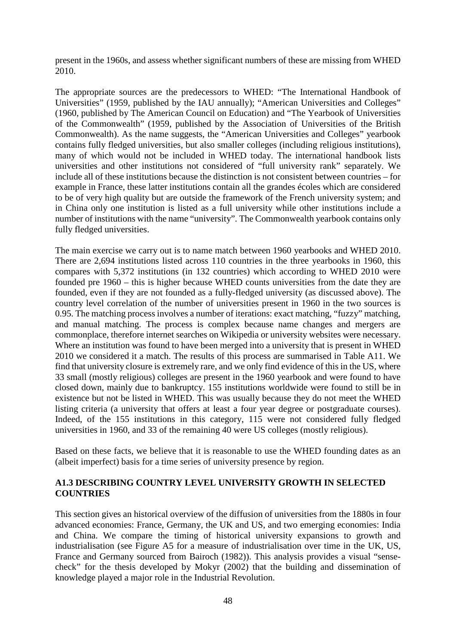present in the 1960s, and assess whether significant numbers of these are missing from WHED 2010.

The appropriate sources are the predecessors to WHED: "The International Handbook of Universities" (1959, published by the IAU annually); "American Universities and Colleges" (1960, published by The American Council on Education) and "The Yearbook of Universities of the Commonwealth" (1959, published by the Association of Universities of the British Commonwealth). As the name suggests, the "American Universities and Colleges" yearbook contains fully fledged universities, but also smaller colleges (including religious institutions), many of which would not be included in WHED today. The international handbook lists universities and other institutions not considered of "full university rank" separately. We include all of these institutions because the distinction is not consistent between countries – for example in France, these latter institutions contain all the grandes écoles which are considered to be of very high quality but are outside the framework of the French university system; and in China only one institution is listed as a full university while other institutions include a number of institutions with the name "university". The Commonwealth yearbook contains only fully fledged universities.

The main exercise we carry out is to name match between 1960 yearbooks and WHED 2010. There are 2,694 institutions listed across 110 countries in the three yearbooks in 1960, this compares with 5,372 institutions (in 132 countries) which according to WHED 2010 were founded pre 1960 – this is higher because WHED counts universities from the date they are founded, even if they are not founded as a fully-fledged university (as discussed above). The country level correlation of the number of universities present in 1960 in the two sources is 0.95. The matching process involves a number of iterations: exact matching, "fuzzy" matching, and manual matching. The process is complex because name changes and mergers are commonplace, therefore internet searches on Wikipedia or university websites were necessary. Where an institution was found to have been merged into a university that is present in WHED 2010 we considered it a match. The results of this process are summarised in Table A11. We find that university closure is extremely rare, and we only find evidence of this in the US, where 33 small (mostly religious) colleges are present in the 1960 yearbook and were found to have closed down, mainly due to bankruptcy. 155 institutions worldwide were found to still be in existence but not be listed in WHED. This was usually because they do not meet the WHED listing criteria (a university that offers at least a four year degree or postgraduate courses). Indeed, of the 155 institutions in this category, 115 were not considered fully fledged universities in 1960, and 33 of the remaining 40 were US colleges (mostly religious).

Based on these facts, we believe that it is reasonable to use the WHED founding dates as an (albeit imperfect) basis for a time series of university presence by region.

### **A1.3 DESCRIBING COUNTRY LEVEL UNIVERSITY GROWTH IN SELECTED COUNTRIES**

This section gives an historical overview of the diffusion of universities from the 1880s in four advanced economies: France, Germany, the UK and US, and two emerging economies: India and China. We compare the timing of historical university expansions to growth and industrialisation (see Figure A5 for a measure of industrialisation over time in the UK, US, France and Germany sourced from Bairoch (1982)). This analysis provides a visual "sensecheck" for the thesis developed by Mokyr (2002) that the building and dissemination of knowledge played a major role in the Industrial Revolution.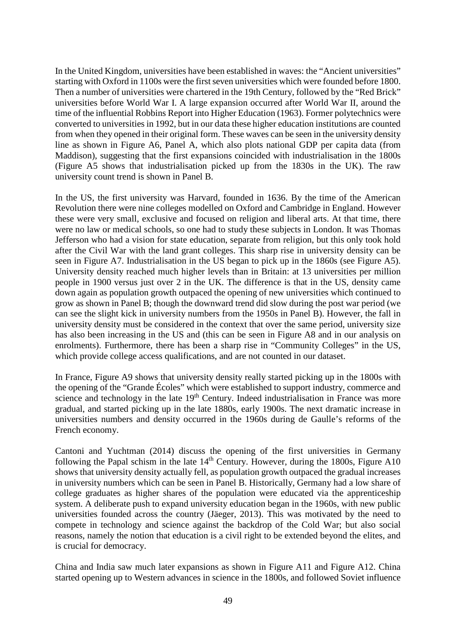In the United Kingdom, universities have been established in waves: the "Ancient universities" starting with Oxford in 1100s were the first seven universities which were founded before 1800. Then a number of universities were chartered in the 19th Century, followed by the "Red Brick" universities before World War I. A large expansion occurred after World War II, around the time of the influential Robbins Report into Higher Education (1963). Former polytechnics were converted to universities in 1992, but in our data these higher education institutions are counted from when they opened in their original form. These waves can be seen in the university density line as shown in Figure A6, Panel A, which also plots national GDP per capita data (from Maddison), suggesting that the first expansions coincided with industrialisation in the 1800s (Figure A5 shows that industrialisation picked up from the 1830s in the UK). The raw university count trend is shown in Panel B.

In the US, the first university was Harvard, founded in 1636. By the time of the American Revolution there were nine colleges modelled on Oxford and Cambridge in England. However these were very small, exclusive and focused on religion and liberal arts. At that time, there were no law or medical schools, so one had to study these subjects in London. It was Thomas Jefferson who had a vision for state education, separate from religion, but this only took hold after the Civil War with the land grant colleges. This sharp rise in university density can be seen in Figure A7. Industrialisation in the US began to pick up in the 1860s (see Figure A5). University density reached much higher levels than in Britain: at 13 universities per million people in 1900 versus just over 2 in the UK. The difference is that in the US, density came down again as population growth outpaced the opening of new universities which continued to grow as shown in Panel B; though the downward trend did slow during the post war period (we can see the slight kick in university numbers from the 1950s in Panel B). However, the fall in university density must be considered in the context that over the same period, university size has also been increasing in the US and (this can be seen in Figure A8 and in our analysis on enrolments). Furthermore, there has been a sharp rise in "Community Colleges" in the US, which provide college access qualifications, and are not counted in our dataset.

In France, Figure A9 shows that university density really started picking up in the 1800s with the opening of the "Grande Écoles" which were established to support industry, commerce and science and technology in the late 19<sup>th</sup> Century. Indeed industrialisation in France was more gradual, and started picking up in the late 1880s, early 1900s. The next dramatic increase in universities numbers and density occurred in the 1960s during de Gaulle's reforms of the French economy.

Cantoni and Yuchtman (2014) discuss the opening of the first universities in Germany following the Papal schism in the late  $14<sup>th</sup>$  Century. However, during the 1800s, Figure A10 shows that university density actually fell, as population growth outpaced the gradual increases in university numbers which can be seen in Panel B. Historically, Germany had a low share of college graduates as higher shares of the population were educated via the apprenticeship system. A deliberate push to expand university education began in the 1960s, with new public universities founded across the country (Jäeger, 2013). This was motivated by the need to compete in technology and science against the backdrop of the Cold War; but also social reasons, namely the notion that education is a civil right to be extended beyond the elites, and is crucial for democracy.

China and India saw much later expansions as shown in Figure A11 and Figure A12. China started opening up to Western advances in science in the 1800s, and followed Soviet influence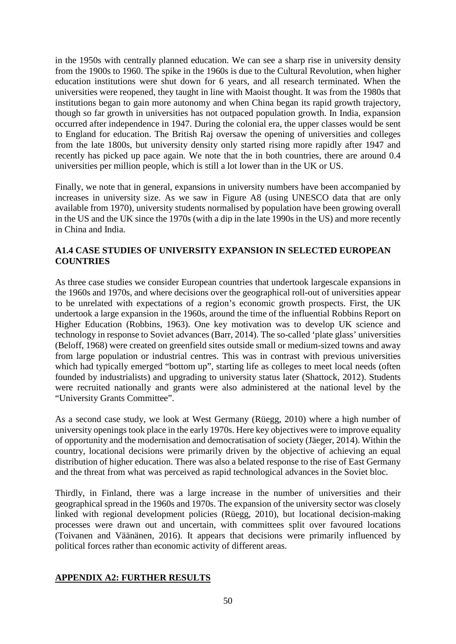in the 1950s with centrally planned education. We can see a sharp rise in university density from the 1900s to 1960. The spike in the 1960s is due to the Cultural Revolution, when higher education institutions were shut down for 6 years, and all research terminated. When the universities were reopened, they taught in line with Maoist thought. It was from the 1980s that institutions began to gain more autonomy and when China began its rapid growth trajectory, though so far growth in universities has not outpaced population growth. In India, expansion occurred after independence in 1947. During the colonial era, the upper classes would be sent to England for education. The British Raj oversaw the opening of universities and colleges from the late 1800s, but university density only started rising more rapidly after 1947 and recently has picked up pace again. We note that the in both countries, there are around 0.4 universities per million people, which is still a lot lower than in the UK or US.

Finally, we note that in general, expansions in university numbers have been accompanied by increases in university size. As we saw in Figure A8 (using UNESCO data that are only available from 1970), university students normalised by population have been growing overall in the US and the UK since the 1970s (with a dip in the late 1990s in the US) and more recently in China and India.

## **A1.4 CASE STUDIES OF UNIVERSITY EXPANSION IN SELECTED EUROPEAN COUNTRIES**

As three case studies we consider European countries that undertook largescale expansions in the 1960s and 1970s, and where decisions over the geographical roll-out of universities appear to be unrelated with expectations of a region's economic growth prospects. First, the UK undertook a large expansion in the 1960s, around the time of the influential Robbins Report on Higher Education (Robbins, 1963). One key motivation was to develop UK science and technology in response to Soviet advances (Barr, 2014). The so-called 'plate glass' universities (Beloff, 1968) were created on greenfield sites outside small or medium-sized towns and away from large population or industrial centres. This was in contrast with previous universities which had typically emerged "bottom up", starting life as colleges to meet local needs (often founded by industrialists) and upgrading to university status later (Shattock, 2012). Students were recruited nationally and grants were also administered at the national level by the "University Grants Committee".

As a second case study, we look at West Germany (Rüegg, 2010) where a high number of university openings took place in the early 1970s. Here key objectives were to improve equality of opportunity and the modernisation and democratisation of society (Jäeger, 2014). Within the country, locational decisions were primarily driven by the objective of achieving an equal distribution of higher education. There was also a belated response to the rise of East Germany and the threat from what was perceived as rapid technological advances in the Soviet bloc.

Thirdly, in Finland, there was a large increase in the number of universities and their geographical spread in the 1960s and 1970s. The expansion of the university sector was closely linked with regional development policies (Rüegg, 2010), but locational decision-making processes were drawn out and uncertain, with committees split over favoured locations (Toivanen and Väänänen, 2016). It appears that decisions were primarily influenced by political forces rather than economic activity of different areas.

## **APPENDIX A2: FURTHER RESULTS**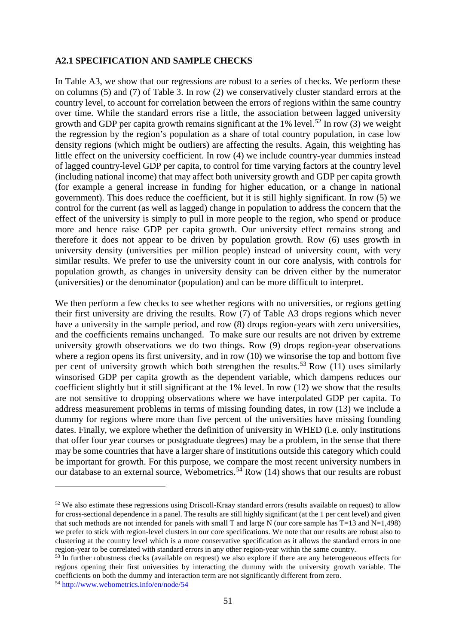#### **A2.1 SPECIFICATION AND SAMPLE CHECKS**

In Table A3, we show that our regressions are robust to a series of checks. We perform these on columns (5) and (7) of Table 3. In row (2) we conservatively cluster standard errors at the country level, to account for correlation between the errors of regions within the same country over time. While the standard errors rise a little, the association between lagged university growth and GDP per capita growth remains significant at the  $1\%$  level.<sup>[52](#page-51-0)</sup> In row (3) we weight the regression by the region's population as a share of total country population, in case low density regions (which might be outliers) are affecting the results. Again, this weighting has little effect on the university coefficient. In row (4) we include country-year dummies instead of lagged country-level GDP per capita, to control for time varying factors at the country level (including national income) that may affect both university growth and GDP per capita growth (for example a general increase in funding for higher education, or a change in national government). This does reduce the coefficient, but it is still highly significant. In row (5) we control for the current (as well as lagged) change in population to address the concern that the effect of the university is simply to pull in more people to the region, who spend or produce more and hence raise GDP per capita growth. Our university effect remains strong and therefore it does not appear to be driven by population growth. Row (6) uses growth in university density (universities per million people) instead of university count, with very similar results. We prefer to use the university count in our core analysis, with controls for population growth, as changes in university density can be driven either by the numerator (universities) or the denominator (population) and can be more difficult to interpret.

We then perform a few checks to see whether regions with no universities, or regions getting their first university are driving the results. Row (7) of Table A3 drops regions which never have a university in the sample period, and row (8) drops region-years with zero universities, and the coefficients remains unchanged. To make sure our results are not driven by extreme university growth observations we do two things. Row (9) drops region-year observations where a region opens its first university, and in row (10) we winsorise the top and bottom five per cent of university growth which both strengthen the results.<sup>[53](#page-51-1)</sup> Row (11) uses similarly winsorised GDP per capita growth as the dependent variable, which dampens reduces our coefficient slightly but it still significant at the 1% level. In row (12) we show that the results are not sensitive to dropping observations where we have interpolated GDP per capita. To address measurement problems in terms of missing founding dates, in row (13) we include a dummy for regions where more than five percent of the universities have missing founding dates. Finally, we explore whether the definition of university in WHED (i.e. only institutions that offer four year courses or postgraduate degrees) may be a problem, in the sense that there may be some countries that have a larger share of institutions outside this category which could be important for growth. For this purpose, we compare the most recent university numbers in our database to an external source, Webometrics.<sup>[54](#page-51-2)</sup> Row (14) shows that our results are robust

-

<span id="page-51-0"></span><sup>&</sup>lt;sup>52</sup> We also estimate these regressions using Driscoll-Kraay standard errors (results available on request) to allow for cross-sectional dependence in a panel. The results are still highly significant (at the 1 per cent level) and given that such methods are not intended for panels with small T and large N (our core sample has  $T=13$  and  $N=1,498$ ) we prefer to stick with region-level clusters in our core specifications. We note that our results are robust also to clustering at the country level which is a more conservative specification as it allows the standard errors in one region-year to be correlated with standard errors in any other region-year within the same country.

<span id="page-51-1"></span><sup>&</sup>lt;sup>53</sup> In further robustness checks (available on request) we also explore if there are any heterogeneous effects for regions opening their first universities by interacting the dummy with the university growth variable. The coefficients on both the dummy and interaction term are not significantly different from zero. 54 <http://www.webometrics.info/en/node/54>

<span id="page-51-2"></span>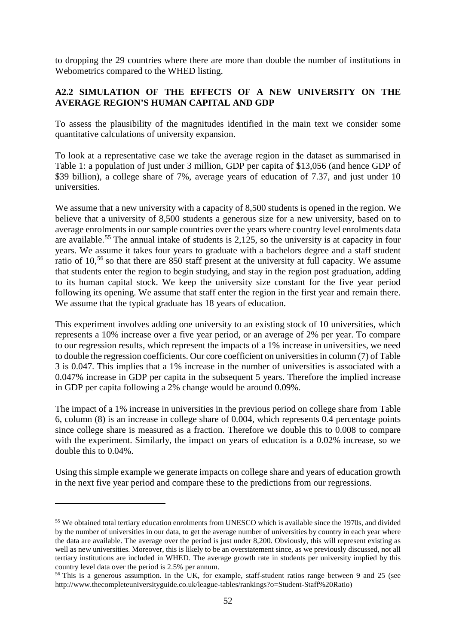to dropping the 29 countries where there are more than double the number of institutions in Webometrics compared to the WHED listing.

## **A2.2 SIMULATION OF THE EFFECTS OF A NEW UNIVERSITY ON THE AVERAGE REGION'S HUMAN CAPITAL AND GDP**

To assess the plausibility of the magnitudes identified in the main text we consider some quantitative calculations of university expansion.

To look at a representative case we take the average region in the dataset as summarised in Table 1: a population of just under 3 million, GDP per capita of \$13,056 (and hence GDP of \$39 billion), a college share of 7%, average years of education of 7.37, and just under 10 universities.

We assume that a new university with a capacity of 8,500 students is opened in the region. We believe that a university of 8,500 students a generous size for a new university, based on to average enrolments in our sample countries over the years where country level enrolments data are available.[55](#page-52-0) The annual intake of students is 2,125, so the university is at capacity in four years. We assume it takes four years to graduate with a bachelors degree and a staff student ratio of 10,<sup>[56](#page-52-1)</sup> so that there are 850 staff present at the university at full capacity. We assume that students enter the region to begin studying, and stay in the region post graduation, adding to its human capital stock. We keep the university size constant for the five year period following its opening. We assume that staff enter the region in the first year and remain there. We assume that the typical graduate has 18 years of education.

This experiment involves adding one university to an existing stock of 10 universities, which represents a 10% increase over a five year period, or an average of 2% per year. To compare to our regression results, which represent the impacts of a 1% increase in universities, we need to double the regression coefficients. Our core coefficient on universities in column (7) of Table 3 is 0.047. This implies that a 1% increase in the number of universities is associated with a 0.047% increase in GDP per capita in the subsequent 5 years. Therefore the implied increase in GDP per capita following a 2% change would be around 0.09%.

The impact of a 1% increase in universities in the previous period on college share from Table 6, column (8) is an increase in college share of 0.004, which represents 0.4 percentage points since college share is measured as a fraction. Therefore we double this to 0.008 to compare with the experiment. Similarly, the impact on years of education is a 0.02% increase, so we double this to 0.04%.

Using this simple example we generate impacts on college share and years of education growth in the next five year period and compare these to the predictions from our regressions.

-

<span id="page-52-0"></span><sup>55</sup> We obtained total tertiary education enrolments from UNESCO which is available since the 1970s, and divided by the number of universities in our data, to get the average number of universities by country in each year where the data are available. The average over the period is just under 8,200. Obviously, this will represent existing as well as new universities. Moreover, this is likely to be an overstatement since, as we previously discussed, not all tertiary institutions are included in WHED. The average growth rate in students per university implied by this country level data over the period is 2.5% per annum.

<span id="page-52-1"></span><sup>56</sup> This is a generous assumption. In the UK, for example, staff-student ratios range between 9 and 25 (see http://www.thecompleteuniversityguide.co.uk/league-tables/rankings?o=Student-Staff%20Ratio)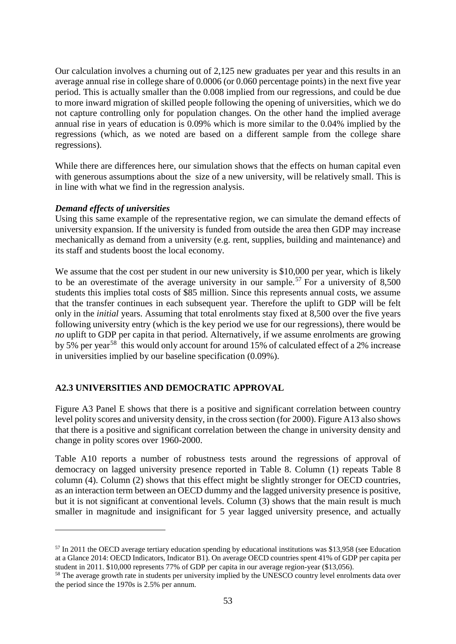Our calculation involves a churning out of 2,125 new graduates per year and this results in an average annual rise in college share of 0.0006 (or 0.060 percentage points) in the next five year period. This is actually smaller than the 0.008 implied from our regressions, and could be due to more inward migration of skilled people following the opening of universities, which we do not capture controlling only for population changes. On the other hand the implied average annual rise in years of education is 0.09% which is more similar to the 0.04% implied by the regressions (which, as we noted are based on a different sample from the college share regressions).

While there are differences here, our simulation shows that the effects on human capital even with generous assumptions about the size of a new university, will be relatively small. This is in line with what we find in the regression analysis.

#### *Demand effects of universities*

<u>.</u>

Using this same example of the representative region, we can simulate the demand effects of university expansion. If the university is funded from outside the area then GDP may increase mechanically as demand from a university (e.g. rent, supplies, building and maintenance) and its staff and students boost the local economy.

We assume that the cost per student in our new university is \$10,000 per year, which is likely to be an overestimate of the average university in our sample.<sup>[57](#page-53-0)</sup> For a university of 8,500 students this implies total costs of \$85 million. Since this represents annual costs, we assume that the transfer continues in each subsequent year. Therefore the uplift to GDP will be felt only in the *initial* years. Assuming that total enrolments stay fixed at 8,500 over the five years following university entry (which is the key period we use for our regressions), there would be *no* uplift to GDP per capita in that period. Alternatively, if we assume enrolments are growing by 5% per year<sup>[58](#page-53-1)</sup> this would only account for around 15% of calculated effect of a 2% increase in universities implied by our baseline specification (0.09%).

## **A2.3 UNIVERSITIES AND DEMOCRATIC APPROVAL**

Figure A3 Panel E shows that there is a positive and significant correlation between country level polity scores and university density, in the cross section (for 2000). Figure A13 also shows that there is a positive and significant correlation between the change in university density and change in polity scores over 1960-2000.

Table A10 reports a number of robustness tests around the regressions of approval of democracy on lagged university presence reported in Table 8. Column (1) repeats Table 8 column (4). Column (2) shows that this effect might be slightly stronger for OECD countries, as an interaction term between an OECD dummy and the lagged university presence is positive, but it is not significant at conventional levels. Column (3) shows that the main result is much smaller in magnitude and insignificant for 5 year lagged university presence, and actually

<span id="page-53-0"></span><sup>57</sup> In 2011 the OECD average tertiary education spending by educational institutions was \$13,958 (see Education at a Glance 2014: OECD Indicators, Indicator B1). On average OECD countries spent 41% of GDP per capita per student in 2011. \$10,000 represents 77% of GDP per capita in our average region-year (\$13,056).<br><sup>58</sup> The average growth rate in students per university implied by the UNESCO country level enrolments data over

<span id="page-53-1"></span>the period since the 1970s is 2.5% per annum.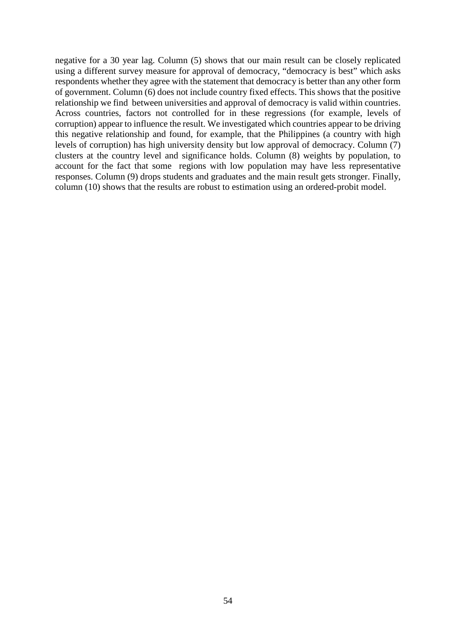negative for a 30 year lag. Column (5) shows that our main result can be closely replicated using a different survey measure for approval of democracy, "democracy is best" which asks respondents whether they agree with the statement that democracy is better than any other form of government. Column (6) does not include country fixed effects. This shows that the positive relationship we find between universities and approval of democracy is valid within countries. Across countries, factors not controlled for in these regressions (for example, levels of corruption) appear to influence the result. We investigated which countries appear to be driving this negative relationship and found, for example, that the Philippines (a country with high levels of corruption) has high university density but low approval of democracy. Column (7) clusters at the country level and significance holds. Column (8) weights by population, to account for the fact that some regions with low population may have less representative responses. Column (9) drops students and graduates and the main result gets stronger. Finally, column (10) shows that the results are robust to estimation using an ordered-probit model.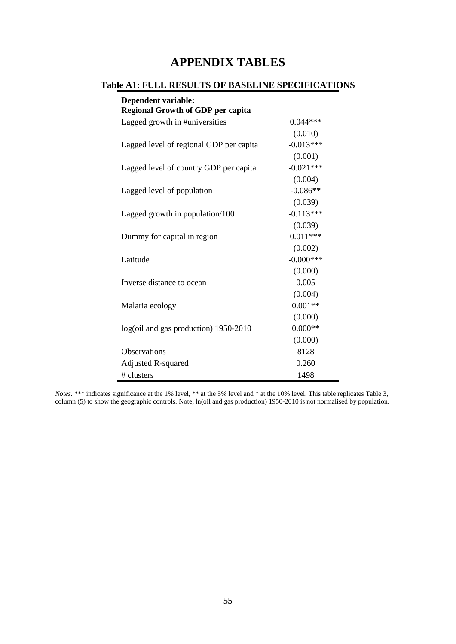## **APPENDIX TABLES**

## **Table A1: FULL RESULTS OF BASELINE SPECIFICATIONS**

| <b>Dependent variable:</b><br><b>Regional Growth of GDP per capita</b> |              |
|------------------------------------------------------------------------|--------------|
| Lagged growth in #universities                                         | $0.044***$   |
|                                                                        | (0.010)      |
| Lagged level of regional GDP per capita                                | $-0.013***$  |
|                                                                        | (0.001)      |
| Lagged level of country GDP per capita                                 | $-0.021***$  |
|                                                                        | (0.004)      |
| Lagged level of population                                             | $-0.086**$   |
|                                                                        | (0.039)      |
| Lagged growth in population/100                                        | $-0.113***$  |
|                                                                        | (0.039)      |
| Dummy for capital in region                                            | $0.011***$   |
|                                                                        | (0.002)      |
| Latitude                                                               | $-0.000$ *** |
|                                                                        | (0.000)      |
| Inverse distance to ocean                                              | 0.005        |
|                                                                        | (0.004)      |
| Malaria ecology                                                        | $0.001**$    |
|                                                                        | (0.000)      |
| log(oil and gas production) 1950-2010                                  | $0.000**$    |
|                                                                        | (0.000)      |
| <b>Observations</b>                                                    | 8128         |
| <b>Adjusted R-squared</b>                                              | 0.260        |
| # clusters                                                             | 1498         |

*Notes.* \*\*\* indicates significance at the 1% level, \*\* at the 5% level and \* at the 10% level. This table replicates Table 3, column (5) to show the geographic controls. Note, ln(oil and gas production) 1950-2010 is not normalised by population.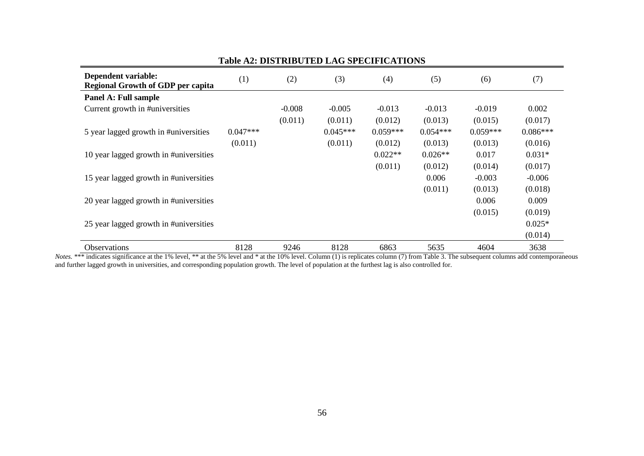| Dependent variable:<br><b>Regional Growth of GDP per capita</b> | (1)        | (2)      | (3)        | (4)        | (5)        | (6)        | (7)        |
|-----------------------------------------------------------------|------------|----------|------------|------------|------------|------------|------------|
| Panel A: Full sample                                            |            |          |            |            |            |            |            |
| Current growth in #universities                                 |            | $-0.008$ | $-0.005$   | $-0.013$   | $-0.013$   | $-0.019$   | 0.002      |
|                                                                 |            | (0.011)  | (0.011)    | (0.012)    | (0.013)    | (0.015)    | (0.017)    |
| 5 year lagged growth in #universities                           | $0.047***$ |          | $0.045***$ | $0.059***$ | $0.054***$ | $0.059***$ | $0.086***$ |
|                                                                 | (0.011)    |          | (0.011)    | (0.012)    | (0.013)    | (0.013)    | (0.016)    |
| 10 year lagged growth in #universities                          |            |          |            | $0.022**$  | $0.026**$  | 0.017      | $0.031*$   |
|                                                                 |            |          |            | (0.011)    | (0.012)    | (0.014)    | (0.017)    |
| 15 year lagged growth in #universities                          |            |          |            |            | 0.006      | $-0.003$   | $-0.006$   |
|                                                                 |            |          |            |            | (0.011)    | (0.013)    | (0.018)    |
| 20 year lagged growth in #universities                          |            |          |            |            |            | 0.006      | 0.009      |
|                                                                 |            |          |            |            |            | (0.015)    | (0.019)    |
| 25 year lagged growth in #universities                          |            |          |            |            |            |            | $0.025*$   |
|                                                                 |            |          |            |            |            |            | (0.014)    |
| Observations                                                    | 8128       | 9246     | 8128       | 6863       | 5635       | 4604       | 3638       |

#### **Table A2: DISTRIBUTED LAG SPECIFICATIONS**

*Notes.* \*\*\* indicates significance at the 1% level, \*\* at the 5% level and \* at the 10% level. Column (1) is replicates column (7) from Table 3. The subsequent columns add contemporaneous and further lagged growth in universities, and corresponding population growth. The level of population at the furthest lag is also controlled for.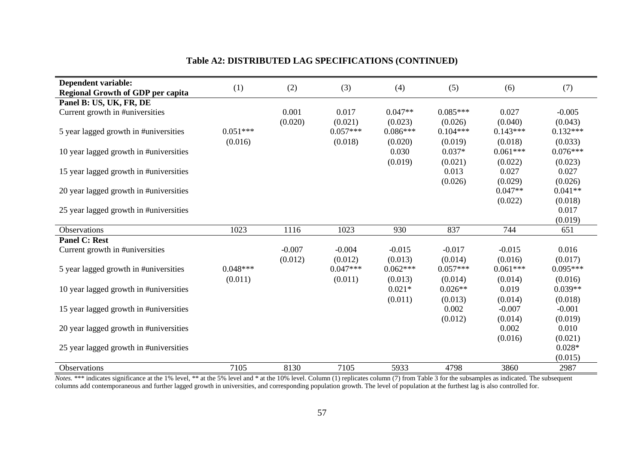| Dependent variable:                      | (1)        | (2)      | (3)        | (4)        | (5)        | (6)        | (7)             |
|------------------------------------------|------------|----------|------------|------------|------------|------------|-----------------|
| <b>Regional Growth of GDP per capita</b> |            |          |            |            |            |            |                 |
| Panel B: US, UK, FR, DE                  |            |          |            |            |            |            |                 |
| Current growth in #universities          |            | 0.001    | 0.017      | $0.047**$  | $0.085***$ | 0.027      | $-0.005$        |
|                                          |            | (0.020)  | (0.021)    | (0.023)    | (0.026)    | (0.040)    | (0.043)         |
| 5 year lagged growth in #universities    | $0.051***$ |          | $0.057***$ | $0.086***$ | $0.104***$ | $0.143***$ | $0.132***$      |
|                                          | (0.016)    |          | (0.018)    | (0.020)    | (0.019)    | (0.018)    | (0.033)         |
| 10 year lagged growth in #universities   |            |          |            | 0.030      | $0.037*$   | $0.061***$ | $0.076***$      |
|                                          |            |          |            | (0.019)    | (0.021)    | (0.022)    | (0.023)         |
| 15 year lagged growth in #universities   |            |          |            |            | 0.013      | 0.027      | 0.027           |
|                                          |            |          |            |            | (0.026)    | (0.029)    | (0.026)         |
| 20 year lagged growth in #universities   |            |          |            |            |            | $0.047**$  | $0.041**$       |
|                                          |            |          |            |            |            | (0.022)    | (0.018)         |
|                                          |            |          |            |            |            |            |                 |
| 25 year lagged growth in #universities   |            |          |            |            |            |            | 0.017           |
|                                          |            |          |            |            |            |            | (0.019)         |
| Observations                             | 1023       | 1116     | 1023       | 930        | 837        | 744        | 651             |
| <b>Panel C: Rest</b>                     |            |          |            |            |            |            |                 |
| Current growth in #universities          |            | $-0.007$ | $-0.004$   | $-0.015$   | $-0.017$   | $-0.015$   | 0.016           |
|                                          |            |          |            |            |            |            |                 |
|                                          |            | (0.012)  | (0.012)    | (0.013)    | (0.014)    | (0.016)    | (0.017)         |
| 5 year lagged growth in #universities    | $0.048***$ |          | $0.047***$ | $0.062***$ | $0.057***$ | $0.061***$ | $0.095***$      |
|                                          | (0.011)    |          | (0.011)    | (0.013)    | (0.014)    | (0.014)    | (0.016)         |
| 10 year lagged growth in #universities   |            |          |            | $0.021*$   | $0.026**$  | 0.019      | $0.039**$       |
|                                          |            |          |            |            |            |            |                 |
|                                          |            |          |            | (0.011)    | (0.013)    | (0.014)    | (0.018)         |
| 15 year lagged growth in #universities   |            |          |            |            | 0.002      | $-0.007$   | $-0.001$        |
|                                          |            |          |            |            | (0.012)    | (0.014)    | (0.019)         |
| 20 year lagged growth in #universities   |            |          |            |            |            | 0.002      | 0.010           |
|                                          |            |          |            |            |            | (0.016)    | (0.021)         |
| 25 year lagged growth in #universities   |            |          |            |            |            |            | $0.028*$        |
| Observations                             | 7105       | 8130     | 7105       | 5933       | 4798       | 3860       | (0.015)<br>2987 |

*Notes.* \*\*\* indicates significance at the 1% level, \*\* at the 5% level and \* at the 10% level. Column (1) replicates column (7) from Table 3 for the subsamples as indicated. The subsequent columns add contemporaneous and further lagged growth in universities, and corresponding population growth. The level of population at the furthest lag is also controlled for.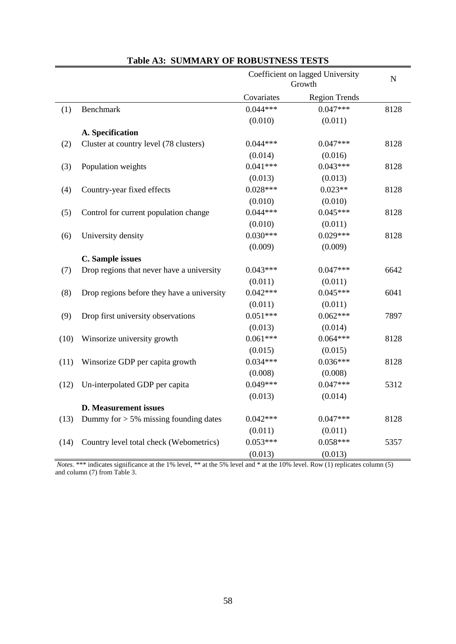|      |                                            | Coefficient on lagged University<br>Growth |                      | $\overline{N}$ |
|------|--------------------------------------------|--------------------------------------------|----------------------|----------------|
|      |                                            | Covariates                                 | <b>Region Trends</b> |                |
| (1)  | Benchmark                                  | $0.044***$                                 | $0.047***$           | 8128           |
|      |                                            | (0.010)                                    | (0.011)              |                |
|      | A. Specification                           |                                            |                      |                |
| (2)  | Cluster at country level (78 clusters)     | $0.044***$                                 | $0.047***$           | 8128           |
|      |                                            | (0.014)                                    | (0.016)              |                |
| (3)  | Population weights                         | $0.041***$                                 | $0.043***$           | 8128           |
|      |                                            | (0.013)                                    | (0.013)              |                |
| (4)  | Country-year fixed effects                 | $0.028***$                                 | $0.023**$            | 8128           |
|      |                                            | (0.010)                                    | (0.010)              |                |
| (5)  | Control for current population change      | $0.044***$                                 | $0.045***$           | 8128           |
|      |                                            | (0.010)                                    | (0.011)              |                |
| (6)  | University density                         | $0.030***$                                 | $0.029***$           | 8128           |
|      |                                            | (0.009)                                    | (0.009)              |                |
|      | C. Sample issues                           |                                            |                      |                |
| (7)  | Drop regions that never have a university  | $0.043***$                                 | $0.047***$           | 6642           |
|      |                                            | (0.011)                                    | (0.011)              |                |
| (8)  | Drop regions before they have a university | $0.042***$                                 | $0.045***$           | 6041           |
|      |                                            | (0.011)                                    | (0.011)              |                |
| (9)  | Drop first university observations         | $0.051***$                                 | $0.062***$           | 7897           |
|      |                                            | (0.013)                                    | (0.014)              |                |
| (10) | Winsorize university growth                | $0.061***$                                 | $0.064***$           | 8128           |
|      |                                            | (0.015)                                    | (0.015)              |                |
| (11) | Winsorize GDP per capita growth            | $0.034***$                                 | $0.036***$           | 8128           |
|      |                                            | (0.008)                                    | (0.008)              |                |
| (12) | Un-interpolated GDP per capita             | $0.049***$                                 | $0.047***$           | 5312           |
|      |                                            | (0.013)                                    | (0.014)              |                |
|      | <b>D.</b> Measurement issues               |                                            |                      |                |
| (13) | Dummy for $> 5\%$ missing founding dates   | $0.042***$                                 | $0.047***$           | 8128           |
|      |                                            | (0.011)                                    | (0.011)              |                |
| (14) | Country level total check (Webometrics)    | $0.053***$                                 | $0.058***$           | 5357           |
|      |                                            | (0.013)                                    | (0.013)              |                |

## **Table A3: SUMMARY OF ROBUSTNESS TESTS**

*Notes.* \*\*\* indicates significance at the 1% level, \*\* at the 5% level and \* at the 10% level. Row (1) replicates column (5) and column (7) from Table 3.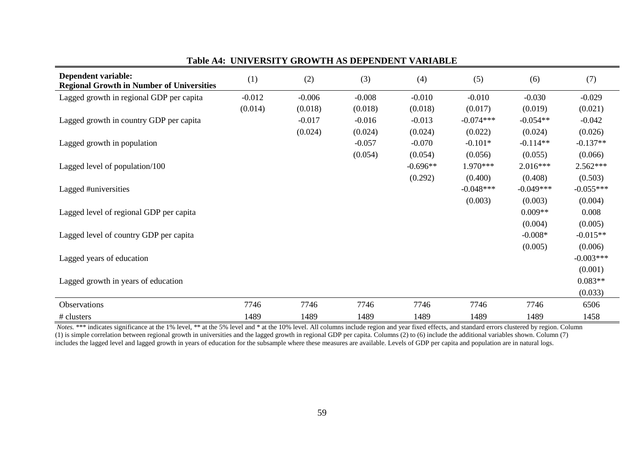| Dependent variable:<br><b>Regional Growth in Number of Universities</b> | (1)      | (2)      | (3)      | (4)        | (5)         | (6)         | (7)         |
|-------------------------------------------------------------------------|----------|----------|----------|------------|-------------|-------------|-------------|
| Lagged growth in regional GDP per capita                                | $-0.012$ | $-0.006$ | $-0.008$ | $-0.010$   | $-0.010$    | $-0.030$    | $-0.029$    |
|                                                                         | (0.014)  | (0.018)  | (0.018)  | (0.018)    | (0.017)     | (0.019)     | (0.021)     |
| Lagged growth in country GDP per capita                                 |          | $-0.017$ | $-0.016$ | $-0.013$   | $-0.074***$ | $-0.054**$  | $-0.042$    |
|                                                                         |          | (0.024)  | (0.024)  | (0.024)    | (0.022)     | (0.024)     | (0.026)     |
| Lagged growth in population                                             |          |          | $-0.057$ | $-0.070$   | $-0.101*$   | $-0.114**$  | $-0.137**$  |
|                                                                         |          |          | (0.054)  | (0.054)    | (0.056)     | (0.055)     | (0.066)     |
| Lagged level of population/100                                          |          |          |          | $-0.696**$ | $1.970***$  | $2.016***$  | $2.562***$  |
|                                                                         |          |          |          | (0.292)    | (0.400)     | (0.408)     | (0.503)     |
| Lagged #universities                                                    |          |          |          |            | $-0.048***$ | $-0.049***$ | $-0.055***$ |
|                                                                         |          |          |          |            | (0.003)     | (0.003)     | (0.004)     |
| Lagged level of regional GDP per capita                                 |          |          |          |            |             | $0.009**$   | 0.008       |
|                                                                         |          |          |          |            |             | (0.004)     | (0.005)     |
| Lagged level of country GDP per capita                                  |          |          |          |            |             | $-0.008*$   | $-0.015**$  |
|                                                                         |          |          |          |            |             | (0.005)     | (0.006)     |
| Lagged years of education                                               |          |          |          |            |             |             | $-0.003***$ |
|                                                                         |          |          |          |            |             |             | (0.001)     |
| Lagged growth in years of education                                     |          |          |          |            |             |             | $0.083**$   |
|                                                                         |          |          |          |            |             |             | (0.033)     |
| Observations                                                            | 7746     | 7746     | 7746     | 7746       | 7746        | 7746        | 6506        |
| # clusters                                                              | 1489     | 1489     | 1489     | 1489       | 1489        | 1489        | 1458        |

### **Table A4: UNIVERSITY GROWTH AS DEPENDENT VARIABLE**

*Notes.* \*\*\* indicates significance at the 1% level, \*\* at the 5% level and \* at the 10% level. All columns include region and year fixed effects, and standard errors clustered by region. Column (1) is simple correlation between regional growth in universities and the lagged growth in regional GDP per capita. Columns (2) to (6) include the additional variables shown. Column (7) includes the lagged level and lagged growth in years of education for the subsample where these measures are available. Levels of GDP per capita and population are in natural logs.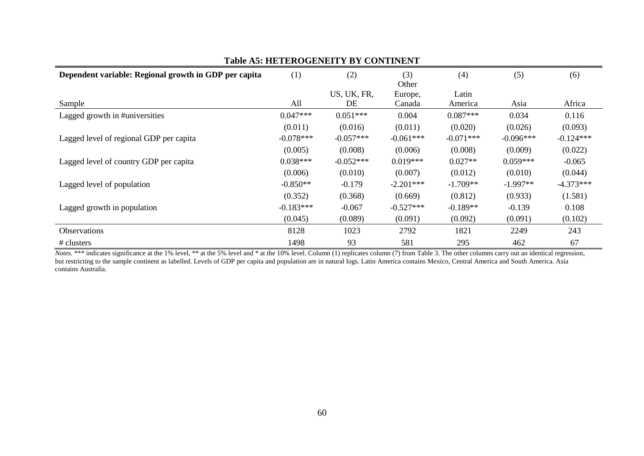| Dependent variable: Regional growth in GDP per capita | (1)         | (2)         | (3)<br>Other | (4)         | (5)         | (6)         |
|-------------------------------------------------------|-------------|-------------|--------------|-------------|-------------|-------------|
|                                                       |             | US, UK, FR, | Europe,      | Latin       |             |             |
| Sample                                                | All         | DE          | Canada       | America     | Asia        | Africa      |
| Lagged growth in #universities                        | $0.047***$  | $0.051***$  | 0.004        | $0.087***$  | 0.034       | 0.116       |
|                                                       | (0.011)     | (0.016)     | (0.011)      | (0.020)     | (0.026)     | (0.093)     |
| Lagged level of regional GDP per capita               | $-0.078***$ | $-0.057***$ | $-0.061***$  | $-0.071***$ | $-0.096***$ | $-0.124***$ |
|                                                       | (0.005)     | (0.008)     | (0.006)      | (0.008)     | (0.009)     | (0.022)     |
| Lagged level of country GDP per capita                | $0.038***$  | $-0.052***$ | $0.019***$   | $0.027**$   | $0.059***$  | $-0.065$    |
|                                                       | (0.006)     | (0.010)     | (0.007)      | (0.012)     | (0.010)     | (0.044)     |
| Lagged level of population                            | $-0.850**$  | $-0.179$    | $-2.201***$  | $-1.709**$  | $-1.997**$  | $-4.373***$ |
|                                                       | (0.352)     | (0.368)     | (0.669)      | (0.812)     | (0.933)     | (1.581)     |
| Lagged growth in population                           | $-0.183***$ | $-0.067$    | $-0.527***$  | $-0.189**$  | $-0.139$    | 0.108       |
|                                                       | (0.045)     | (0.089)     | (0.091)      | (0.092)     | (0.091)     | (0.102)     |
| <b>Observations</b>                                   | 8128        | 1023        | 2792         | 1821        | 2249        | 243         |
| # clusters                                            | 1498        | 93          | 581          | 295         | 462         | 67          |

**Table A5: HETEROGENEITY BY CONTINENT**

*Notes.* \*\*\* indicates significance at the 1% level, \*\* at the 5% level and \* at the 10% level. Column (1) replicates column (7) from Table 3. The other columns carry out an identical regression, but restricting to the sample continent as labelled. Levels of GDP per capita and population are in natural logs. Latin America contains Mexico, Central America and South America. Asia contains Australia.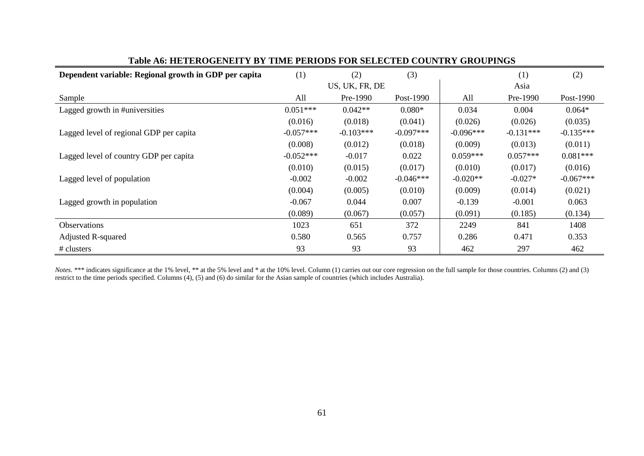| Dependent variable: Regional growth in GDP per capita | (1)<br>(2)<br>(3) |                |             | (1)         | (2)         |             |
|-------------------------------------------------------|-------------------|----------------|-------------|-------------|-------------|-------------|
|                                                       |                   | US, UK, FR, DE |             |             | Asia        |             |
| Sample                                                | All               | Pre-1990       | Post-1990   | All         | Pre-1990    | Post-1990   |
| Lagged growth in #universities                        | $0.051***$        | $0.042**$      | $0.080*$    | 0.034       | 0.004       | $0.064*$    |
|                                                       | (0.016)           | (0.018)        | (0.041)     | (0.026)     | (0.026)     | (0.035)     |
| Lagged level of regional GDP per capita               | $-0.057***$       | $-0.103***$    | $-0.097***$ | $-0.096***$ | $-0.131***$ | $-0.135***$ |
|                                                       | (0.008)           | (0.012)        | (0.018)     | (0.009)     | (0.013)     | (0.011)     |
| Lagged level of country GDP per capita                | $-0.052***$       | $-0.017$       | 0.022       | $0.059***$  | $0.057***$  | $0.081***$  |
|                                                       | (0.010)           | (0.015)        | (0.017)     | (0.010)     | (0.017)     | (0.016)     |
| Lagged level of population                            | $-0.002$          | $-0.002$       | $-0.046***$ | $-0.020**$  | $-0.027*$   | $-0.067***$ |
|                                                       | (0.004)           | (0.005)        | (0.010)     | (0.009)     | (0.014)     | (0.021)     |
| Lagged growth in population                           | $-0.067$          | 0.044          | 0.007       | $-0.139$    | $-0.001$    | 0.063       |
|                                                       | (0.089)           | (0.067)        | (0.057)     | (0.091)     | (0.185)     | (0.134)     |
| <b>Observations</b>                                   | 1023              | 651            | 372         | 2249        | 841         | 1408        |
| <b>Adjusted R-squared</b>                             | 0.580             | 0.565          | 0.757       | 0.286       | 0.471       | 0.353       |
| # clusters                                            | 93                | 93             | 93          | 462         | 297         | 462         |

#### **Table A6: HETEROGENEITY BY TIME PERIODS FOR SELECTED COUNTRY GROUPINGS**

*Notes.* \*\*\* indicates significance at the 1% level, \*\* at the 5% level and \* at the 10% level. Column (1) carries out our core regression on the full sample for those countries. Columns (2) and (3) restrict to the time periods specified. Columns (4), (5) and (6) do similar for the Asian sample of countries (which includes Australia).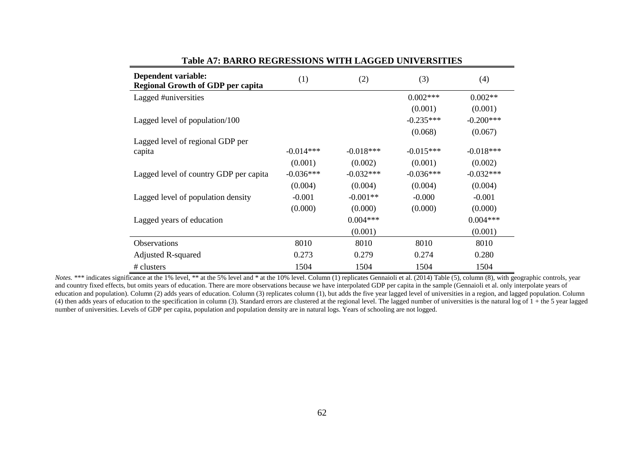| Dependent variable:<br><b>Regional Growth of GDP per capita</b> | (1)         | (2)         | (3)         | (4)         |
|-----------------------------------------------------------------|-------------|-------------|-------------|-------------|
| Lagged #universities                                            |             |             | $0.002***$  | $0.002**$   |
|                                                                 |             |             | (0.001)     | (0.001)     |
| Lagged level of population/100                                  |             |             | $-0.235***$ | $-0.200***$ |
|                                                                 |             |             | (0.068)     | (0.067)     |
| Lagged level of regional GDP per                                |             |             |             |             |
| capita                                                          | $-0.014***$ | $-0.018***$ | $-0.015***$ | $-0.018***$ |
|                                                                 | (0.001)     | (0.002)     | (0.001)     | (0.002)     |
| Lagged level of country GDP per capita                          | $-0.036***$ | $-0.032***$ | $-0.036***$ | $-0.032***$ |
|                                                                 | (0.004)     | (0.004)     | (0.004)     | (0.004)     |
| Lagged level of population density                              | $-0.001$    | $-0.001**$  | $-0.000$    | $-0.001$    |
|                                                                 | (0.000)     | (0.000)     | (0.000)     | (0.000)     |
| Lagged years of education                                       |             | $0.004***$  |             | $0.004***$  |
|                                                                 |             | (0.001)     |             | (0.001)     |
| Observations                                                    | 8010        | 8010        | 8010        | 8010        |
| Adjusted R-squared                                              | 0.273       | 0.279       | 0.274       | 0.280       |
| # clusters                                                      | 1504        | 1504        | 1504        | 1504        |

#### **Table A7: BARRO REGRESSIONS WITH LAGGED UNIVERSITIES**

*Notes.* \*\*\* indicates significance at the 1% level, \*\* at the 5% level and \* at the 10% level. Column (1) replicates Gennaioli et al. (2014) Table (5), column (8), with geographic controls, year and country fixed effects, but omits years of education. There are more observations because we have interpolated GDP per capita in the sample (Gennaioli et al. only interpolate years of education and population). Column (2) adds years of education. Column (3) replicates column (1), but adds the five year lagged level of universities in a region, and lagged population. Column (4) then adds years of education to the specification in column (3). Standard errors are clustered at the regional level. The lagged number of universities is the natural log of  $1 +$  the 5 year lagged number of universities. Levels of GDP per capita, population and population density are in natural logs. Years of schooling are not logged.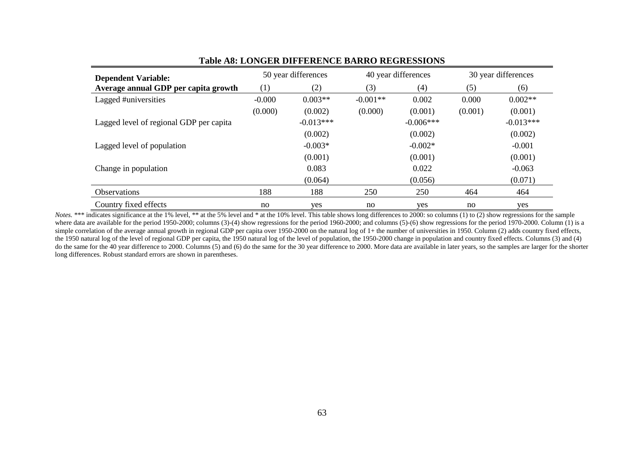| <b>Dependent Variable:</b>              |          | 50 year differences |            | 40 year differences | 30 year differences |             |
|-----------------------------------------|----------|---------------------|------------|---------------------|---------------------|-------------|
| Average annual GDP per capita growth    | (1)      | (2)                 | (3)        | (4)                 | (5)                 | (6)         |
| Lagged #universities                    | $-0.000$ | $0.003**$           | $-0.001**$ | 0.002               | 0.000               | $0.002**$   |
|                                         | (0.000)  | (0.002)             | (0.000)    | (0.001)             | (0.001)             | (0.001)     |
| Lagged level of regional GDP per capita |          | $-0.013***$         |            | $-0.006***$         |                     | $-0.013***$ |
|                                         |          | (0.002)             |            | (0.002)             |                     | (0.002)     |
| Lagged level of population              |          | $-0.003*$           |            | $-0.002*$           |                     | $-0.001$    |
|                                         |          | (0.001)             |            | (0.001)             |                     | (0.001)     |
| Change in population                    |          | 0.083               |            | 0.022               |                     | $-0.063$    |
|                                         |          | (0.064)             |            | (0.056)             |                     | (0.071)     |
| <b>Observations</b>                     | 188      | 188                 | 250        | 250                 | 464                 | 464         |
| Country fixed effects                   | no       | yes                 | no         | yes                 | no                  | yes         |

#### **Table A8: LONGER DIFFERENCE BARRO REGRESSIONS**

*Notes.* \*\*\* indicates significance at the 1% level, \*\* at the 5% level and \* at the 10% level. This table shows long differences to 2000: so columns (1) to (2) show regressions for the sample where data are available for the period 1950-2000; columns (3)-(4) show regressions for the period 1960-2000; and columns (5)-(6) show regressions for the period 1970-2000. Column (1) is a simple correlation of the average annual growth in regional GDP per capita over 1950-2000 on the natural log of 1+ the number of universities in 1950. Column (2) adds country fixed effects, the 1950 natural log of the level of regional GDP per capita, the 1950 natural log of the level of population, the 1950-2000 change in population and country fixed effects. Columns (3) and (4) do the same for the 40 year difference to 2000. Columns (5) and (6) do the same for the 30 year difference to 2000. More data are available in later years, so the samples are larger for the shorter long differences. Robust standard errors are shown in parentheses.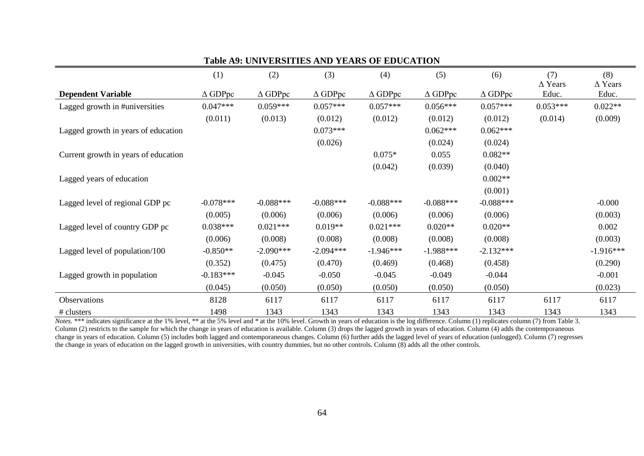|                                      | (1)               | (2)               | (3)               | (4)               | (5)               | (6)               | (7)<br>$\Delta$ Years | (8)<br>$\Delta$ Years |
|--------------------------------------|-------------------|-------------------|-------------------|-------------------|-------------------|-------------------|-----------------------|-----------------------|
| <b>Dependent Variable</b>            | $\triangle$ GDPpc | $\triangle$ GDPpc | $\triangle$ GDPpc | $\triangle$ GDPpc | $\triangle$ GDPpc | $\triangle$ GDPpc | Educ.                 | Educ.                 |
| Lagged growth in #universities       | $0.047***$        | $0.059***$        | $0.057***$        | $0.057***$        | $0.056***$        | $0.057***$        | $0.053***$            | $0.022**$             |
|                                      | (0.011)           | (0.013)           | (0.012)           | (0.012)           | (0.012)           | (0.012)           | (0.014)               | (0.009)               |
| Lagged growth in years of education  |                   |                   | $0.073***$        |                   | $0.062***$        | $0.062***$        |                       |                       |
|                                      |                   |                   | (0.026)           |                   | (0.024)           | (0.024)           |                       |                       |
| Current growth in years of education |                   |                   |                   | $0.075*$          | 0.055             | $0.082**$         |                       |                       |
|                                      |                   |                   |                   | (0.042)           | (0.039)           | (0.040)           |                       |                       |
| Lagged years of education            |                   |                   |                   |                   |                   | $0.002**$         |                       |                       |
|                                      |                   |                   |                   |                   |                   | (0.001)           |                       |                       |
| Lagged level of regional GDP pc      | $-0.078***$       | $-0.088***$       | $-0.088***$       | $-0.088***$       | $-0.088***$       | $-0.088***$       |                       | $-0.000$              |
|                                      | (0.005)           | (0.006)           | (0.006)           | (0.006)           | (0.006)           | (0.006)           |                       | (0.003)               |
| Lagged level of country GDP pc       | $0.038***$        | $0.021***$        | $0.019**$         | $0.021***$        | $0.020**$         | $0.020**$         |                       | 0.002                 |
|                                      | (0.006)           | (0.008)           | (0.008)           | (0.008)           | (0.008)           | (0.008)           |                       | (0.003)               |
| Lagged level of population/100       | $-0.850**$        | $-2.090***$       | $-2.094***$       | $-1.946***$       | $-1.988***$       | $-2.132***$       |                       | $-1.916***$           |
|                                      | (0.352)           | (0.475)           | (0.470)           | (0.469)           | (0.468)           | (0.458)           |                       | (0.290)               |
| Lagged growth in population          | $-0.183***$       | $-0.045$          | $-0.050$          | $-0.045$          | $-0.049$          | $-0.044$          |                       | $-0.001$              |
|                                      | (0.045)           | (0.050)           | (0.050)           | (0.050)           | (0.050)           | (0.050)           |                       | (0.023)               |
| Observations                         | 8128              | 6117              | 6117              | 6117              | 6117              | 6117              | 6117                  | 6117                  |
| # clusters                           | 1498              | 1343              | 1343              | 1343              | 1343              | 1343              | 1343                  | 1343                  |

#### **Table A9: UNIVERSITIES AND YEARS OF EDUCATION**

*Notes.* \*\*\* indicates significance at the 1% level, \*\* at the 5% level and \* at the 10% level. Growth in years of education is the log difference. Column (1) replicates column (7) from Table 3. Column (2) restricts to the sample for which the change in years of education is available. Column (3) drops the lagged growth in years of education. Column (4) adds the contemporaneous change in years of education. Column (5) includes both lagged and contemporaneous changes. Column (6) further adds the lagged level of years of education (unlogged). Column (7) regresses the change in years of education on the lagged growth in universities, with country dummies, but no other controls. Column (8) adds all the other controls.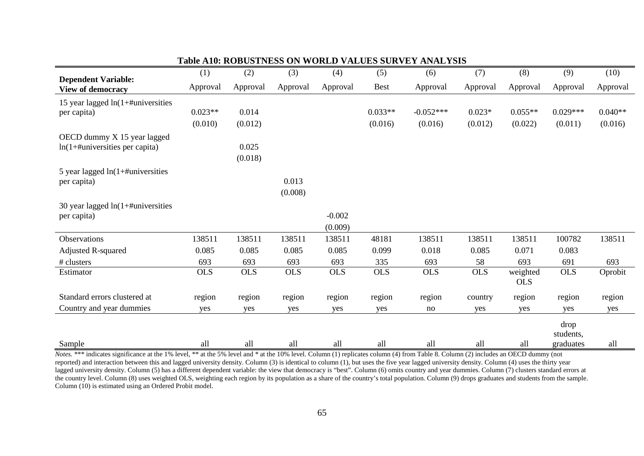|                                                                         | (1)        | (2)              | (3)              | (4)                 | (5)         | (6)         | (7)        | (8)                    | (9)               | (10)      |
|-------------------------------------------------------------------------|------------|------------------|------------------|---------------------|-------------|-------------|------------|------------------------|-------------------|-----------|
| <b>Dependent Variable:</b><br><b>View of democracy</b>                  | Approval   | Approval         | Approval         | Approval            | <b>Best</b> | Approval    | Approval   | Approval               | Approval          | Approval  |
| 15 year lagged $ln(1+\text{\#universities})$                            |            |                  |                  |                     |             |             |            |                        |                   |           |
| per capita)                                                             | $0.023**$  | 0.014            |                  |                     | $0.033**$   | $-0.052***$ | $0.023*$   | $0.055**$              | $0.029***$        | $0.040**$ |
|                                                                         | (0.010)    | (0.012)          |                  |                     | (0.016)     | (0.016)     | (0.012)    | (0.022)                | (0.011)           | (0.016)   |
| OECD dummy X 15 year lagged<br>$ln(1+\text{+}$ universities per capita) |            | 0.025<br>(0.018) |                  |                     |             |             |            |                        |                   |           |
| 5 year lagged $ln(1+\text{+}$ universities<br>per capita)               |            |                  | 0.013<br>(0.008) |                     |             |             |            |                        |                   |           |
| 30 year lagged $ln(1+\text{\#universities})$<br>per capita)             |            |                  |                  | $-0.002$<br>(0.009) |             |             |            |                        |                   |           |
| Observations                                                            | 138511     | 138511           | 138511           | 138511              | 48181       | 138511      | 138511     | 138511                 | 100782            | 138511    |
| <b>Adjusted R-squared</b>                                               | 0.085      | 0.085            | 0.085            | 0.085               | 0.099       | 0.018       | 0.085      | 0.071                  | 0.083             |           |
| # clusters                                                              | 693        | 693              | 693              | 693                 | 335         | 693         | 58         | 693                    | 691               | 693       |
| Estimator                                                               | <b>OLS</b> | <b>OLS</b>       | <b>OLS</b>       | <b>OLS</b>          | <b>OLS</b>  | <b>OLS</b>  | <b>OLS</b> | weighted<br><b>OLS</b> | <b>OLS</b>        | Oprobit   |
| Standard errors clustered at                                            | region     | region           | region           | region              | region      | region      | country    | region                 | region            | region    |
| Country and year dummies                                                | yes        | yes              | yes              | yes                 | yes         | no          | yes        | yes                    | yes               | yes       |
|                                                                         |            |                  |                  |                     |             |             |            |                        | drop<br>students, |           |
| Sample                                                                  | all        | all              | all              | all                 | all         | all         | all        | all                    | graduates         | all       |

#### **Table A10: ROBUSTNESS ON WORLD VALUES SURVEY ANALYSIS**

*Notes.* \*\*\* indicates significance at the 1% level, \*\* at the 5% level and \* at the 10% level. Column (1) replicates column (4) from Table 8. Column (2) includes an OECD dummy (not reported) and interaction between this and lagged university density. Column (3) is identical to column (1), but uses the five year lagged university density. Column (4) uses the thirty year lagged university density. Column (5) has a different dependent variable: the view that democracy is "best". Column (6) omits country and year dummies. Column (7) clusters standard errors at the country level. Column (8) uses weighted OLS, weighting each region by its population as a share of the country's total population. Column (9) drops graduates and students from the sample. Column (10) is estimated using an Ordered Probit model.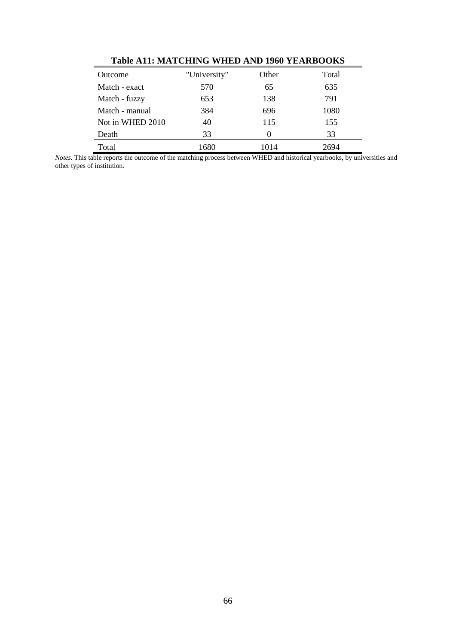|                  | Table into mint charge while may low think octab |               |       |  |  |  |  |  |  |  |
|------------------|--------------------------------------------------|---------------|-------|--|--|--|--|--|--|--|
| Outcome          | "University"                                     | Other         | Total |  |  |  |  |  |  |  |
| Match - exact    | 570                                              | 65            | 635   |  |  |  |  |  |  |  |
| Match - fuzzy    | 653                                              | 138           | 791   |  |  |  |  |  |  |  |
| Match - manual   | 384                                              | 696           | 1080  |  |  |  |  |  |  |  |
| Not in WHED 2010 | 40                                               | 115           | 155   |  |  |  |  |  |  |  |
| Death            | 33                                               | $\mathcal{L}$ | 33    |  |  |  |  |  |  |  |
| Total            | 1680                                             | 1014          | 2694  |  |  |  |  |  |  |  |

**Table A11: MATCHING WHED AND 1960 YEARBOOKS**

*Notes.* This table reports the outcome of the matching process between WHED and historical yearbooks, by universities and other types of institution.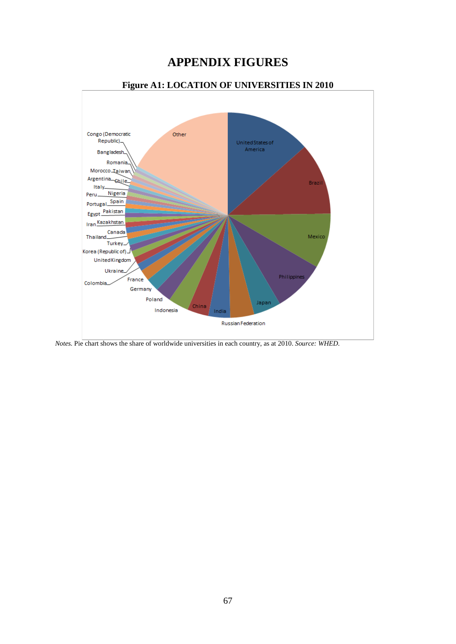## **APPENDIX FIGURES**



*Notes.* Pie chart shows the share of worldwide universities in each country, as at 2010. *Source: WHED.*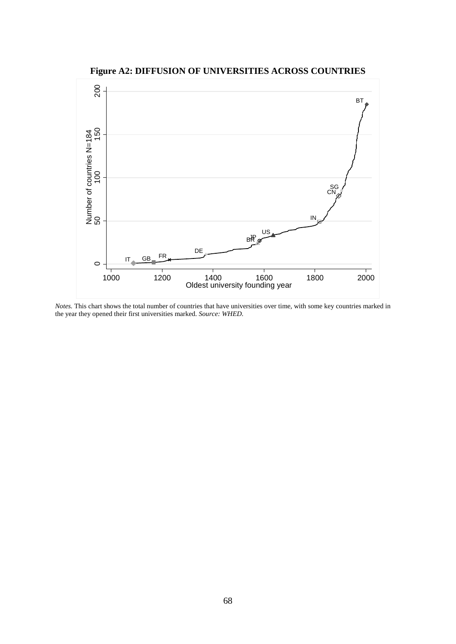**Figure A2: DIFFUSION OF UNIVERSITIES ACROSS COUNTRIES**



*Notes*. This chart shows the total number of countries that have universities over time, with some key countries marked in the year they opened their first universities marked. *Source: WHED.*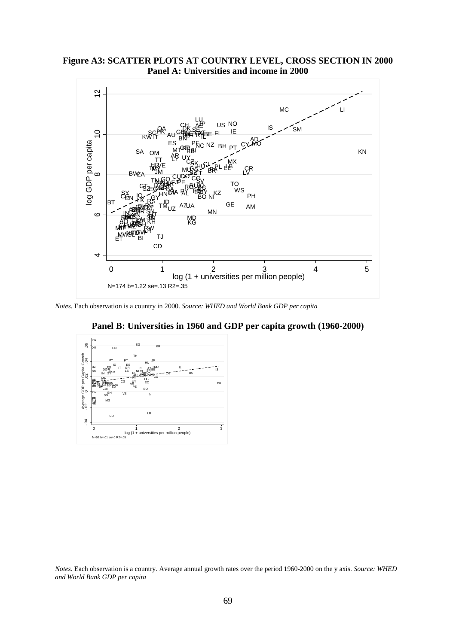**Figure A3: SCATTER PLOTS AT COUNTRY LEVEL, CROSS SECTION IN 2000 Panel A: Universities and income in 2000**



*Notes.* Each observation is a country in 2000. *Source: WHED and World Bank GDP per capita*



**Panel B: Universities in 1960 and GDP per capita growth (1960-2000)**

*Notes.* Each observation is a country. Average annual growth rates over the period 1960-2000 on the y axis. *Source: WHED and World Bank GDP per capita*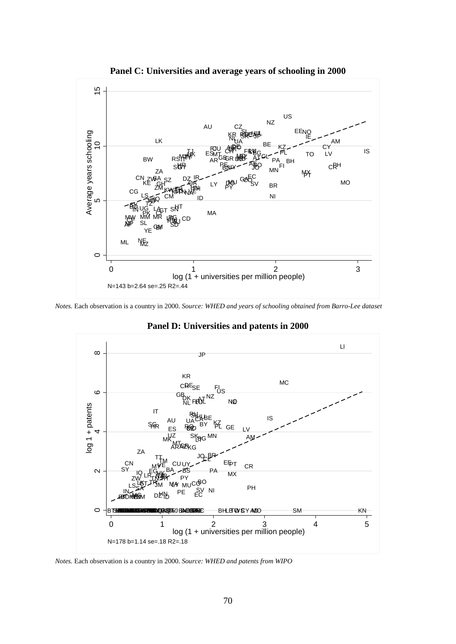

**Panel C: Universities and average years of schooling in 2000**

*Notes.* Each observation is a country in 2000. *Source: WHED and years of schooling obtained from Barro-Lee dataset*



**Panel D: Universities and patents in 2000**

*Notes.* Each observation is a country in 2000. *Source: WHED and patents from WIPO*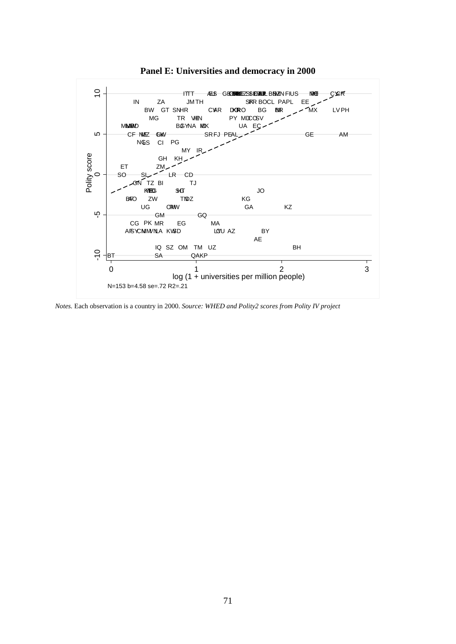

**Panel E: Universities and democracy in 2000**

*Notes.* Each observation is a country in 2000. *Source: WHED and Polity2 scores from Polity IV project*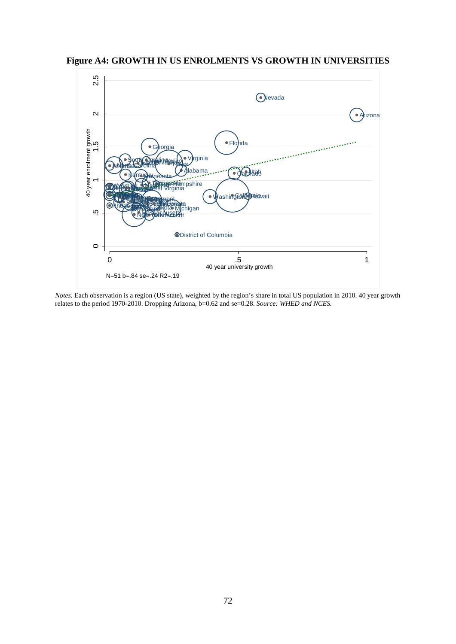**Figure A4: GROWTH IN US ENROLMENTS VS GROWTH IN UNIVERSITIES**



*Notes.* Each observation is a region (US state), weighted by the region's share in total US population in 2010. 40 year growth relates to the period 1970-2010. Dropping Arizona, b=0.62 and se=0.28. *Source: WHED and NCES.*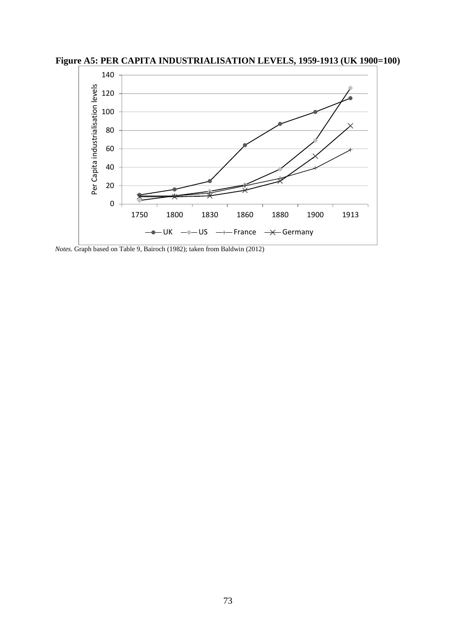**Figure A5: PER CAPITA INDUSTRIALISATION LEVELS, 1959-1913 (UK 1900=100)** 



*Notes.* Graph based on Table 9, Bairoch (1982); taken from Baldwin (2012)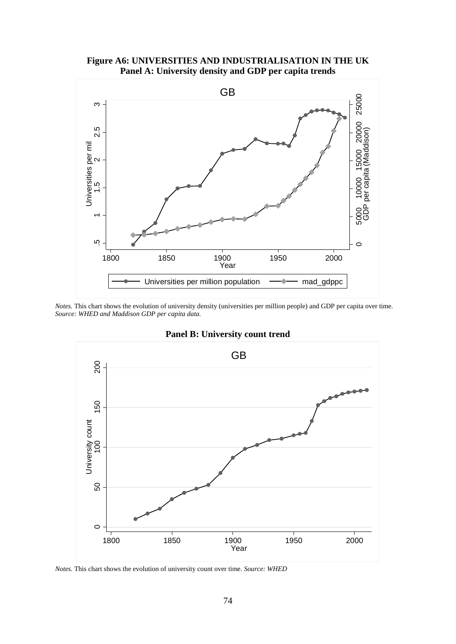## **Figure A6: UNIVERSITIES AND INDUSTRIALISATION IN THE UK Panel A: University density and GDP per capita trends**



*Notes*. This chart shows the evolution of university density (universities per million people) and GDP per capita over time. *Source: WHED and Maddison GDP per capita data.*



# **Panel B: University count trend**

*Notes.* This chart shows the evolution of university count over time. *Source: WHED*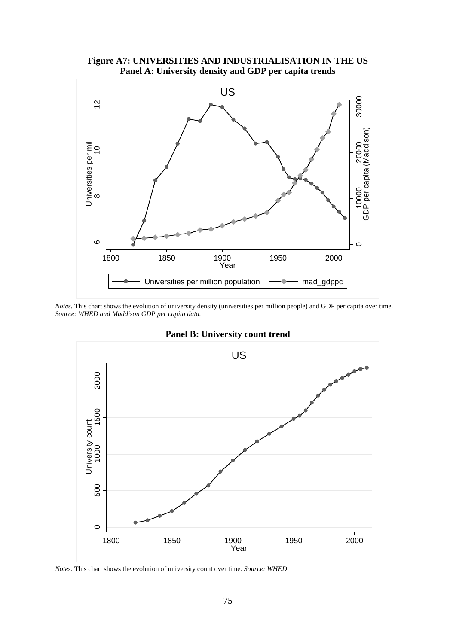



*Notes*. This chart shows the evolution of university density (universities per million people) and GDP per capita over time. *Source: WHED and Maddison GDP per capita data.*



**Panel B: University count trend**

*Notes.* This chart shows the evolution of university count over time. *Source: WHED*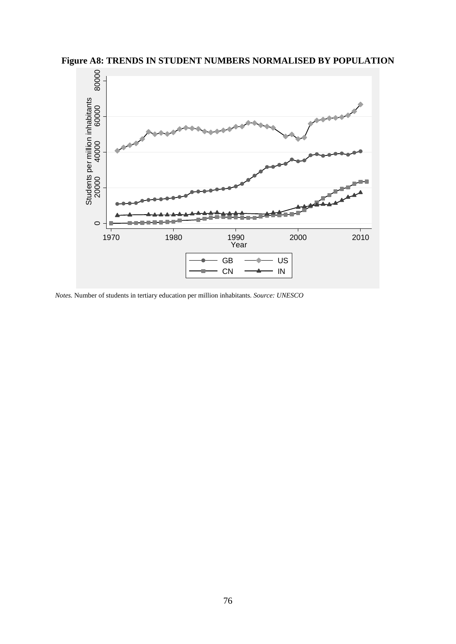

*Notes.* Number of students in tertiary education per million inhabitants. *Source: UNESCO*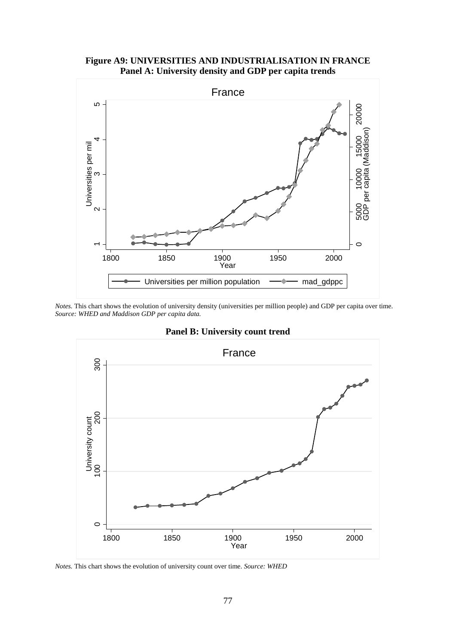## **Figure A9: UNIVERSITIES AND INDUSTRIALISATION IN FRANCE Panel A: University density and GDP per capita trends**



*Notes*. This chart shows the evolution of university density (universities per million people) and GDP per capita over time. *Source: WHED and Maddison GDP per capita data.*



## **Panel B: University count trend**

*Notes.* This chart shows the evolution of university count over time. *Source: WHED*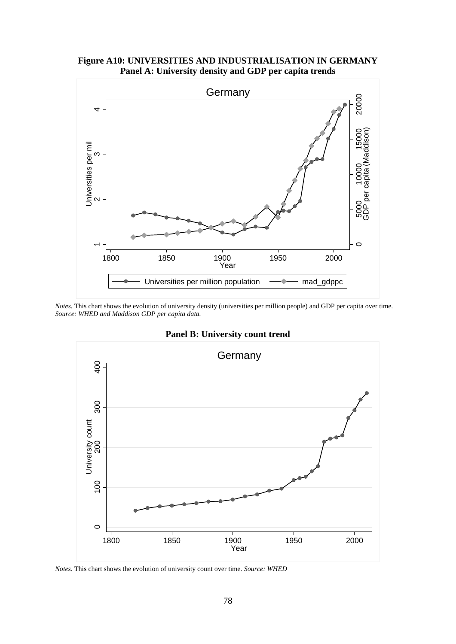#### **Figure A10: UNIVERSITIES AND INDUSTRIALISATION IN GERMANY Panel A: University density and GDP per capita trends**



*Notes*. This chart shows the evolution of university density (universities per million people) and GDP per capita over time. *Source: WHED and Maddison GDP per capita data.*



**Panel B: University count trend**

*Notes.* This chart shows the evolution of university count over time. *Source: WHED*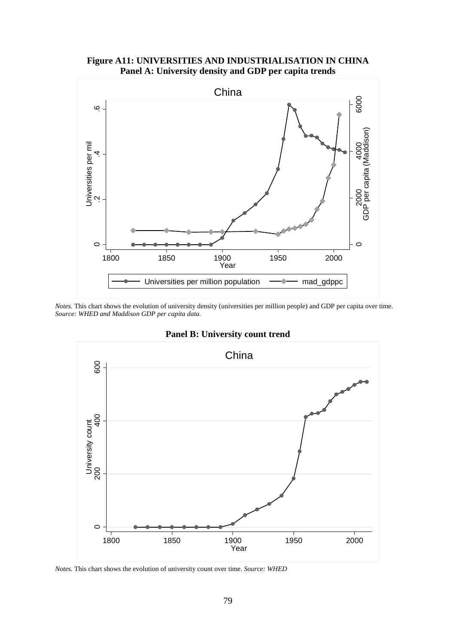## **Figure A11: UNIVERSITIES AND INDUSTRIALISATION IN CHINA Panel A: University density and GDP per capita trends**



*Notes*. This chart shows the evolution of university density (universities per million people) and GDP per capita over time. *Source: WHED and Maddison GDP per capita data.*



**Panel B: University count trend**

*Notes.* This chart shows the evolution of university count over time. *Source: WHED*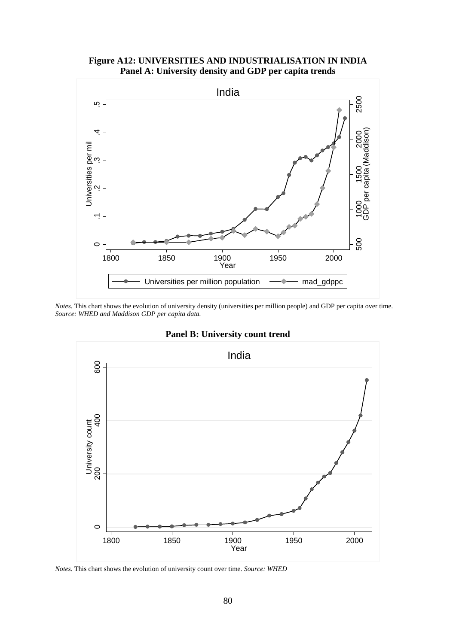## **Figure A12: UNIVERSITIES AND INDUSTRIALISATION IN INDIA Panel A: University density and GDP per capita trends**



*Notes*. This chart shows the evolution of university density (universities per million people) and GDP per capita over time. *Source: WHED and Maddison GDP per capita data.*



# **Panel B: University count trend**

*Notes.* This chart shows the evolution of university count over time. *Source: WHED*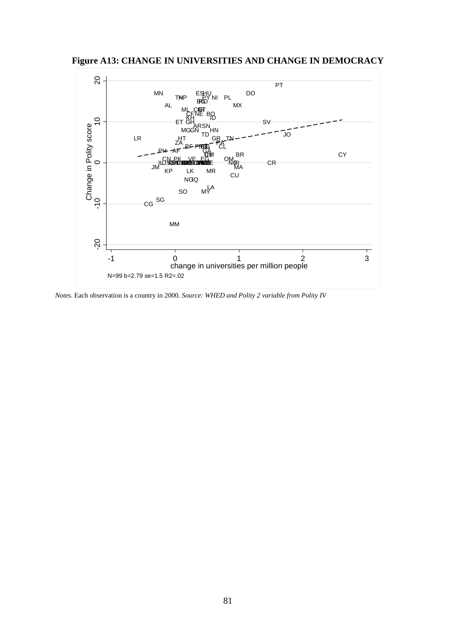**Figure A13: CHANGE IN UNIVERSITIES AND CHANGE IN DEMOCRACY**



*Notes.* Each observation is a country in 2000. *Source: WHED and Polity 2 variable from Polity IV*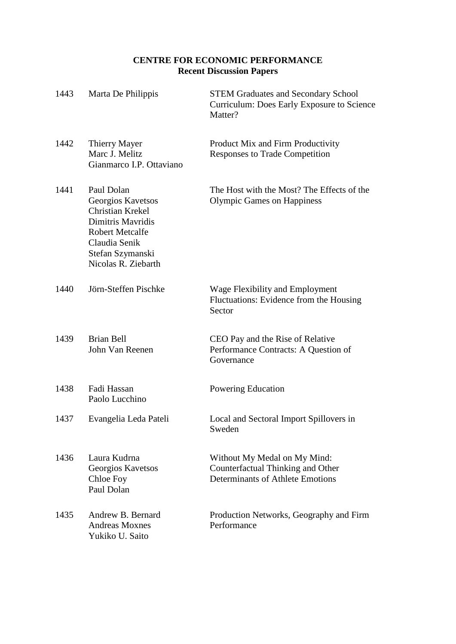# **CENTRE FOR ECONOMIC PERFORMANCE Recent Discussion Papers**

| 1443 | Marta De Philippis                                                                                                                                             | <b>STEM Graduates and Secondary School</b><br>Curriculum: Does Early Exposure to Science<br>Matter?   |
|------|----------------------------------------------------------------------------------------------------------------------------------------------------------------|-------------------------------------------------------------------------------------------------------|
| 1442 | Thierry Mayer<br>Marc J. Melitz<br>Gianmarco I.P. Ottaviano                                                                                                    | Product Mix and Firm Productivity<br>Responses to Trade Competition                                   |
| 1441 | Paul Dolan<br>Georgios Kavetsos<br>Christian Krekel<br>Dimitris Mayridis<br><b>Robert Metcalfe</b><br>Claudia Senik<br>Stefan Szymanski<br>Nicolas R. Ziebarth | The Host with the Most? The Effects of the<br><b>Olympic Games on Happiness</b>                       |
| 1440 | Jörn-Steffen Pischke                                                                                                                                           | Wage Flexibility and Employment<br>Fluctuations: Evidence from the Housing<br>Sector                  |
| 1439 | <b>Brian Bell</b><br>John Van Reenen                                                                                                                           | CEO Pay and the Rise of Relative<br>Performance Contracts: A Question of<br>Governance                |
| 1438 | Fadi Hassan<br>Paolo Lucchino                                                                                                                                  | Powering Education                                                                                    |
| 1437 | Evangelia Leda Pateli                                                                                                                                          | Local and Sectoral Import Spillovers in<br>Sweden                                                     |
| 1436 | Laura Kudrna<br>Georgios Kavetsos<br>Chloe Foy<br>Paul Dolan                                                                                                   | Without My Medal on My Mind:<br>Counterfactual Thinking and Other<br>Determinants of Athlete Emotions |
| 1435 | Andrew B. Bernard<br><b>Andreas Moxnes</b><br>Yukiko U. Saito                                                                                                  | Production Networks, Geography and Firm<br>Performance                                                |